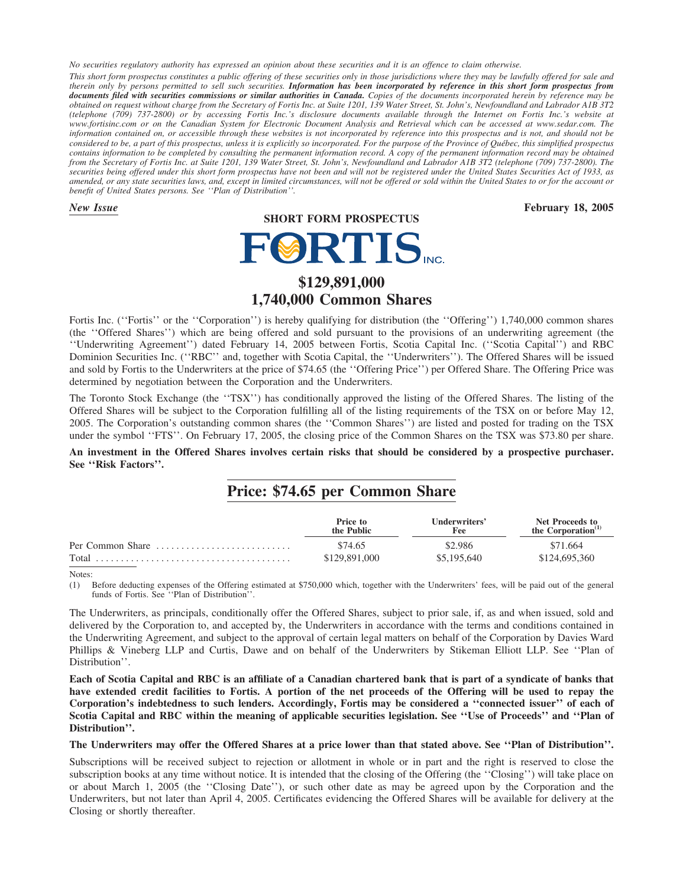*No securities regulatory authority has expressed an opinion about these securities and it is an offence to claim otherwise. This short form prospectus constitutes a public offering of these securities only in those jurisdictions where they may be lawfully offered for sale and therein only by persons permitted to sell such securities. Information has been incorporated by reference in this short form prospectus from documents filed with securities commissions or similar authorities in Canada. Copies of the documents incorporated herein by reference may be obtained on request without charge from the Secretary of Fortis Inc. at Suite 1201, 139 Water Street, St. John's, Newfoundland and Labrador A1B 3T2 (telephone (709) 737-2800) or by accessing Fortis Inc.'s disclosure documents available through the Internet on Fortis Inc.'s website at www.fortisinc.com or on the Canadian System for Electronic Document Analysis and Retrieval which can be accessed at www.sedar.com. The information contained on, or accessible through these websites is not incorporated by reference into this prospectus and is not, and should not be considered to be, a part of this prospectus, unless it is explicitly so incorporated. For the purpose of the Province of Québec, this simplified prospectus contains information to be completed by consulting the permanent information record. A copy of the permanent information record may be obtained from the Secretary of Fortis Inc. at Suite 1201, 139 Water Street, St. John's, Newfoundland and Labrador A1B 3T2 (telephone (709) 737-2800). The securities being offered under this short form prospectus have not been and will not be registered under the United States Securities Act of 1933, as amended, or any state securities laws, and, except in limited circumstances, will not be offered or sold within the United States to or for the account or benefit of United States persons. See ''Plan of Distribution''.*

**SHORT FORM PROSPECTUS**

*New Issue* **February 18, 2005**

# **FØRTIS**

# **\$129,891,000 1,740,000 Common Shares**

Fortis Inc. ("Fortis" or the "Corporation") is hereby qualifying for distribution (the "Offering") 1,740,000 common shares (the ''Offered Shares'') which are being offered and sold pursuant to the provisions of an underwriting agreement (the ''Underwriting Agreement'') dated February 14, 2005 between Fortis, Scotia Capital Inc. (''Scotia Capital'') and RBC Dominion Securities Inc. (''RBC'' and, together with Scotia Capital, the ''Underwriters''). The Offered Shares will be issued and sold by Fortis to the Underwriters at the price of \$74.65 (the ''Offering Price'') per Offered Share. The Offering Price was determined by negotiation between the Corporation and the Underwriters.

The Toronto Stock Exchange (the ''TSX'') has conditionally approved the listing of the Offered Shares. The listing of the Offered Shares will be subject to the Corporation fulfilling all of the listing requirements of the TSX on or before May 12, 2005. The Corporation's outstanding common shares (the ''Common Shares'') are listed and posted for trading on the TSX under the symbol ''FTS''. On February 17, 2005, the closing price of the Common Shares on the TSX was \$73.80 per share.

**An investment in the Offered Shares involves certain risks that should be considered by a prospective purchaser. See ''Risk Factors''.**

# **Price: \$74.65 per Common Share**

|                  | Price to<br>the Public | Underwriters'<br>Fee | Net Proceeds to<br>the Corporation $(1)$ |
|------------------|------------------------|----------------------|------------------------------------------|
| Per Common Share | \$74.65                | \$2.986              | \$71.664                                 |
|                  | \$129,891,000          | \$5,195,640          | \$124,695,360                            |

Notes:

(1) Before deducting expenses of the Offering estimated at \$750,000 which, together with the Underwriters' fees, will be paid out of the general funds of Fortis. See "Plan of Distribution"

The Underwriters, as principals, conditionally offer the Offered Shares, subject to prior sale, if, as and when issued, sold and delivered by the Corporation to, and accepted by, the Underwriters in accordance with the terms and conditions contained in the Underwriting Agreement, and subject to the approval of certain legal matters on behalf of the Corporation by Davies Ward Phillips & Vineberg LLP and Curtis, Dawe and on behalf of the Underwriters by Stikeman Elliott LLP. See ''Plan of Distribution''.

**Each of Scotia Capital and RBC is an affiliate of a Canadian chartered bank that is part of a syndicate of banks that have extended credit facilities to Fortis. A portion of the net proceeds of the Offering will be used to repay the Corporation's indebtedness to such lenders. Accordingly, Fortis may be considered a ''connected issuer'' of each of Scotia Capital and RBC within the meaning of applicable securities legislation. See ''Use of Proceeds'' and ''Plan of Distribution''.**

**The Underwriters may offer the Offered Shares at a price lower than that stated above. See ''Plan of Distribution''.**

Subscriptions will be received subject to rejection or allotment in whole or in part and the right is reserved to close the subscription books at any time without notice. It is intended that the closing of the Offering (the ''Closing'') will take place on or about March 1, 2005 (the ''Closing Date''), or such other date as may be agreed upon by the Corporation and the Underwriters, but not later than April 4, 2005. Certificates evidencing the Offered Shares will be available for delivery at the Closing or shortly thereafter.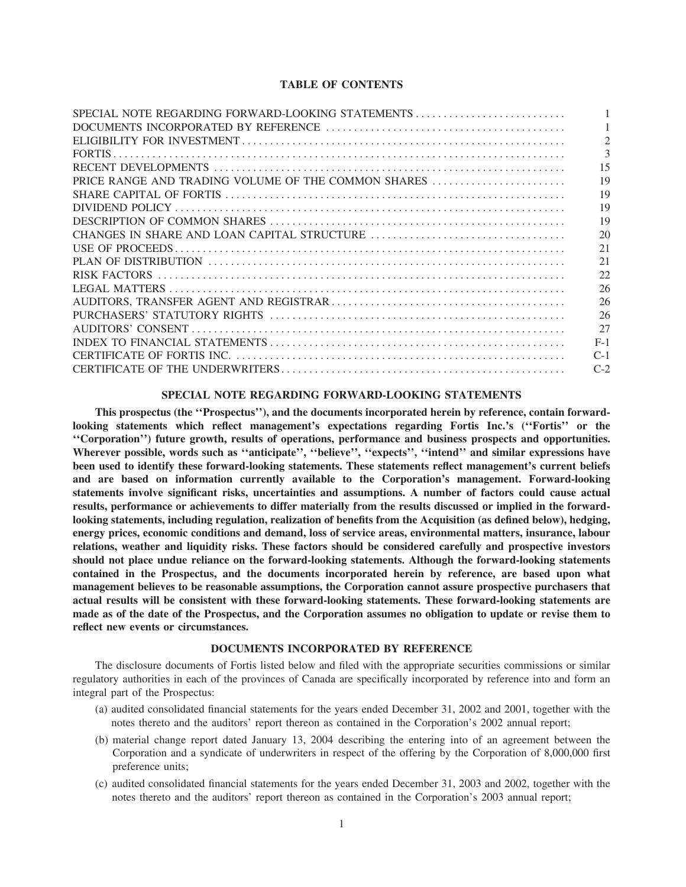# **TABLE OF CONTENTS**

| SPECIAL NOTE REGARDING FORWARD-LOOKING STATEMENTS   |       |
|-----------------------------------------------------|-------|
|                                                     |       |
|                                                     |       |
|                                                     |       |
|                                                     | 15    |
| PRICE RANGE AND TRADING VOLUME OF THE COMMON SHARES | 19    |
|                                                     | 19    |
|                                                     | 19    |
|                                                     | 19    |
|                                                     | 20    |
|                                                     | 2.1   |
|                                                     | 21    |
|                                                     | 22    |
|                                                     | 26    |
|                                                     | 26    |
|                                                     | 26    |
|                                                     | 27    |
|                                                     | $F-1$ |
|                                                     | $C-1$ |
|                                                     | $C-2$ |
|                                                     |       |

# SPECIAL NOTE REGARDING FORWARD-LOOKING STATEMENTS

This prospectus (the "Prospectus"), and the documents incorporated herein by reference, contain forwardlooking statements which reflect management's expectations regarding Fortis Inc.'s ("Fortis" or the "Corporation") future growth, results of operations, performance and business prospects and opportunities. Wherever possible, words such as "anticipate", "believe", "expects", "intend" and similar expressions have been used to identify these forward-looking statements. These statements reflect management's current beliefs and are based on information currently available to the Corporation's management. Forward-looking statements involve significant risks, uncertainties and assumptions. A number of factors could cause actual results, performance or achievements to differ materially from the results discussed or implied in the forwardlooking statements, including regulation, realization of benefits from the Acquisition (as defined below), hedging, energy prices, economic conditions and demand, loss of service areas, environmental matters, insurance, labour relations, weather and liquidity risks. These factors should be considered carefully and prospective investors should not place undue reliance on the forward-looking statements. Although the forward-looking statements contained in the Prospectus, and the documents incorporated herein by reference, are based upon what management believes to be reasonable assumptions, the Corporation cannot assure prospective purchasers that actual results will be consistent with these forward-looking statements. These forward-looking statements are made as of the date of the Prospectus, and the Corporation assumes no obligation to update or revise them to reflect new events or circumstances.

# DOCUMENTS INCORPORATED BY REFERENCE

The disclosure documents of Fortis listed below and filed with the appropriate securities commissions or similar regulatory authorities in each of the provinces of Canada are specifically incorporated by reference into and form an integral part of the Prospectus:

- (a) audited consolidated financial statements for the years ended December 31, 2002 and 2001, together with the notes thereto and the auditors' report thereon as contained in the Corporation's 2002 annual report;
- (b) material change report dated January 13, 2004 describing the entering into of an agreement between the Corporation and a syndicate of underwriters in respect of the offering by the Corporation of 8,000,000 first preference units:
- (c) audited consolidated financial statements for the years ended December 31, 2003 and 2002, together with the notes thereto and the auditors' report thereon as contained in the Corporation's 2003 annual report;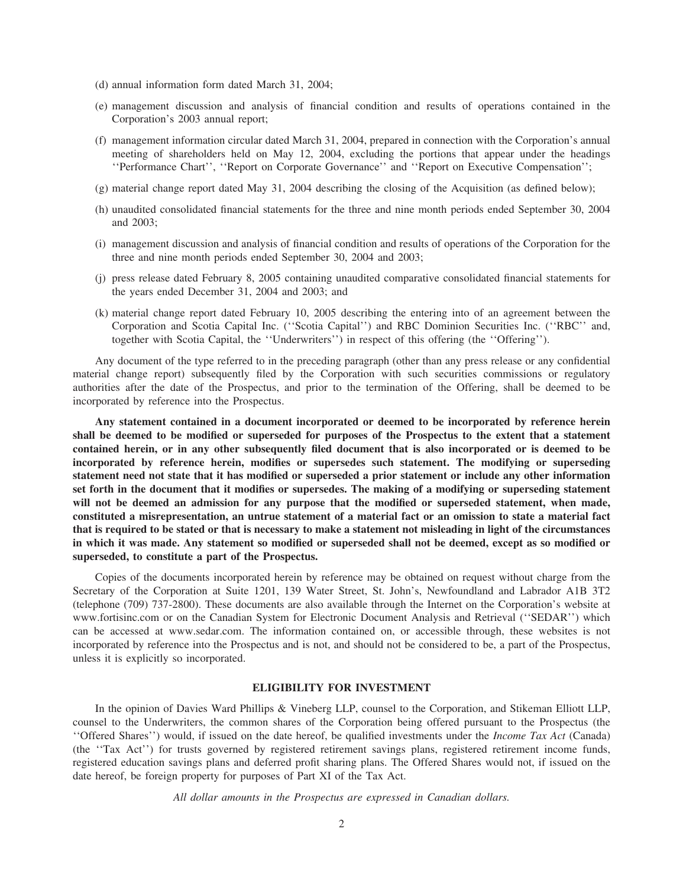- (d) annual information form dated March 31, 2004;
- (e) management discussion and analysis of financial condition and results of operations contained in the Corporation's 2003 annual report;
- (f) management information circular dated March 31, 2004, prepared in connection with the Corporation's annual meeting of shareholders held on May 12, 2004, excluding the portions that appear under the headings ''Performance Chart'', ''Report on Corporate Governance'' and ''Report on Executive Compensation'';
- (g) material change report dated May 31, 2004 describing the closing of the Acquisition (as defined below);
- (h) unaudited consolidated financial statements for the three and nine month periods ended September 30, 2004 and 2003;
- (i) management discussion and analysis of financial condition and results of operations of the Corporation for the three and nine month periods ended September 30, 2004 and 2003;
- (j) press release dated February 8, 2005 containing unaudited comparative consolidated financial statements for the years ended December 31, 2004 and 2003; and
- (k) material change report dated February 10, 2005 describing the entering into of an agreement between the Corporation and Scotia Capital Inc. (''Scotia Capital'') and RBC Dominion Securities Inc. (''RBC'' and, together with Scotia Capital, the ''Underwriters'') in respect of this offering (the ''Offering'').

Any document of the type referred to in the preceding paragraph (other than any press release or any confidential material change report) subsequently filed by the Corporation with such securities commissions or regulatory authorities after the date of the Prospectus, and prior to the termination of the Offering, shall be deemed to be incorporated by reference into the Prospectus.

**Any statement contained in a document incorporated or deemed to be incorporated by reference herein shall be deemed to be modified or superseded for purposes of the Prospectus to the extent that a statement contained herein, or in any other subsequently filed document that is also incorporated or is deemed to be incorporated by reference herein, modifies or supersedes such statement. The modifying or superseding statement need not state that it has modified or superseded a prior statement or include any other information set forth in the document that it modifies or supersedes. The making of a modifying or superseding statement will not be deemed an admission for any purpose that the modified or superseded statement, when made, constituted a misrepresentation, an untrue statement of a material fact or an omission to state a material fact that is required to be stated or that is necessary to make a statement not misleading in light of the circumstances in which it was made. Any statement so modified or superseded shall not be deemed, except as so modified or superseded, to constitute a part of the Prospectus.**

Copies of the documents incorporated herein by reference may be obtained on request without charge from the Secretary of the Corporation at Suite 1201, 139 Water Street, St. John's, Newfoundland and Labrador A1B 3T2 (telephone (709) 737-2800). These documents are also available through the Internet on the Corporation's website at www.fortisinc.com or on the Canadian System for Electronic Document Analysis and Retrieval (''SEDAR'') which can be accessed at www.sedar.com. The information contained on, or accessible through, these websites is not incorporated by reference into the Prospectus and is not, and should not be considered to be, a part of the Prospectus, unless it is explicitly so incorporated.

# **ELIGIBILITY FOR INVESTMENT**

In the opinion of Davies Ward Phillips & Vineberg LLP, counsel to the Corporation, and Stikeman Elliott LLP, counsel to the Underwriters, the common shares of the Corporation being offered pursuant to the Prospectus (the ''Offered Shares'') would, if issued on the date hereof, be qualified investments under the *Income Tax Act* (Canada) (the ''Tax Act'') for trusts governed by registered retirement savings plans, registered retirement income funds, registered education savings plans and deferred profit sharing plans. The Offered Shares would not, if issued on the date hereof, be foreign property for purposes of Part XI of the Tax Act.

*All dollar amounts in the Prospectus are expressed in Canadian dollars.*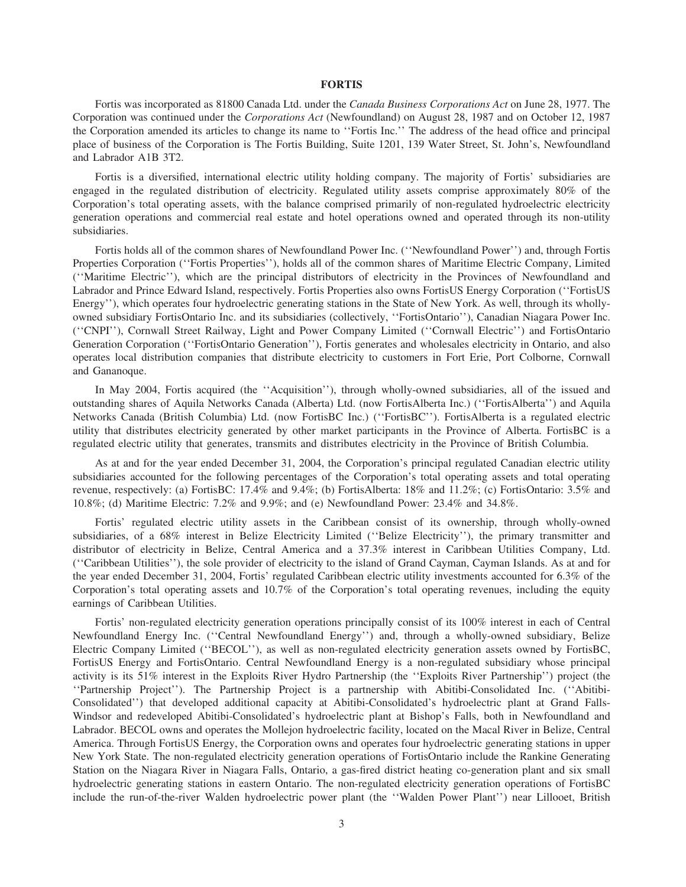# **FORTIS**

Fortis was incorporated as 81800 Canada Ltd. under the *Canada Business Corporations Act* on June 28, 1977. The Corporation was continued under the *Corporations Act* (Newfoundland) on August 28, 1987 and on October 12, 1987 the Corporation amended its articles to change its name to ''Fortis Inc.'' The address of the head office and principal place of business of the Corporation is The Fortis Building, Suite 1201, 139 Water Street, St. John's, Newfoundland and Labrador A1B 3T2.

Fortis is a diversified, international electric utility holding company. The majority of Fortis' subsidiaries are engaged in the regulated distribution of electricity. Regulated utility assets comprise approximately 80% of the Corporation's total operating assets, with the balance comprised primarily of non-regulated hydroelectric electricity generation operations and commercial real estate and hotel operations owned and operated through its non-utility subsidiaries.

Fortis holds all of the common shares of Newfoundland Power Inc. (''Newfoundland Power'') and, through Fortis Properties Corporation (''Fortis Properties''), holds all of the common shares of Maritime Electric Company, Limited (''Maritime Electric''), which are the principal distributors of electricity in the Provinces of Newfoundland and Labrador and Prince Edward Island, respectively. Fortis Properties also owns FortisUS Energy Corporation (''FortisUS Energy''), which operates four hydroelectric generating stations in the State of New York. As well, through its whollyowned subsidiary FortisOntario Inc. and its subsidiaries (collectively, ''FortisOntario''), Canadian Niagara Power Inc. (''CNPI''), Cornwall Street Railway, Light and Power Company Limited (''Cornwall Electric'') and FortisOntario Generation Corporation (''FortisOntario Generation''), Fortis generates and wholesales electricity in Ontario, and also operates local distribution companies that distribute electricity to customers in Fort Erie, Port Colborne, Cornwall and Gananoque.

In May 2004, Fortis acquired (the ''Acquisition''), through wholly-owned subsidiaries, all of the issued and outstanding shares of Aquila Networks Canada (Alberta) Ltd. (now FortisAlberta Inc.) (''FortisAlberta'') and Aquila Networks Canada (British Columbia) Ltd. (now FortisBC Inc.) (''FortisBC''). FortisAlberta is a regulated electric utility that distributes electricity generated by other market participants in the Province of Alberta. FortisBC is a regulated electric utility that generates, transmits and distributes electricity in the Province of British Columbia.

As at and for the year ended December 31, 2004, the Corporation's principal regulated Canadian electric utility subsidiaries accounted for the following percentages of the Corporation's total operating assets and total operating revenue, respectively: (a) FortisBC: 17.4% and 9.4%; (b) FortisAlberta: 18% and 11.2%; (c) FortisOntario: 3.5% and 10.8%; (d) Maritime Electric: 7.2% and 9.9%; and (e) Newfoundland Power: 23.4% and 34.8%.

Fortis' regulated electric utility assets in the Caribbean consist of its ownership, through wholly-owned subsidiaries, of a 68% interest in Belize Electricity Limited ("Belize Electricity"), the primary transmitter and distributor of electricity in Belize, Central America and a 37.3% interest in Caribbean Utilities Company, Ltd. (''Caribbean Utilities''), the sole provider of electricity to the island of Grand Cayman, Cayman Islands. As at and for the year ended December 31, 2004, Fortis' regulated Caribbean electric utility investments accounted for 6.3% of the Corporation's total operating assets and 10.7% of the Corporation's total operating revenues, including the equity earnings of Caribbean Utilities.

Fortis' non-regulated electricity generation operations principally consist of its 100% interest in each of Central Newfoundland Energy Inc. (''Central Newfoundland Energy'') and, through a wholly-owned subsidiary, Belize Electric Company Limited (''BECOL''), as well as non-regulated electricity generation assets owned by FortisBC, FortisUS Energy and FortisOntario. Central Newfoundland Energy is a non-regulated subsidiary whose principal activity is its 51% interest in the Exploits River Hydro Partnership (the ''Exploits River Partnership'') project (the ''Partnership Project''). The Partnership Project is a partnership with Abitibi-Consolidated Inc. (''Abitibi-Consolidated'') that developed additional capacity at Abitibi-Consolidated's hydroelectric plant at Grand Falls-Windsor and redeveloped Abitibi-Consolidated's hydroelectric plant at Bishop's Falls, both in Newfoundland and Labrador. BECOL owns and operates the Mollejon hydroelectric facility, located on the Macal River in Belize, Central America. Through FortisUS Energy, the Corporation owns and operates four hydroelectric generating stations in upper New York State. The non-regulated electricity generation operations of FortisOntario include the Rankine Generating Station on the Niagara River in Niagara Falls, Ontario, a gas-fired district heating co-generation plant and six small hydroelectric generating stations in eastern Ontario. The non-regulated electricity generation operations of FortisBC include the run-of-the-river Walden hydroelectric power plant (the ''Walden Power Plant'') near Lillooet, British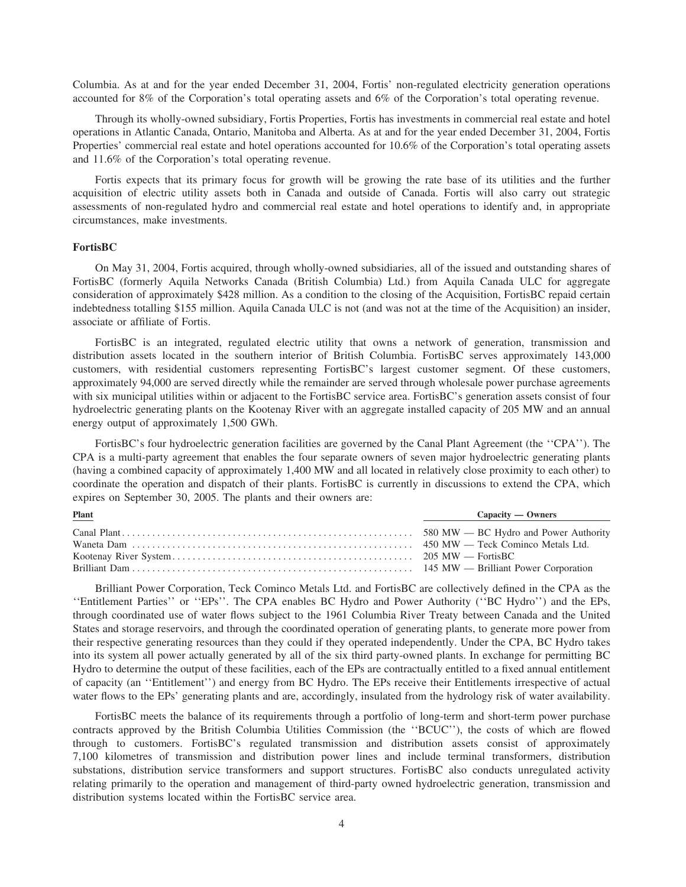Columbia. As at and for the year ended December 31, 2004, Fortis' non-regulated electricity generation operations accounted for 8% of the Corporation's total operating assets and 6% of the Corporation's total operating revenue.

Through its wholly-owned subsidiary, Fortis Properties, Fortis has investments in commercial real estate and hotel operations in Atlantic Canada, Ontario, Manitoba and Alberta. As at and for the year ended December 31, 2004, Fortis Properties' commercial real estate and hotel operations accounted for 10.6% of the Corporation's total operating assets and 11.6% of the Corporation's total operating revenue.

Fortis expects that its primary focus for growth will be growing the rate base of its utilities and the further acquisition of electric utility assets both in Canada and outside of Canada. Fortis will also carry out strategic assessments of non-regulated hydro and commercial real estate and hotel operations to identify and, in appropriate circumstances, make investments.

# **FortisBC**

On May 31, 2004, Fortis acquired, through wholly-owned subsidiaries, all of the issued and outstanding shares of FortisBC (formerly Aquila Networks Canada (British Columbia) Ltd.) from Aquila Canada ULC for aggregate consideration of approximately \$428 million. As a condition to the closing of the Acquisition, FortisBC repaid certain indebtedness totalling \$155 million. Aquila Canada ULC is not (and was not at the time of the Acquisition) an insider, associate or affiliate of Fortis.

FortisBC is an integrated, regulated electric utility that owns a network of generation, transmission and distribution assets located in the southern interior of British Columbia. FortisBC serves approximately 143,000 customers, with residential customers representing FortisBC's largest customer segment. Of these customers, approximately 94,000 are served directly while the remainder are served through wholesale power purchase agreements with six municipal utilities within or adjacent to the FortisBC service area. FortisBC's generation assets consist of four hydroelectric generating plants on the Kootenay River with an aggregate installed capacity of 205 MW and an annual energy output of approximately 1,500 GWh.

FortisBC's four hydroelectric generation facilities are governed by the Canal Plant Agreement (the ''CPA''). The CPA is a multi-party agreement that enables the four separate owners of seven major hydroelectric generating plants (having a combined capacity of approximately 1,400 MW and all located in relatively close proximity to each other) to coordinate the operation and dispatch of their plants. FortisBC is currently in discussions to extend the CPA, which expires on September 30, 2005. The plants and their owners are:

| <b>Plant</b> | Capacity — Owners |
|--------------|-------------------|
|              |                   |
|              |                   |
|              |                   |
|              |                   |

Brilliant Power Corporation, Teck Cominco Metals Ltd. and FortisBC are collectively defined in the CPA as the ''Entitlement Parties'' or ''EPs''. The CPA enables BC Hydro and Power Authority (''BC Hydro'') and the EPs, through coordinated use of water flows subject to the 1961 Columbia River Treaty between Canada and the United States and storage reservoirs, and through the coordinated operation of generating plants, to generate more power from their respective generating resources than they could if they operated independently. Under the CPA, BC Hydro takes into its system all power actually generated by all of the six third party-owned plants. In exchange for permitting BC Hydro to determine the output of these facilities, each of the EPs are contractually entitled to a fixed annual entitlement of capacity (an ''Entitlement'') and energy from BC Hydro. The EPs receive their Entitlements irrespective of actual water flows to the EPs' generating plants and are, accordingly, insulated from the hydrology risk of water availability.

FortisBC meets the balance of its requirements through a portfolio of long-term and short-term power purchase contracts approved by the British Columbia Utilities Commission (the ''BCUC''), the costs of which are flowed through to customers. FortisBC's regulated transmission and distribution assets consist of approximately 7,100 kilometres of transmission and distribution power lines and include terminal transformers, distribution substations, distribution service transformers and support structures. FortisBC also conducts unregulated activity relating primarily to the operation and management of third-party owned hydroelectric generation, transmission and distribution systems located within the FortisBC service area.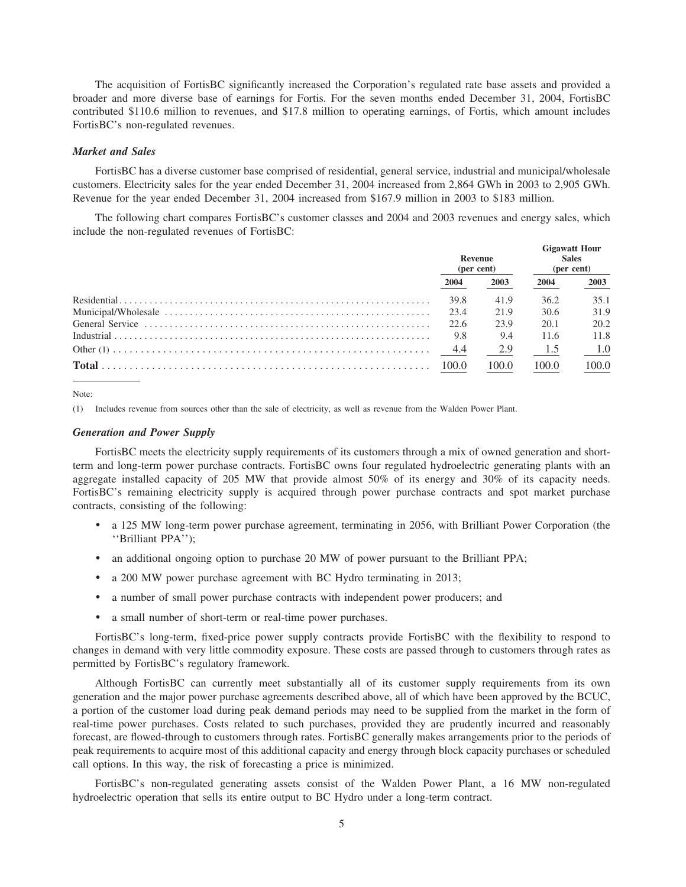The acquisition of FortisBC significantly increased the Corporation's regulated rate base assets and provided a broader and more diverse base of earnings for Fortis. For the seven months ended December 31, 2004, FortisBC contributed \$110.6 million to revenues, and \$17.8 million to operating earnings, of Fortis, which amount includes FortisBC's non-regulated revenues.

## **Market and Sales**

FortisBC has a diverse customer base comprised of residential, general service, industrial and municipal/wholesale customers. Electricity sales for the year ended December 31, 2004 increased from 2,864 GWh in 2003 to 2,905 GWh. Revenue for the year ended December 31, 2004 increased from \$167.9 million in 2003 to \$183 million.

The following chart compares FortisBC's customer classes and 2004 and 2003 revenues and energy sales, which include the non-regulated revenues of FortisBC:

| Revenue<br>(per cent) |       | <b>Gigawatt Hour</b><br><b>Sales</b><br>(per cent) |       |
|-----------------------|-------|----------------------------------------------------|-------|
| 2004                  | 2003  | 2004                                               | 2003  |
| 39.8                  | 41.9  | 36.2                                               | 35.1  |
| 23.4                  | 21.9  | 30.6                                               | 31.9  |
| 22.6                  | 23.9  | 20.1                                               | 20.2  |
| 9.8                   | 9.4   | 11.6                                               | 11.8  |
| -4.4                  | 2.9   | 1.5                                                | 1.0   |
| 100.0                 | 100.0 | 100.0                                              | 100.0 |

Note<sup>-</sup>

(1) Includes revenue from sources other than the sale of electricity, as well as revenue from the Walden Power Plant.

# **Generation and Power Supply**

FortisBC meets the electricity supply requirements of its customers through a mix of owned generation and shortterm and long-term power purchase contracts. FortisBC owns four regulated hydroelectric generating plants with an aggregate installed capacity of 205 MW that provide almost 50% of its energy and 30% of its capacity needs. FortisBC's remaining electricity supply is acquired through power purchase contracts and spot market purchase contracts, consisting of the following:

- a 125 MW long-term power purchase agreement, terminating in 2056, with Brilliant Power Corporation (the "Brilliant PPA":
- an additional ongoing option to purchase 20 MW of power pursuant to the Brilliant PPA;  $\bullet$
- $\bullet$ a 200 MW power purchase agreement with BC Hydro terminating in 2013;
- a number of small power purchase contracts with independent power producers; and  $\bullet$
- a small number of short-term or real-time power purchases.  $\bullet$

FortisBC's long-term, fixed-price power supply contracts provide FortisBC with the flexibility to respond to changes in demand with very little commodity exposure. These costs are passed through to customers through rates as permitted by FortisBC's regulatory framework.

Although FortisBC can currently meet substantially all of its customer supply requirements from its own generation and the major power purchase agreements described above, all of which have been approved by the BCUC, a portion of the customer load during peak demand periods may need to be supplied from the market in the form of real-time power purchases. Costs related to such purchases, provided they are prudently incurred and reasonably forecast, are flowed-through to customers through rates. FortisBC generally makes arrangements prior to the periods of peak requirements to acquire most of this additional capacity and energy through block capacity purchases or scheduled call options. In this way, the risk of forecasting a price is minimized.

FortisBC's non-regulated generating assets consist of the Walden Power Plant, a 16 MW non-regulated hydroelectric operation that sells its entire output to BC Hydro under a long-term contract.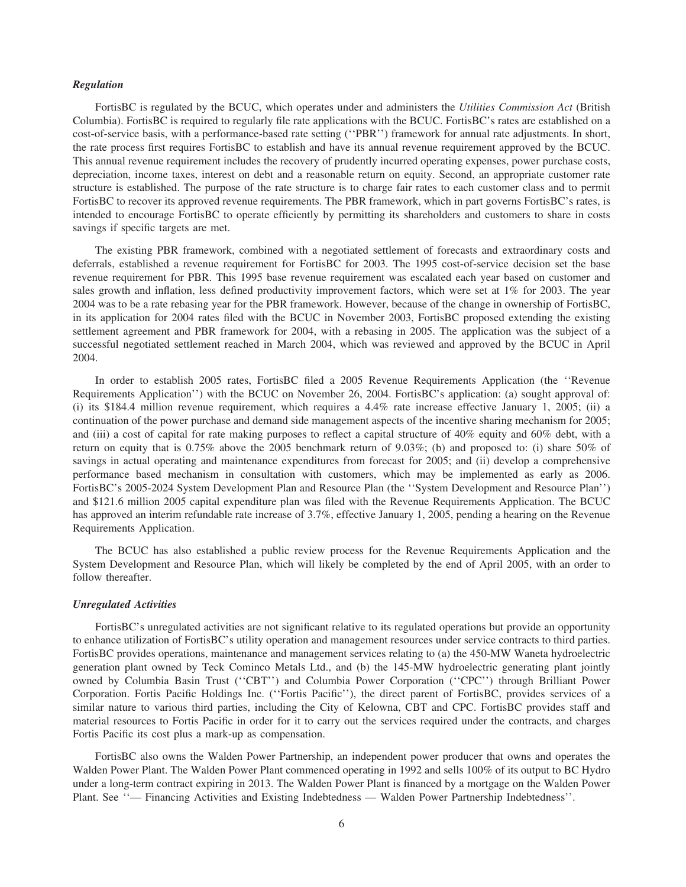# *Regulation*

FortisBC is regulated by the BCUC, which operates under and administers the *Utilities Commission Act* (British Columbia). FortisBC is required to regularly file rate applications with the BCUC. FortisBC's rates are established on a cost-of-service basis, with a performance-based rate setting (''PBR'') framework for annual rate adjustments. In short, the rate process first requires FortisBC to establish and have its annual revenue requirement approved by the BCUC. This annual revenue requirement includes the recovery of prudently incurred operating expenses, power purchase costs, depreciation, income taxes, interest on debt and a reasonable return on equity. Second, an appropriate customer rate structure is established. The purpose of the rate structure is to charge fair rates to each customer class and to permit FortisBC to recover its approved revenue requirements. The PBR framework, which in part governs FortisBC's rates, is intended to encourage FortisBC to operate efficiently by permitting its shareholders and customers to share in costs savings if specific targets are met.

The existing PBR framework, combined with a negotiated settlement of forecasts and extraordinary costs and deferrals, established a revenue requirement for FortisBC for 2003. The 1995 cost-of-service decision set the base revenue requirement for PBR. This 1995 base revenue requirement was escalated each year based on customer and sales growth and inflation, less defined productivity improvement factors, which were set at 1% for 2003. The year 2004 was to be a rate rebasing year for the PBR framework. However, because of the change in ownership of FortisBC, in its application for 2004 rates filed with the BCUC in November 2003, FortisBC proposed extending the existing settlement agreement and PBR framework for 2004, with a rebasing in 2005. The application was the subject of a successful negotiated settlement reached in March 2004, which was reviewed and approved by the BCUC in April 2004.

In order to establish 2005 rates, FortisBC filed a 2005 Revenue Requirements Application (the ''Revenue Requirements Application'') with the BCUC on November 26, 2004. FortisBC's application: (a) sought approval of: (i) its \$184.4 million revenue requirement, which requires a 4.4% rate increase effective January 1, 2005; (ii) a continuation of the power purchase and demand side management aspects of the incentive sharing mechanism for 2005; and (iii) a cost of capital for rate making purposes to reflect a capital structure of 40% equity and 60% debt, with a return on equity that is 0.75% above the 2005 benchmark return of 9.03%; (b) and proposed to: (i) share 50% of savings in actual operating and maintenance expenditures from forecast for 2005; and (ii) develop a comprehensive performance based mechanism in consultation with customers, which may be implemented as early as 2006. FortisBC's 2005-2024 System Development Plan and Resource Plan (the ''System Development and Resource Plan'') and \$121.6 million 2005 capital expenditure plan was filed with the Revenue Requirements Application. The BCUC has approved an interim refundable rate increase of 3.7%, effective January 1, 2005, pending a hearing on the Revenue Requirements Application.

The BCUC has also established a public review process for the Revenue Requirements Application and the System Development and Resource Plan, which will likely be completed by the end of April 2005, with an order to follow thereafter.

#### *Unregulated Activities*

FortisBC's unregulated activities are not significant relative to its regulated operations but provide an opportunity to enhance utilization of FortisBC's utility operation and management resources under service contracts to third parties. FortisBC provides operations, maintenance and management services relating to (a) the 450-MW Waneta hydroelectric generation plant owned by Teck Cominco Metals Ltd., and (b) the 145-MW hydroelectric generating plant jointly owned by Columbia Basin Trust (''CBT'') and Columbia Power Corporation (''CPC'') through Brilliant Power Corporation. Fortis Pacific Holdings Inc. (''Fortis Pacific''), the direct parent of FortisBC, provides services of a similar nature to various third parties, including the City of Kelowna, CBT and CPC. FortisBC provides staff and material resources to Fortis Pacific in order for it to carry out the services required under the contracts, and charges Fortis Pacific its cost plus a mark-up as compensation.

FortisBC also owns the Walden Power Partnership, an independent power producer that owns and operates the Walden Power Plant. The Walden Power Plant commenced operating in 1992 and sells 100% of its output to BC Hydro under a long-term contract expiring in 2013. The Walden Power Plant is financed by a mortgage on the Walden Power Plant. See ''— Financing Activities and Existing Indebtedness — Walden Power Partnership Indebtedness''.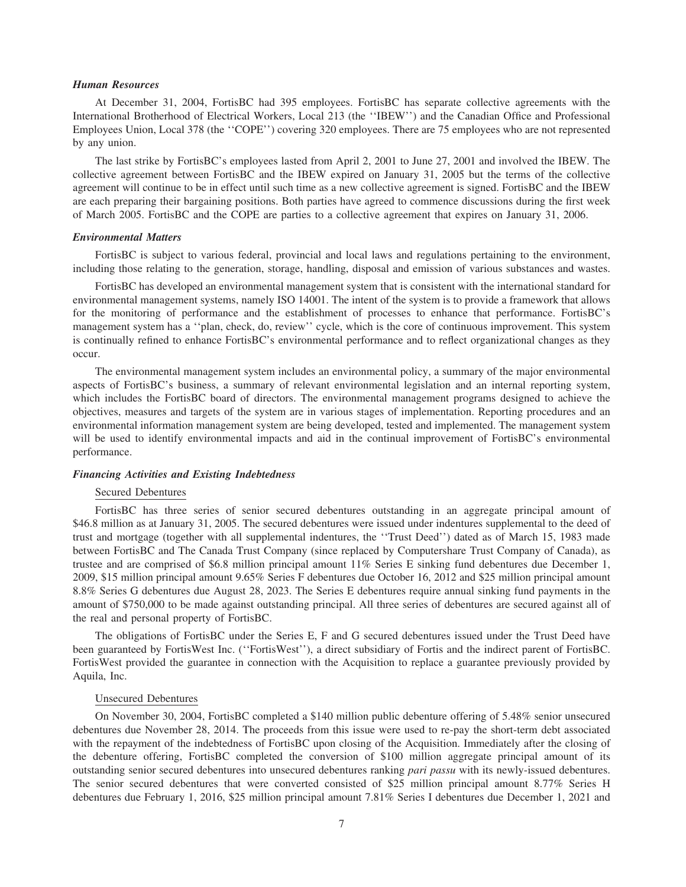# *Human Resources*

At December 31, 2004, FortisBC had 395 employees. FortisBC has separate collective agreements with the International Brotherhood of Electrical Workers, Local 213 (the ''IBEW'') and the Canadian Office and Professional Employees Union, Local 378 (the ''COPE'') covering 320 employees. There are 75 employees who are not represented by any union.

The last strike by FortisBC's employees lasted from April 2, 2001 to June 27, 2001 and involved the IBEW. The collective agreement between FortisBC and the IBEW expired on January 31, 2005 but the terms of the collective agreement will continue to be in effect until such time as a new collective agreement is signed. FortisBC and the IBEW are each preparing their bargaining positions. Both parties have agreed to commence discussions during the first week of March 2005. FortisBC and the COPE are parties to a collective agreement that expires on January 31, 2006.

## *Environmental Matters*

FortisBC is subject to various federal, provincial and local laws and regulations pertaining to the environment, including those relating to the generation, storage, handling, disposal and emission of various substances and wastes.

FortisBC has developed an environmental management system that is consistent with the international standard for environmental management systems, namely ISO 14001. The intent of the system is to provide a framework that allows for the monitoring of performance and the establishment of processes to enhance that performance. FortisBC's management system has a ''plan, check, do, review'' cycle, which is the core of continuous improvement. This system is continually refined to enhance FortisBC's environmental performance and to reflect organizational changes as they occur.

The environmental management system includes an environmental policy, a summary of the major environmental aspects of FortisBC's business, a summary of relevant environmental legislation and an internal reporting system, which includes the FortisBC board of directors. The environmental management programs designed to achieve the objectives, measures and targets of the system are in various stages of implementation. Reporting procedures and an environmental information management system are being developed, tested and implemented. The management system will be used to identify environmental impacts and aid in the continual improvement of FortisBC's environmental performance.

# *Financing Activities and Existing Indebtedness*

## Secured Debentures

FortisBC has three series of senior secured debentures outstanding in an aggregate principal amount of \$46.8 million as at January 31, 2005. The secured debentures were issued under indentures supplemental to the deed of trust and mortgage (together with all supplemental indentures, the ''Trust Deed'') dated as of March 15, 1983 made between FortisBC and The Canada Trust Company (since replaced by Computershare Trust Company of Canada), as trustee and are comprised of \$6.8 million principal amount 11% Series E sinking fund debentures due December 1, 2009, \$15 million principal amount 9.65% Series F debentures due October 16, 2012 and \$25 million principal amount 8.8% Series G debentures due August 28, 2023. The Series E debentures require annual sinking fund payments in the amount of \$750,000 to be made against outstanding principal. All three series of debentures are secured against all of the real and personal property of FortisBC.

The obligations of FortisBC under the Series E, F and G secured debentures issued under the Trust Deed have been guaranteed by FortisWest Inc. (''FortisWest''), a direct subsidiary of Fortis and the indirect parent of FortisBC. FortisWest provided the guarantee in connection with the Acquisition to replace a guarantee previously provided by Aquila, Inc.

#### Unsecured Debentures

On November 30, 2004, FortisBC completed a \$140 million public debenture offering of 5.48% senior unsecured debentures due November 28, 2014. The proceeds from this issue were used to re-pay the short-term debt associated with the repayment of the indebtedness of FortisBC upon closing of the Acquisition. Immediately after the closing of the debenture offering, FortisBC completed the conversion of \$100 million aggregate principal amount of its outstanding senior secured debentures into unsecured debentures ranking *pari passu* with its newly-issued debentures. The senior secured debentures that were converted consisted of \$25 million principal amount 8.77% Series H debentures due February 1, 2016, \$25 million principal amount 7.81% Series I debentures due December 1, 2021 and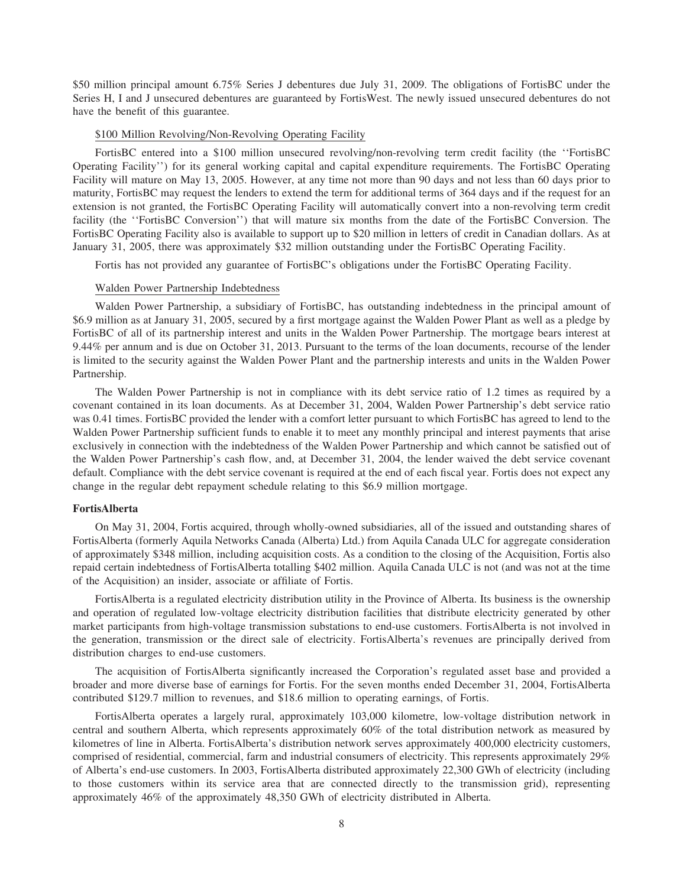\$50 million principal amount 6.75% Series J debentures due July 31, 2009. The obligations of FortisBC under the Series H, I and J unsecured debentures are guaranteed by FortisWest. The newly issued unsecured debentures do not have the benefit of this guarantee.

# \$100 Million Revolving/Non-Revolving Operating Facility

FortisBC entered into a \$100 million unsecured revolving/non-revolving term credit facility (the ''FortisBC Operating Facility'') for its general working capital and capital expenditure requirements. The FortisBC Operating Facility will mature on May 13, 2005. However, at any time not more than 90 days and not less than 60 days prior to maturity, FortisBC may request the lenders to extend the term for additional terms of 364 days and if the request for an extension is not granted, the FortisBC Operating Facility will automatically convert into a non-revolving term credit facility (the ''FortisBC Conversion'') that will mature six months from the date of the FortisBC Conversion. The FortisBC Operating Facility also is available to support up to \$20 million in letters of credit in Canadian dollars. As at January 31, 2005, there was approximately \$32 million outstanding under the FortisBC Operating Facility.

Fortis has not provided any guarantee of FortisBC's obligations under the FortisBC Operating Facility.

# Walden Power Partnership Indebtedness

Walden Power Partnership, a subsidiary of FortisBC, has outstanding indebtedness in the principal amount of \$6.9 million as at January 31, 2005, secured by a first mortgage against the Walden Power Plant as well as a pledge by FortisBC of all of its partnership interest and units in the Walden Power Partnership. The mortgage bears interest at 9.44% per annum and is due on October 31, 2013. Pursuant to the terms of the loan documents, recourse of the lender is limited to the security against the Walden Power Plant and the partnership interests and units in the Walden Power Partnership.

The Walden Power Partnership is not in compliance with its debt service ratio of 1.2 times as required by a covenant contained in its loan documents. As at December 31, 2004, Walden Power Partnership's debt service ratio was 0.41 times. FortisBC provided the lender with a comfort letter pursuant to which FortisBC has agreed to lend to the Walden Power Partnership sufficient funds to enable it to meet any monthly principal and interest payments that arise exclusively in connection with the indebtedness of the Walden Power Partnership and which cannot be satisfied out of the Walden Power Partnership's cash flow, and, at December 31, 2004, the lender waived the debt service covenant default. Compliance with the debt service covenant is required at the end of each fiscal year. Fortis does not expect any change in the regular debt repayment schedule relating to this \$6.9 million mortgage.

# **FortisAlberta**

On May 31, 2004, Fortis acquired, through wholly-owned subsidiaries, all of the issued and outstanding shares of FortisAlberta (formerly Aquila Networks Canada (Alberta) Ltd.) from Aquila Canada ULC for aggregate consideration of approximately \$348 million, including acquisition costs. As a condition to the closing of the Acquisition, Fortis also repaid certain indebtedness of FortisAlberta totalling \$402 million. Aquila Canada ULC is not (and was not at the time of the Acquisition) an insider, associate or affiliate of Fortis.

FortisAlberta is a regulated electricity distribution utility in the Province of Alberta. Its business is the ownership and operation of regulated low-voltage electricity distribution facilities that distribute electricity generated by other market participants from high-voltage transmission substations to end-use customers. FortisAlberta is not involved in the generation, transmission or the direct sale of electricity. FortisAlberta's revenues are principally derived from distribution charges to end-use customers.

The acquisition of FortisAlberta significantly increased the Corporation's regulated asset base and provided a broader and more diverse base of earnings for Fortis. For the seven months ended December 31, 2004, FortisAlberta contributed \$129.7 million to revenues, and \$18.6 million to operating earnings, of Fortis.

FortisAlberta operates a largely rural, approximately 103,000 kilometre, low-voltage distribution network in central and southern Alberta, which represents approximately 60% of the total distribution network as measured by kilometres of line in Alberta. FortisAlberta's distribution network serves approximately 400,000 electricity customers, comprised of residential, commercial, farm and industrial consumers of electricity. This represents approximately 29% of Alberta's end-use customers. In 2003, FortisAlberta distributed approximately 22,300 GWh of electricity (including to those customers within its service area that are connected directly to the transmission grid), representing approximately 46% of the approximately 48,350 GWh of electricity distributed in Alberta.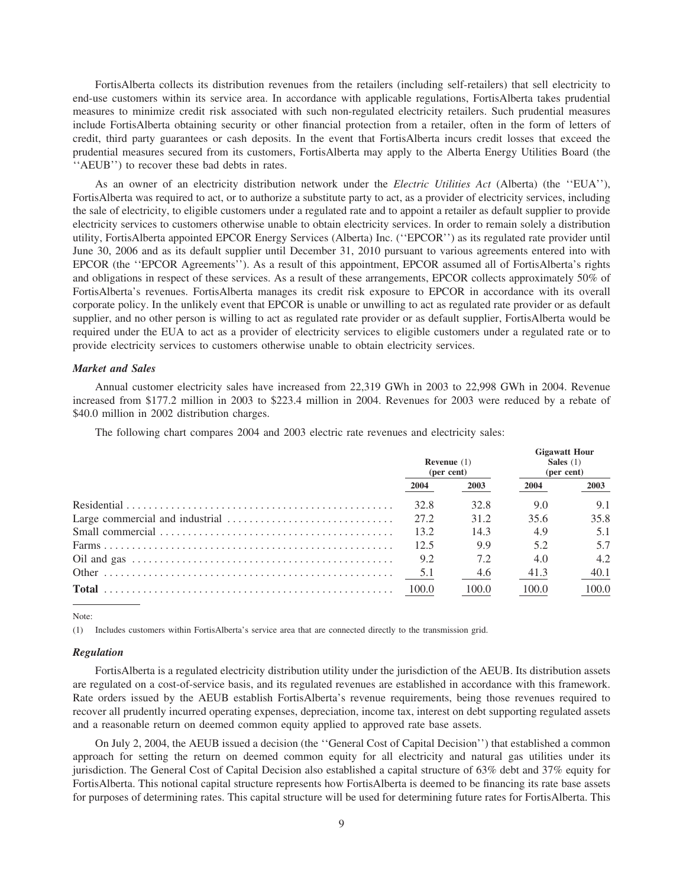FortisAlberta collects its distribution revenues from the retailers (including self-retailers) that sell electricity to end-use customers within its service area. In accordance with applicable regulations, FortisAlberta takes prudential measures to minimize credit risk associated with such non-regulated electricity retailers. Such prudential measures include FortisAlberta obtaining security or other financial protection from a retailer, often in the form of letters of credit, third party guarantees or cash deposits. In the event that FortisAlberta incurs credit losses that exceed the prudential measures secured from its customers, FortisAlberta may apply to the Alberta Energy Utilities Board (the ''AEUB'') to recover these bad debts in rates.

As an owner of an electricity distribution network under the *Electric Utilities Act* (Alberta) (the ''EUA''), FortisAlberta was required to act, or to authorize a substitute party to act, as a provider of electricity services, including the sale of electricity, to eligible customers under a regulated rate and to appoint a retailer as default supplier to provide electricity services to customers otherwise unable to obtain electricity services. In order to remain solely a distribution utility, FortisAlberta appointed EPCOR Energy Services (Alberta) Inc. (''EPCOR'') as its regulated rate provider until June 30, 2006 and as its default supplier until December 31, 2010 pursuant to various agreements entered into with EPCOR (the ''EPCOR Agreements''). As a result of this appointment, EPCOR assumed all of FortisAlberta's rights and obligations in respect of these services. As a result of these arrangements, EPCOR collects approximately 50% of FortisAlberta's revenues. FortisAlberta manages its credit risk exposure to EPCOR in accordance with its overall corporate policy. In the unlikely event that EPCOR is unable or unwilling to act as regulated rate provider or as default supplier, and no other person is willing to act as regulated rate provider or as default supplier, FortisAlberta would be required under the EUA to act as a provider of electricity services to eligible customers under a regulated rate or to provide electricity services to customers otherwise unable to obtain electricity services.

# *Market and Sales*

Annual customer electricity sales have increased from 22,319 GWh in 2003 to 22,998 GWh in 2004. Revenue increased from \$177.2 million in 2003 to \$223.4 million in 2004. Revenues for 2003 were reduced by a rebate of \$40.0 million in 2002 distribution charges.

The following chart compares 2004 and 2003 electric rate revenues and electricity sales:

| <b>Revenue</b> $(1)$<br>(per cent) |       | <b>Gigawatt Hour</b><br>Sales $(1)$<br>(per cent) |       |  |
|------------------------------------|-------|---------------------------------------------------|-------|--|
| 2004                               | 2003  | 2004                                              | 2003  |  |
| 32.8                               | 32.8  | 9.0                                               | 9.1   |  |
| 27.2                               | 31.2  | 35.6                                              | 35.8  |  |
| 13.2                               | 14.3  | 4.9                                               | 5.1   |  |
| 12.5                               | 9.9   | 5.2                                               | 5.7   |  |
| 9.2                                | 7.2   | 4.0                                               | 4.2   |  |
| 5.1                                | 4.6   | 41.3                                              | 40.1  |  |
| 100.0                              | 100.0 | 100.0                                             | 100.0 |  |

Note:

(1) Includes customers within FortisAlberta's service area that are connected directly to the transmission grid.

#### *Regulation*

FortisAlberta is a regulated electricity distribution utility under the jurisdiction of the AEUB. Its distribution assets are regulated on a cost-of-service basis, and its regulated revenues are established in accordance with this framework. Rate orders issued by the AEUB establish FortisAlberta's revenue requirements, being those revenues required to recover all prudently incurred operating expenses, depreciation, income tax, interest on debt supporting regulated assets and a reasonable return on deemed common equity applied to approved rate base assets.

On July 2, 2004, the AEUB issued a decision (the ''General Cost of Capital Decision'') that established a common approach for setting the return on deemed common equity for all electricity and natural gas utilities under its jurisdiction. The General Cost of Capital Decision also established a capital structure of 63% debt and 37% equity for FortisAlberta. This notional capital structure represents how FortisAlberta is deemed to be financing its rate base assets for purposes of determining rates. This capital structure will be used for determining future rates for FortisAlberta. This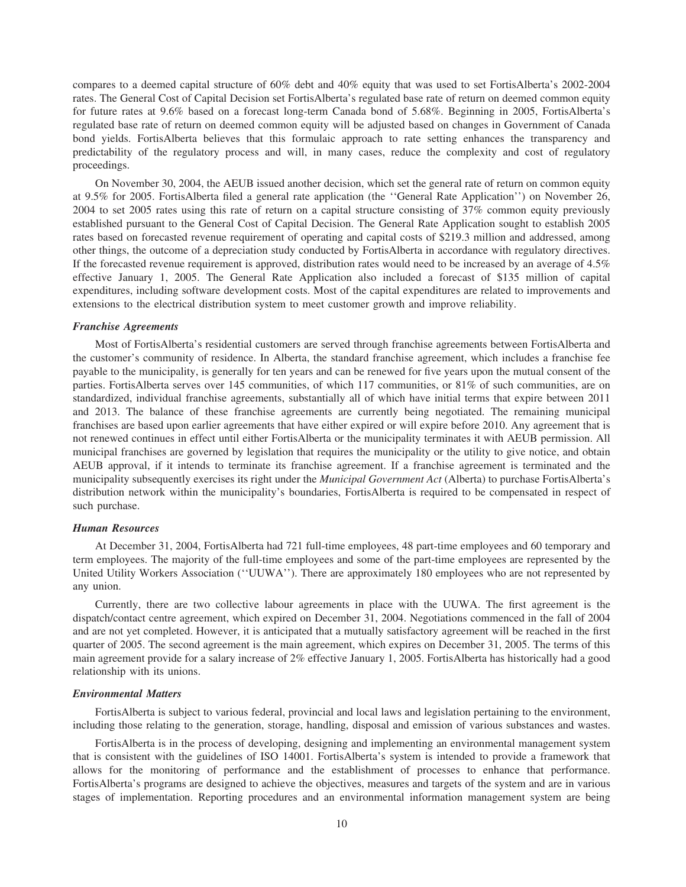compares to a deemed capital structure of 60% debt and 40% equity that was used to set FortisAlberta's 2002-2004 rates. The General Cost of Capital Decision set FortisAlberta's regulated base rate of return on deemed common equity for future rates at 9.6% based on a forecast long-term Canada bond of 5.68%. Beginning in 2005, FortisAlberta's regulated base rate of return on deemed common equity will be adjusted based on changes in Government of Canada bond yields. FortisAlberta believes that this formulaic approach to rate setting enhances the transparency and predictability of the regulatory process and will, in many cases, reduce the complexity and cost of regulatory proceedings.

On November 30, 2004, the AEUB issued another decision, which set the general rate of return on common equity at 9.5% for 2005. FortisAlberta filed a general rate application (the ''General Rate Application'') on November 26, 2004 to set 2005 rates using this rate of return on a capital structure consisting of 37% common equity previously established pursuant to the General Cost of Capital Decision. The General Rate Application sought to establish 2005 rates based on forecasted revenue requirement of operating and capital costs of \$219.3 million and addressed, among other things, the outcome of a depreciation study conducted by FortisAlberta in accordance with regulatory directives. If the forecasted revenue requirement is approved, distribution rates would need to be increased by an average of 4.5% effective January 1, 2005. The General Rate Application also included a forecast of \$135 million of capital expenditures, including software development costs. Most of the capital expenditures are related to improvements and extensions to the electrical distribution system to meet customer growth and improve reliability.

#### *Franchise Agreements*

Most of FortisAlberta's residential customers are served through franchise agreements between FortisAlberta and the customer's community of residence. In Alberta, the standard franchise agreement, which includes a franchise fee payable to the municipality, is generally for ten years and can be renewed for five years upon the mutual consent of the parties. FortisAlberta serves over 145 communities, of which 117 communities, or 81% of such communities, are on standardized, individual franchise agreements, substantially all of which have initial terms that expire between 2011 and 2013. The balance of these franchise agreements are currently being negotiated. The remaining municipal franchises are based upon earlier agreements that have either expired or will expire before 2010. Any agreement that is not renewed continues in effect until either FortisAlberta or the municipality terminates it with AEUB permission. All municipal franchises are governed by legislation that requires the municipality or the utility to give notice, and obtain AEUB approval, if it intends to terminate its franchise agreement. If a franchise agreement is terminated and the municipality subsequently exercises its right under the *Municipal Government Act* (Alberta) to purchase FortisAlberta's distribution network within the municipality's boundaries, FortisAlberta is required to be compensated in respect of such purchase.

# *Human Resources*

At December 31, 2004, FortisAlberta had 721 full-time employees, 48 part-time employees and 60 temporary and term employees. The majority of the full-time employees and some of the part-time employees are represented by the United Utility Workers Association (''UUWA''). There are approximately 180 employees who are not represented by any union.

Currently, there are two collective labour agreements in place with the UUWA. The first agreement is the dispatch/contact centre agreement, which expired on December 31, 2004. Negotiations commenced in the fall of 2004 and are not yet completed. However, it is anticipated that a mutually satisfactory agreement will be reached in the first quarter of 2005. The second agreement is the main agreement, which expires on December 31, 2005. The terms of this main agreement provide for a salary increase of 2% effective January 1, 2005. FortisAlberta has historically had a good relationship with its unions.

# *Environmental Matters*

FortisAlberta is subject to various federal, provincial and local laws and legislation pertaining to the environment, including those relating to the generation, storage, handling, disposal and emission of various substances and wastes.

FortisAlberta is in the process of developing, designing and implementing an environmental management system that is consistent with the guidelines of ISO 14001. FortisAlberta's system is intended to provide a framework that allows for the monitoring of performance and the establishment of processes to enhance that performance. FortisAlberta's programs are designed to achieve the objectives, measures and targets of the system and are in various stages of implementation. Reporting procedures and an environmental information management system are being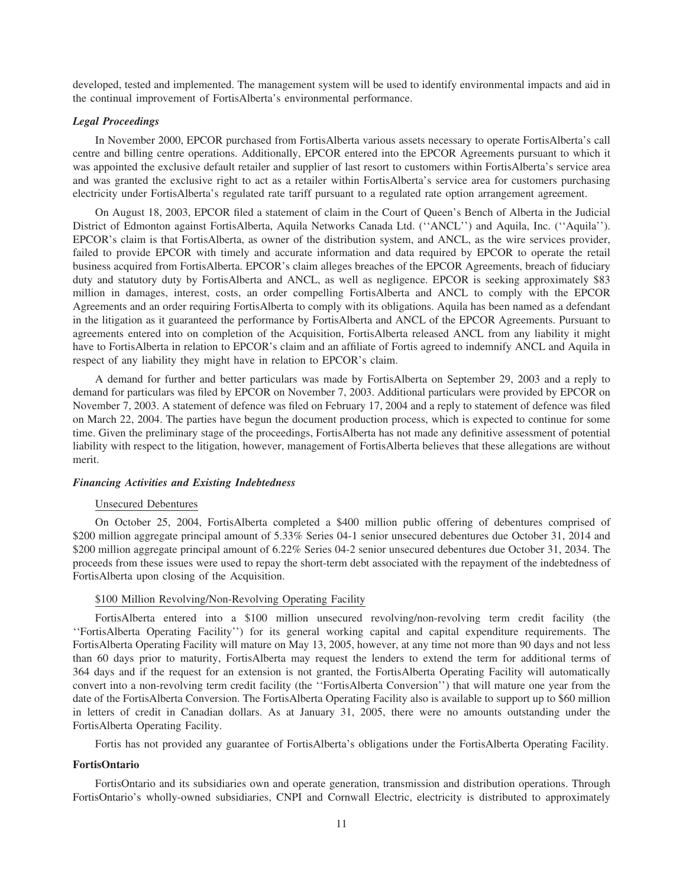developed, tested and implemented. The management system will be used to identify environmental impacts and aid in the continual improvement of FortisAlberta's environmental performance.

# *Legal Proceedings*

In November 2000, EPCOR purchased from FortisAlberta various assets necessary to operate FortisAlberta's call centre and billing centre operations. Additionally, EPCOR entered into the EPCOR Agreements pursuant to which it was appointed the exclusive default retailer and supplier of last resort to customers within FortisAlberta's service area and was granted the exclusive right to act as a retailer within FortisAlberta's service area for customers purchasing electricity under FortisAlberta's regulated rate tariff pursuant to a regulated rate option arrangement agreement.

On August 18, 2003, EPCOR filed a statement of claim in the Court of Queen's Bench of Alberta in the Judicial District of Edmonton against FortisAlberta, Aquila Networks Canada Ltd. (''ANCL'') and Aquila, Inc. (''Aquila''). EPCOR's claim is that FortisAlberta, as owner of the distribution system, and ANCL, as the wire services provider, failed to provide EPCOR with timely and accurate information and data required by EPCOR to operate the retail business acquired from FortisAlberta. EPCOR's claim alleges breaches of the EPCOR Agreements, breach of fiduciary duty and statutory duty by FortisAlberta and ANCL, as well as negligence. EPCOR is seeking approximately \$83 million in damages, interest, costs, an order compelling FortisAlberta and ANCL to comply with the EPCOR Agreements and an order requiring FortisAlberta to comply with its obligations. Aquila has been named as a defendant in the litigation as it guaranteed the performance by FortisAlberta and ANCL of the EPCOR Agreements. Pursuant to agreements entered into on completion of the Acquisition, FortisAlberta released ANCL from any liability it might have to FortisAlberta in relation to EPCOR's claim and an affiliate of Fortis agreed to indemnify ANCL and Aquila in respect of any liability they might have in relation to EPCOR's claim.

A demand for further and better particulars was made by FortisAlberta on September 29, 2003 and a reply to demand for particulars was filed by EPCOR on November 7, 2003. Additional particulars were provided by EPCOR on November 7, 2003. A statement of defence was filed on February 17, 2004 and a reply to statement of defence was filed on March 22, 2004. The parties have begun the document production process, which is expected to continue for some time. Given the preliminary stage of the proceedings, FortisAlberta has not made any definitive assessment of potential liability with respect to the litigation, however, management of FortisAlberta believes that these allegations are without merit.

# *Financing Activities and Existing Indebtedness*

# Unsecured Debentures

On October 25, 2004, FortisAlberta completed a \$400 million public offering of debentures comprised of \$200 million aggregate principal amount of 5.33% Series 04-1 senior unsecured debentures due October 31, 2014 and \$200 million aggregate principal amount of 6.22% Series 04-2 senior unsecured debentures due October 31, 2034. The proceeds from these issues were used to repay the short-term debt associated with the repayment of the indebtedness of FortisAlberta upon closing of the Acquisition.

# \$100 Million Revolving/Non-Revolving Operating Facility

FortisAlberta entered into a \$100 million unsecured revolving/non-revolving term credit facility (the ''FortisAlberta Operating Facility'') for its general working capital and capital expenditure requirements. The FortisAlberta Operating Facility will mature on May 13, 2005, however, at any time not more than 90 days and not less than 60 days prior to maturity, FortisAlberta may request the lenders to extend the term for additional terms of 364 days and if the request for an extension is not granted, the FortisAlberta Operating Facility will automatically convert into a non-revolving term credit facility (the ''FortisAlberta Conversion'') that will mature one year from the date of the FortisAlberta Conversion. The FortisAlberta Operating Facility also is available to support up to \$60 million in letters of credit in Canadian dollars. As at January 31, 2005, there were no amounts outstanding under the FortisAlberta Operating Facility.

Fortis has not provided any guarantee of FortisAlberta's obligations under the FortisAlberta Operating Facility.

# **FortisOntario**

FortisOntario and its subsidiaries own and operate generation, transmission and distribution operations. Through FortisOntario's wholly-owned subsidiaries, CNPI and Cornwall Electric, electricity is distributed to approximately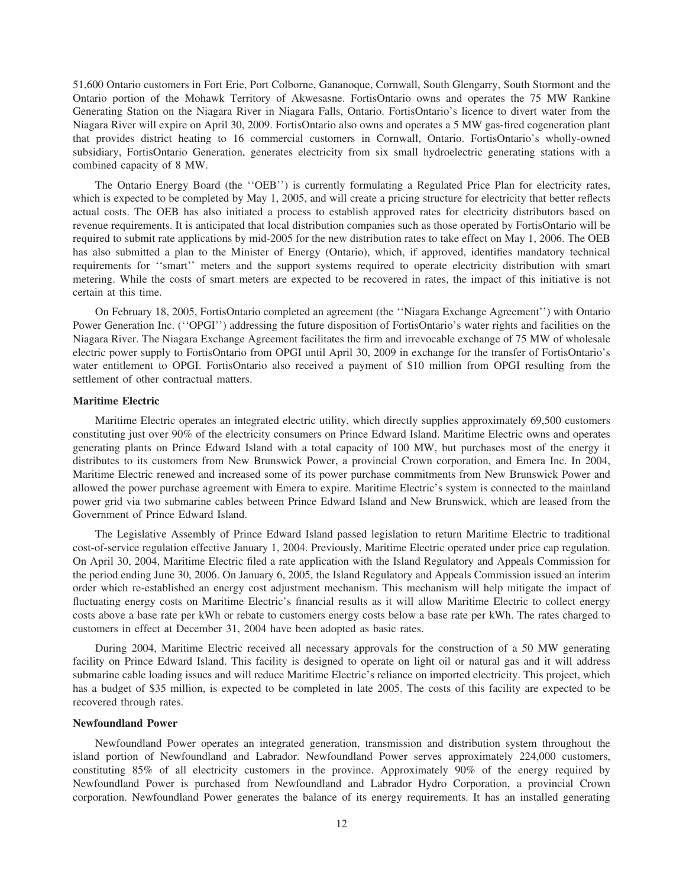51,600 Ontario customers in Fort Erie, Port Colborne, Gananoque, Cornwall, South Glengarry, South Stormont and the Ontario portion of the Mohawk Territory of Akwesasne. FortisOntario owns and operates the 75 MW Rankine Generating Station on the Niagara River in Niagara Falls, Ontario. FortisOntario's licence to divert water from the Niagara River will expire on April 30, 2009. FortisOntario also owns and operates a 5 MW gas-fired cogeneration plant that provides district heating to 16 commercial customers in Cornwall, Ontario. FortisOntario's wholly-owned subsidiary, FortisOntario Generation, generates electricity from six small hydroelectric generating stations with a combined capacity of 8 MW.

The Ontario Energy Board (the ''OEB'') is currently formulating a Regulated Price Plan for electricity rates, which is expected to be completed by May 1, 2005, and will create a pricing structure for electricity that better reflects actual costs. The OEB has also initiated a process to establish approved rates for electricity distributors based on revenue requirements. It is anticipated that local distribution companies such as those operated by FortisOntario will be required to submit rate applications by mid-2005 for the new distribution rates to take effect on May 1, 2006. The OEB has also submitted a plan to the Minister of Energy (Ontario), which, if approved, identifies mandatory technical requirements for ''smart'' meters and the support systems required to operate electricity distribution with smart metering. While the costs of smart meters are expected to be recovered in rates, the impact of this initiative is not certain at this time.

On February 18, 2005, FortisOntario completed an agreement (the ''Niagara Exchange Agreement'') with Ontario Power Generation Inc. (''OPGI'') addressing the future disposition of FortisOntario's water rights and facilities on the Niagara River. The Niagara Exchange Agreement facilitates the firm and irrevocable exchange of 75 MW of wholesale electric power supply to FortisOntario from OPGI until April 30, 2009 in exchange for the transfer of FortisOntario's water entitlement to OPGI. FortisOntario also received a payment of \$10 million from OPGI resulting from the settlement of other contractual matters.

# **Maritime Electric**

Maritime Electric operates an integrated electric utility, which directly supplies approximately 69,500 customers constituting just over 90% of the electricity consumers on Prince Edward Island. Maritime Electric owns and operates generating plants on Prince Edward Island with a total capacity of 100 MW, but purchases most of the energy it distributes to its customers from New Brunswick Power, a provincial Crown corporation, and Emera Inc. In 2004, Maritime Electric renewed and increased some of its power purchase commitments from New Brunswick Power and allowed the power purchase agreement with Emera to expire. Maritime Electric's system is connected to the mainland power grid via two submarine cables between Prince Edward Island and New Brunswick, which are leased from the Government of Prince Edward Island.

The Legislative Assembly of Prince Edward Island passed legislation to return Maritime Electric to traditional cost-of-service regulation effective January 1, 2004. Previously, Maritime Electric operated under price cap regulation. On April 30, 2004, Maritime Electric filed a rate application with the Island Regulatory and Appeals Commission for the period ending June 30, 2006. On January 6, 2005, the Island Regulatory and Appeals Commission issued an interim order which re-established an energy cost adjustment mechanism. This mechanism will help mitigate the impact of fluctuating energy costs on Maritime Electric's financial results as it will allow Maritime Electric to collect energy costs above a base rate per kWh or rebate to customers energy costs below a base rate per kWh. The rates charged to customers in effect at December 31, 2004 have been adopted as basic rates.

During 2004, Maritime Electric received all necessary approvals for the construction of a 50 MW generating facility on Prince Edward Island. This facility is designed to operate on light oil or natural gas and it will address submarine cable loading issues and will reduce Maritime Electric's reliance on imported electricity. This project, which has a budget of \$35 million, is expected to be completed in late 2005. The costs of this facility are expected to be recovered through rates.

## **Newfoundland Power**

Newfoundland Power operates an integrated generation, transmission and distribution system throughout the island portion of Newfoundland and Labrador. Newfoundland Power serves approximately 224,000 customers, constituting 85% of all electricity customers in the province. Approximately 90% of the energy required by Newfoundland Power is purchased from Newfoundland and Labrador Hydro Corporation, a provincial Crown corporation. Newfoundland Power generates the balance of its energy requirements. It has an installed generating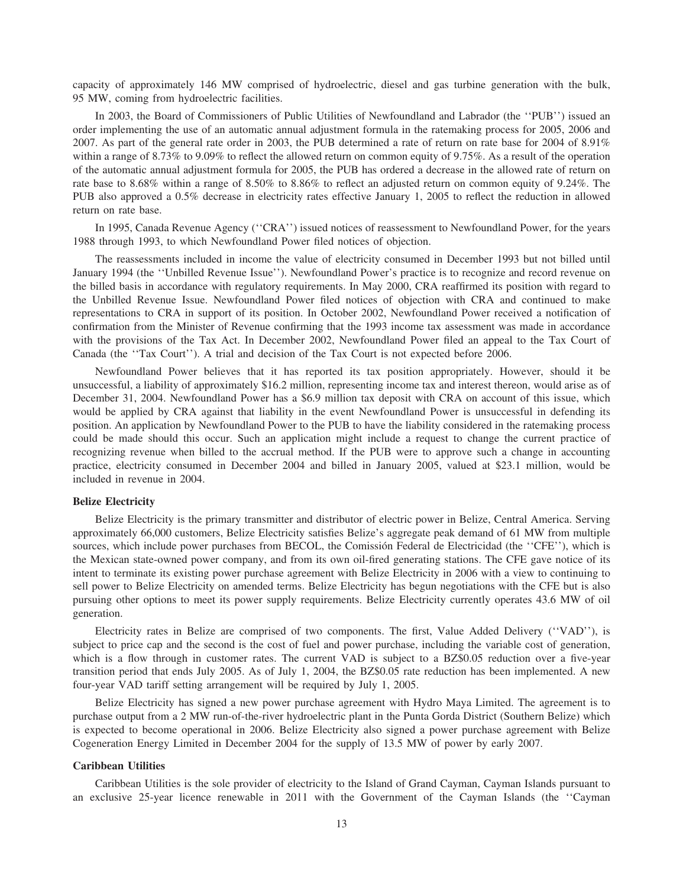capacity of approximately 146 MW comprised of hydroelectric, diesel and gas turbine generation with the bulk, 95 MW, coming from hydroelectric facilities.

In 2003, the Board of Commissioners of Public Utilities of Newfoundland and Labrador (the ''PUB'') issued an order implementing the use of an automatic annual adjustment formula in the ratemaking process for 2005, 2006 and 2007. As part of the general rate order in 2003, the PUB determined a rate of return on rate base for 2004 of 8.91% within a range of 8.73% to 9.09% to reflect the allowed return on common equity of 9.75%. As a result of the operation of the automatic annual adjustment formula for 2005, the PUB has ordered a decrease in the allowed rate of return on rate base to 8.68% within a range of 8.50% to 8.86% to reflect an adjusted return on common equity of 9.24%. The PUB also approved a 0.5% decrease in electricity rates effective January 1, 2005 to reflect the reduction in allowed return on rate base.

In 1995, Canada Revenue Agency (''CRA'') issued notices of reassessment to Newfoundland Power, for the years 1988 through 1993, to which Newfoundland Power filed notices of objection.

The reassessments included in income the value of electricity consumed in December 1993 but not billed until January 1994 (the ''Unbilled Revenue Issue''). Newfoundland Power's practice is to recognize and record revenue on the billed basis in accordance with regulatory requirements. In May 2000, CRA reaffirmed its position with regard to the Unbilled Revenue Issue. Newfoundland Power filed notices of objection with CRA and continued to make representations to CRA in support of its position. In October 2002, Newfoundland Power received a notification of confirmation from the Minister of Revenue confirming that the 1993 income tax assessment was made in accordance with the provisions of the Tax Act. In December 2002, Newfoundland Power filed an appeal to the Tax Court of Canada (the ''Tax Court''). A trial and decision of the Tax Court is not expected before 2006.

Newfoundland Power believes that it has reported its tax position appropriately. However, should it be unsuccessful, a liability of approximately \$16.2 million, representing income tax and interest thereon, would arise as of December 31, 2004. Newfoundland Power has a \$6.9 million tax deposit with CRA on account of this issue, which would be applied by CRA against that liability in the event Newfoundland Power is unsuccessful in defending its position. An application by Newfoundland Power to the PUB to have the liability considered in the ratemaking process could be made should this occur. Such an application might include a request to change the current practice of recognizing revenue when billed to the accrual method. If the PUB were to approve such a change in accounting practice, electricity consumed in December 2004 and billed in January 2005, valued at \$23.1 million, would be included in revenue in 2004.

## **Belize Electricity**

Belize Electricity is the primary transmitter and distributor of electric power in Belize, Central America. Serving approximately 66,000 customers, Belize Electricity satisfies Belize's aggregate peak demand of 61 MW from multiple sources, which include power purchases from BECOL, the Comissión Federal de Electricidad (the "CFE"), which is the Mexican state-owned power company, and from its own oil-fired generating stations. The CFE gave notice of its intent to terminate its existing power purchase agreement with Belize Electricity in 2006 with a view to continuing to sell power to Belize Electricity on amended terms. Belize Electricity has begun negotiations with the CFE but is also pursuing other options to meet its power supply requirements. Belize Electricity currently operates 43.6 MW of oil generation.

Electricity rates in Belize are comprised of two components. The first, Value Added Delivery (''VAD''), is subject to price cap and the second is the cost of fuel and power purchase, including the variable cost of generation, which is a flow through in customer rates. The current VAD is subject to a BZ\$0.05 reduction over a five-year transition period that ends July 2005. As of July 1, 2004, the BZ\$0.05 rate reduction has been implemented. A new four-year VAD tariff setting arrangement will be required by July 1, 2005.

Belize Electricity has signed a new power purchase agreement with Hydro Maya Limited. The agreement is to purchase output from a 2 MW run-of-the-river hydroelectric plant in the Punta Gorda District (Southern Belize) which is expected to become operational in 2006. Belize Electricity also signed a power purchase agreement with Belize Cogeneration Energy Limited in December 2004 for the supply of 13.5 MW of power by early 2007.

# **Caribbean Utilities**

Caribbean Utilities is the sole provider of electricity to the Island of Grand Cayman, Cayman Islands pursuant to an exclusive 25-year licence renewable in 2011 with the Government of the Cayman Islands (the ''Cayman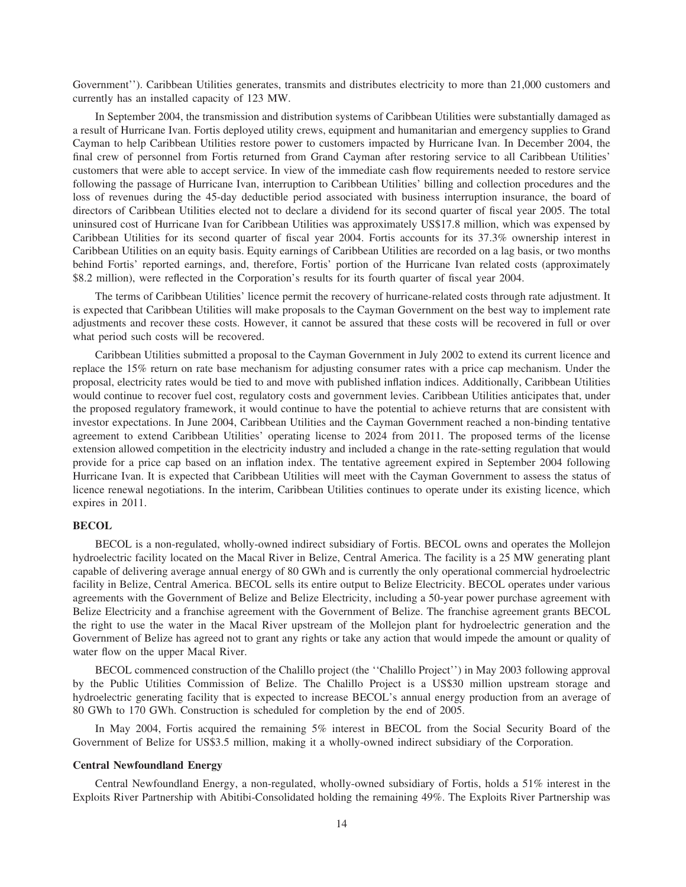Government''). Caribbean Utilities generates, transmits and distributes electricity to more than 21,000 customers and currently has an installed capacity of 123 MW.

In September 2004, the transmission and distribution systems of Caribbean Utilities were substantially damaged as a result of Hurricane Ivan. Fortis deployed utility crews, equipment and humanitarian and emergency supplies to Grand Cayman to help Caribbean Utilities restore power to customers impacted by Hurricane Ivan. In December 2004, the final crew of personnel from Fortis returned from Grand Cayman after restoring service to all Caribbean Utilities' customers that were able to accept service. In view of the immediate cash flow requirements needed to restore service following the passage of Hurricane Ivan, interruption to Caribbean Utilities' billing and collection procedures and the loss of revenues during the 45-day deductible period associated with business interruption insurance, the board of directors of Caribbean Utilities elected not to declare a dividend for its second quarter of fiscal year 2005. The total uninsured cost of Hurricane Ivan for Caribbean Utilities was approximately US\$17.8 million, which was expensed by Caribbean Utilities for its second quarter of fiscal year 2004. Fortis accounts for its 37.3% ownership interest in Caribbean Utilities on an equity basis. Equity earnings of Caribbean Utilities are recorded on a lag basis, or two months behind Fortis' reported earnings, and, therefore, Fortis' portion of the Hurricane Ivan related costs (approximately \$8.2 million), were reflected in the Corporation's results for its fourth quarter of fiscal year 2004.

The terms of Caribbean Utilities' licence permit the recovery of hurricane-related costs through rate adjustment. It is expected that Caribbean Utilities will make proposals to the Cayman Government on the best way to implement rate adjustments and recover these costs. However, it cannot be assured that these costs will be recovered in full or over what period such costs will be recovered.

Caribbean Utilities submitted a proposal to the Cayman Government in July 2002 to extend its current licence and replace the 15% return on rate base mechanism for adjusting consumer rates with a price cap mechanism. Under the proposal, electricity rates would be tied to and move with published inflation indices. Additionally, Caribbean Utilities would continue to recover fuel cost, regulatory costs and government levies. Caribbean Utilities anticipates that, under the proposed regulatory framework, it would continue to have the potential to achieve returns that are consistent with investor expectations. In June 2004, Caribbean Utilities and the Cayman Government reached a non-binding tentative agreement to extend Caribbean Utilities' operating license to 2024 from 2011. The proposed terms of the license extension allowed competition in the electricity industry and included a change in the rate-setting regulation that would provide for a price cap based on an inflation index. The tentative agreement expired in September 2004 following Hurricane Ivan. It is expected that Caribbean Utilities will meet with the Cayman Government to assess the status of licence renewal negotiations. In the interim, Caribbean Utilities continues to operate under its existing licence, which expires in 2011.

# **BECOL**

BECOL is a non-regulated, wholly-owned indirect subsidiary of Fortis. BECOL owns and operates the Mollejon hydroelectric facility located on the Macal River in Belize, Central America. The facility is a 25 MW generating plant capable of delivering average annual energy of 80 GWh and is currently the only operational commercial hydroelectric facility in Belize, Central America. BECOL sells its entire output to Belize Electricity. BECOL operates under various agreements with the Government of Belize and Belize Electricity, including a 50-year power purchase agreement with Belize Electricity and a franchise agreement with the Government of Belize. The franchise agreement grants BECOL the right to use the water in the Macal River upstream of the Mollejon plant for hydroelectric generation and the Government of Belize has agreed not to grant any rights or take any action that would impede the amount or quality of water flow on the upper Macal River.

BECOL commenced construction of the Chalillo project (the ''Chalillo Project'') in May 2003 following approval by the Public Utilities Commission of Belize. The Chalillo Project is a US\$30 million upstream storage and hydroelectric generating facility that is expected to increase BECOL's annual energy production from an average of 80 GWh to 170 GWh. Construction is scheduled for completion by the end of 2005.

In May 2004, Fortis acquired the remaining 5% interest in BECOL from the Social Security Board of the Government of Belize for US\$3.5 million, making it a wholly-owned indirect subsidiary of the Corporation.

# **Central Newfoundland Energy**

Central Newfoundland Energy, a non-regulated, wholly-owned subsidiary of Fortis, holds a 51% interest in the Exploits River Partnership with Abitibi-Consolidated holding the remaining 49%. The Exploits River Partnership was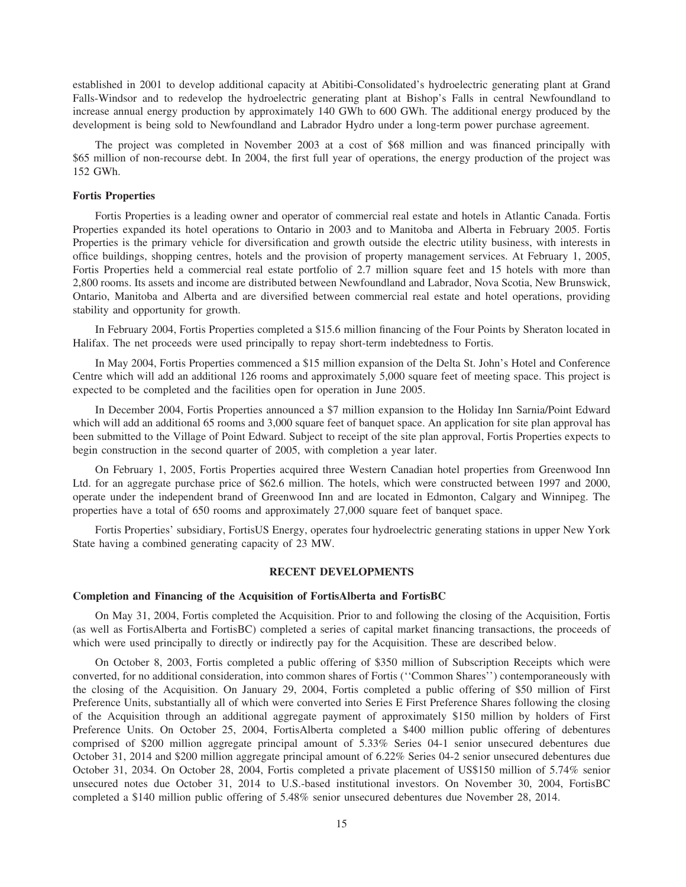established in 2001 to develop additional capacity at Abitibi-Consolidated's hydroelectric generating plant at Grand Falls-Windsor and to redevelop the hydroelectric generating plant at Bishop's Falls in central Newfoundland to increase annual energy production by approximately 140 GWh to 600 GWh. The additional energy produced by the development is being sold to Newfoundland and Labrador Hydro under a long-term power purchase agreement.

The project was completed in November 2003 at a cost of \$68 million and was financed principally with \$65 million of non-recourse debt. In 2004, the first full year of operations, the energy production of the project was 152 GWh.

# **Fortis Properties**

Fortis Properties is a leading owner and operator of commercial real estate and hotels in Atlantic Canada. Fortis Properties expanded its hotel operations to Ontario in 2003 and to Manitoba and Alberta in February 2005. Fortis Properties is the primary vehicle for diversification and growth outside the electric utility business, with interests in office buildings, shopping centres, hotels and the provision of property management services. At February 1, 2005, Fortis Properties held a commercial real estate portfolio of 2.7 million square feet and 15 hotels with more than 2,800 rooms. Its assets and income are distributed between Newfoundland and Labrador, Nova Scotia, New Brunswick, Ontario, Manitoba and Alberta and are diversified between commercial real estate and hotel operations, providing stability and opportunity for growth.

In February 2004, Fortis Properties completed a \$15.6 million financing of the Four Points by Sheraton located in Halifax. The net proceeds were used principally to repay short-term indebtedness to Fortis.

In May 2004, Fortis Properties commenced a \$15 million expansion of the Delta St. John's Hotel and Conference Centre which will add an additional 126 rooms and approximately 5,000 square feet of meeting space. This project is expected to be completed and the facilities open for operation in June 2005.

In December 2004, Fortis Properties announced a \$7 million expansion to the Holiday Inn Sarnia/Point Edward which will add an additional 65 rooms and 3,000 square feet of banquet space. An application for site plan approval has been submitted to the Village of Point Edward. Subject to receipt of the site plan approval, Fortis Properties expects to begin construction in the second quarter of 2005, with completion a year later.

On February 1, 2005, Fortis Properties acquired three Western Canadian hotel properties from Greenwood Inn Ltd. for an aggregate purchase price of \$62.6 million. The hotels, which were constructed between 1997 and 2000, operate under the independent brand of Greenwood Inn and are located in Edmonton, Calgary and Winnipeg. The properties have a total of 650 rooms and approximately 27,000 square feet of banquet space.

Fortis Properties' subsidiary, FortisUS Energy, operates four hydroelectric generating stations in upper New York State having a combined generating capacity of 23 MW.

# **RECENT DEVELOPMENTS**

# **Completion and Financing of the Acquisition of FortisAlberta and FortisBC**

On May 31, 2004, Fortis completed the Acquisition. Prior to and following the closing of the Acquisition, Fortis (as well as FortisAlberta and FortisBC) completed a series of capital market financing transactions, the proceeds of which were used principally to directly or indirectly pay for the Acquisition. These are described below.

On October 8, 2003, Fortis completed a public offering of \$350 million of Subscription Receipts which were converted, for no additional consideration, into common shares of Fortis (''Common Shares'') contemporaneously with the closing of the Acquisition. On January 29, 2004, Fortis completed a public offering of \$50 million of First Preference Units, substantially all of which were converted into Series E First Preference Shares following the closing of the Acquisition through an additional aggregate payment of approximately \$150 million by holders of First Preference Units. On October 25, 2004, FortisAlberta completed a \$400 million public offering of debentures comprised of \$200 million aggregate principal amount of 5.33% Series 04-1 senior unsecured debentures due October 31, 2014 and \$200 million aggregate principal amount of 6.22% Series 04-2 senior unsecured debentures due October 31, 2034. On October 28, 2004, Fortis completed a private placement of US\$150 million of 5.74% senior unsecured notes due October 31, 2014 to U.S.-based institutional investors. On November 30, 2004, FortisBC completed a \$140 million public offering of 5.48% senior unsecured debentures due November 28, 2014.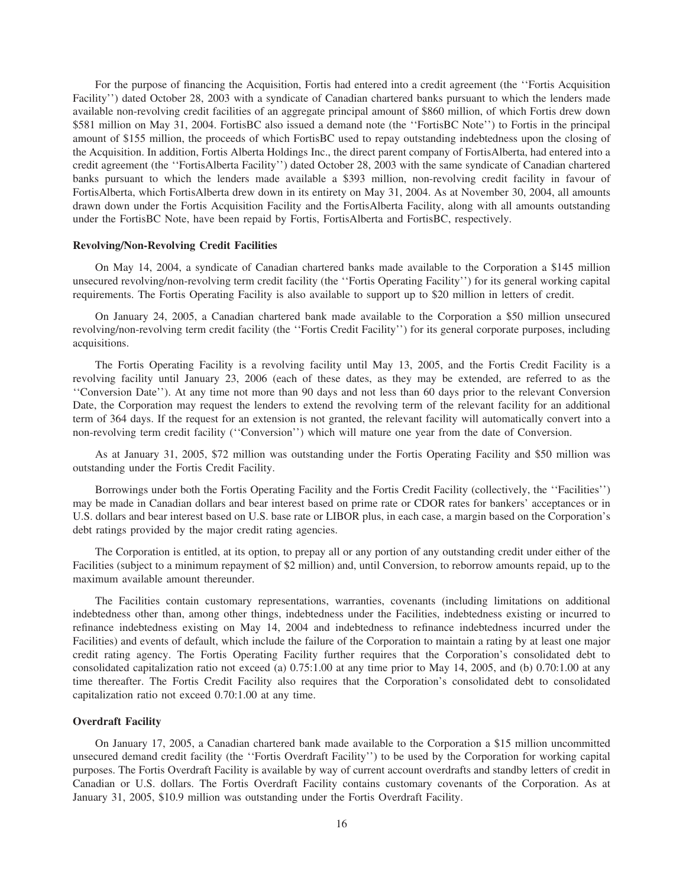For the purpose of financing the Acquisition, Fortis had entered into a credit agreement (the ''Fortis Acquisition Facility'') dated October 28, 2003 with a syndicate of Canadian chartered banks pursuant to which the lenders made available non-revolving credit facilities of an aggregate principal amount of \$860 million, of which Fortis drew down \$581 million on May 31, 2004. FortisBC also issued a demand note (the ''FortisBC Note'') to Fortis in the principal amount of \$155 million, the proceeds of which FortisBC used to repay outstanding indebtedness upon the closing of the Acquisition. In addition, Fortis Alberta Holdings Inc., the direct parent company of FortisAlberta, had entered into a credit agreement (the ''FortisAlberta Facility'') dated October 28, 2003 with the same syndicate of Canadian chartered banks pursuant to which the lenders made available a \$393 million, non-revolving credit facility in favour of FortisAlberta, which FortisAlberta drew down in its entirety on May 31, 2004. As at November 30, 2004, all amounts drawn down under the Fortis Acquisition Facility and the FortisAlberta Facility, along with all amounts outstanding under the FortisBC Note, have been repaid by Fortis, FortisAlberta and FortisBC, respectively.

# **Revolving/Non-Revolving Credit Facilities**

On May 14, 2004, a syndicate of Canadian chartered banks made available to the Corporation a \$145 million unsecured revolving/non-revolving term credit facility (the ''Fortis Operating Facility'') for its general working capital requirements. The Fortis Operating Facility is also available to support up to \$20 million in letters of credit.

On January 24, 2005, a Canadian chartered bank made available to the Corporation a \$50 million unsecured revolving/non-revolving term credit facility (the ''Fortis Credit Facility'') for its general corporate purposes, including acquisitions.

The Fortis Operating Facility is a revolving facility until May 13, 2005, and the Fortis Credit Facility is a revolving facility until January 23, 2006 (each of these dates, as they may be extended, are referred to as the ''Conversion Date''). At any time not more than 90 days and not less than 60 days prior to the relevant Conversion Date, the Corporation may request the lenders to extend the revolving term of the relevant facility for an additional term of 364 days. If the request for an extension is not granted, the relevant facility will automatically convert into a non-revolving term credit facility (''Conversion'') which will mature one year from the date of Conversion.

As at January 31, 2005, \$72 million was outstanding under the Fortis Operating Facility and \$50 million was outstanding under the Fortis Credit Facility.

Borrowings under both the Fortis Operating Facility and the Fortis Credit Facility (collectively, the ''Facilities'') may be made in Canadian dollars and bear interest based on prime rate or CDOR rates for bankers' acceptances or in U.S. dollars and bear interest based on U.S. base rate or LIBOR plus, in each case, a margin based on the Corporation's debt ratings provided by the major credit rating agencies.

The Corporation is entitled, at its option, to prepay all or any portion of any outstanding credit under either of the Facilities (subject to a minimum repayment of \$2 million) and, until Conversion, to reborrow amounts repaid, up to the maximum available amount thereunder.

The Facilities contain customary representations, warranties, covenants (including limitations on additional indebtedness other than, among other things, indebtedness under the Facilities, indebtedness existing or incurred to refinance indebtedness existing on May 14, 2004 and indebtedness to refinance indebtedness incurred under the Facilities) and events of default, which include the failure of the Corporation to maintain a rating by at least one major credit rating agency. The Fortis Operating Facility further requires that the Corporation's consolidated debt to consolidated capitalization ratio not exceed (a) 0.75:1.00 at any time prior to May 14, 2005, and (b) 0.70:1.00 at any time thereafter. The Fortis Credit Facility also requires that the Corporation's consolidated debt to consolidated capitalization ratio not exceed 0.70:1.00 at any time.

# **Overdraft Facility**

On January 17, 2005, a Canadian chartered bank made available to the Corporation a \$15 million uncommitted unsecured demand credit facility (the ''Fortis Overdraft Facility'') to be used by the Corporation for working capital purposes. The Fortis Overdraft Facility is available by way of current account overdrafts and standby letters of credit in Canadian or U.S. dollars. The Fortis Overdraft Facility contains customary covenants of the Corporation. As at January 31, 2005, \$10.9 million was outstanding under the Fortis Overdraft Facility.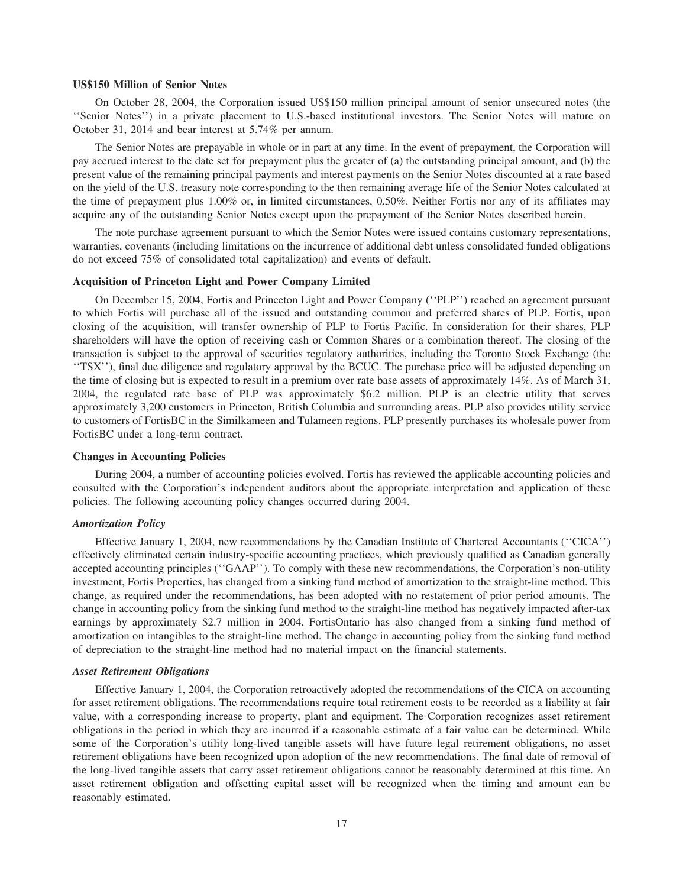# **US\$150 Million of Senior Notes**

On October 28, 2004, the Corporation issued US\$150 million principal amount of senior unsecured notes (the ''Senior Notes'') in a private placement to U.S.-based institutional investors. The Senior Notes will mature on October 31, 2014 and bear interest at 5.74% per annum.

The Senior Notes are prepayable in whole or in part at any time. In the event of prepayment, the Corporation will pay accrued interest to the date set for prepayment plus the greater of (a) the outstanding principal amount, and (b) the present value of the remaining principal payments and interest payments on the Senior Notes discounted at a rate based on the yield of the U.S. treasury note corresponding to the then remaining average life of the Senior Notes calculated at the time of prepayment plus 1.00% or, in limited circumstances, 0.50%. Neither Fortis nor any of its affiliates may acquire any of the outstanding Senior Notes except upon the prepayment of the Senior Notes described herein.

The note purchase agreement pursuant to which the Senior Notes were issued contains customary representations, warranties, covenants (including limitations on the incurrence of additional debt unless consolidated funded obligations do not exceed 75% of consolidated total capitalization) and events of default.

# **Acquisition of Princeton Light and Power Company Limited**

On December 15, 2004, Fortis and Princeton Light and Power Company (''PLP'') reached an agreement pursuant to which Fortis will purchase all of the issued and outstanding common and preferred shares of PLP. Fortis, upon closing of the acquisition, will transfer ownership of PLP to Fortis Pacific. In consideration for their shares, PLP shareholders will have the option of receiving cash or Common Shares or a combination thereof. The closing of the transaction is subject to the approval of securities regulatory authorities, including the Toronto Stock Exchange (the ''TSX''), final due diligence and regulatory approval by the BCUC. The purchase price will be adjusted depending on the time of closing but is expected to result in a premium over rate base assets of approximately 14%. As of March 31, 2004, the regulated rate base of PLP was approximately \$6.2 million. PLP is an electric utility that serves approximately 3,200 customers in Princeton, British Columbia and surrounding areas. PLP also provides utility service to customers of FortisBC in the Similkameen and Tulameen regions. PLP presently purchases its wholesale power from FortisBC under a long-term contract.

# **Changes in Accounting Policies**

During 2004, a number of accounting policies evolved. Fortis has reviewed the applicable accounting policies and consulted with the Corporation's independent auditors about the appropriate interpretation and application of these policies. The following accounting policy changes occurred during 2004.

# *Amortization Policy*

Effective January 1, 2004, new recommendations by the Canadian Institute of Chartered Accountants (''CICA'') effectively eliminated certain industry-specific accounting practices, which previously qualified as Canadian generally accepted accounting principles (''GAAP''). To comply with these new recommendations, the Corporation's non-utility investment, Fortis Properties, has changed from a sinking fund method of amortization to the straight-line method. This change, as required under the recommendations, has been adopted with no restatement of prior period amounts. The change in accounting policy from the sinking fund method to the straight-line method has negatively impacted after-tax earnings by approximately \$2.7 million in 2004. FortisOntario has also changed from a sinking fund method of amortization on intangibles to the straight-line method. The change in accounting policy from the sinking fund method of depreciation to the straight-line method had no material impact on the financial statements.

# *Asset Retirement Obligations*

Effective January 1, 2004, the Corporation retroactively adopted the recommendations of the CICA on accounting for asset retirement obligations. The recommendations require total retirement costs to be recorded as a liability at fair value, with a corresponding increase to property, plant and equipment. The Corporation recognizes asset retirement obligations in the period in which they are incurred if a reasonable estimate of a fair value can be determined. While some of the Corporation's utility long-lived tangible assets will have future legal retirement obligations, no asset retirement obligations have been recognized upon adoption of the new recommendations. The final date of removal of the long-lived tangible assets that carry asset retirement obligations cannot be reasonably determined at this time. An asset retirement obligation and offsetting capital asset will be recognized when the timing and amount can be reasonably estimated.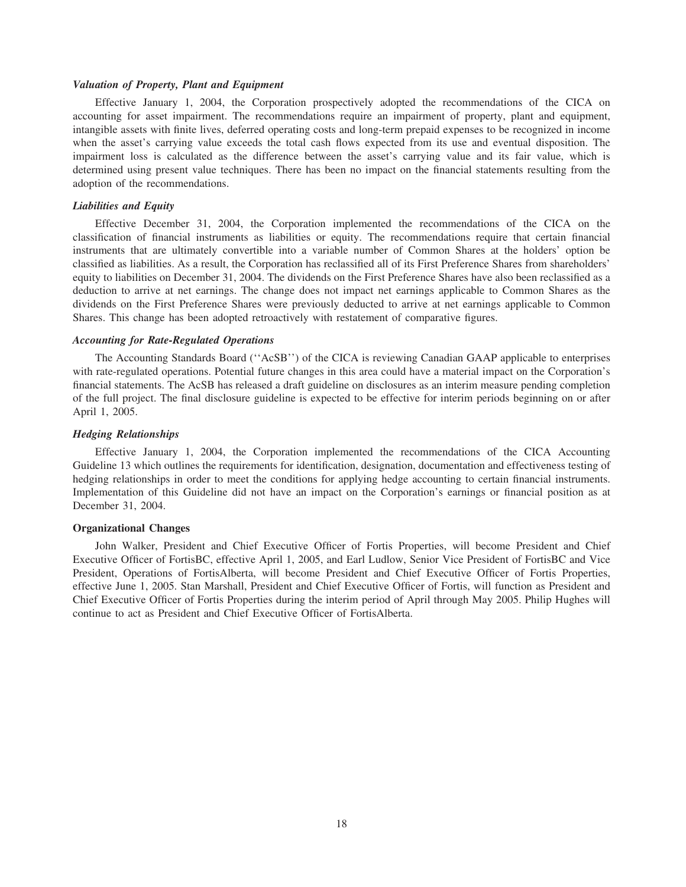# *Valuation of Property, Plant and Equipment*

Effective January 1, 2004, the Corporation prospectively adopted the recommendations of the CICA on accounting for asset impairment. The recommendations require an impairment of property, plant and equipment, intangible assets with finite lives, deferred operating costs and long-term prepaid expenses to be recognized in income when the asset's carrying value exceeds the total cash flows expected from its use and eventual disposition. The impairment loss is calculated as the difference between the asset's carrying value and its fair value, which is determined using present value techniques. There has been no impact on the financial statements resulting from the adoption of the recommendations.

# *Liabilities and Equity*

Effective December 31, 2004, the Corporation implemented the recommendations of the CICA on the classification of financial instruments as liabilities or equity. The recommendations require that certain financial instruments that are ultimately convertible into a variable number of Common Shares at the holders' option be classified as liabilities. As a result, the Corporation has reclassified all of its First Preference Shares from shareholders' equity to liabilities on December 31, 2004. The dividends on the First Preference Shares have also been reclassified as a deduction to arrive at net earnings. The change does not impact net earnings applicable to Common Shares as the dividends on the First Preference Shares were previously deducted to arrive at net earnings applicable to Common Shares. This change has been adopted retroactively with restatement of comparative figures.

# *Accounting for Rate-Regulated Operations*

The Accounting Standards Board (''AcSB'') of the CICA is reviewing Canadian GAAP applicable to enterprises with rate-regulated operations. Potential future changes in this area could have a material impact on the Corporation's financial statements. The AcSB has released a draft guideline on disclosures as an interim measure pending completion of the full project. The final disclosure guideline is expected to be effective for interim periods beginning on or after April 1, 2005.

## *Hedging Relationships*

Effective January 1, 2004, the Corporation implemented the recommendations of the CICA Accounting Guideline 13 which outlines the requirements for identification, designation, documentation and effectiveness testing of hedging relationships in order to meet the conditions for applying hedge accounting to certain financial instruments. Implementation of this Guideline did not have an impact on the Corporation's earnings or financial position as at December 31, 2004.

# **Organizational Changes**

John Walker, President and Chief Executive Officer of Fortis Properties, will become President and Chief Executive Officer of FortisBC, effective April 1, 2005, and Earl Ludlow, Senior Vice President of FortisBC and Vice President, Operations of FortisAlberta, will become President and Chief Executive Officer of Fortis Properties, effective June 1, 2005. Stan Marshall, President and Chief Executive Officer of Fortis, will function as President and Chief Executive Officer of Fortis Properties during the interim period of April through May 2005. Philip Hughes will continue to act as President and Chief Executive Officer of FortisAlberta.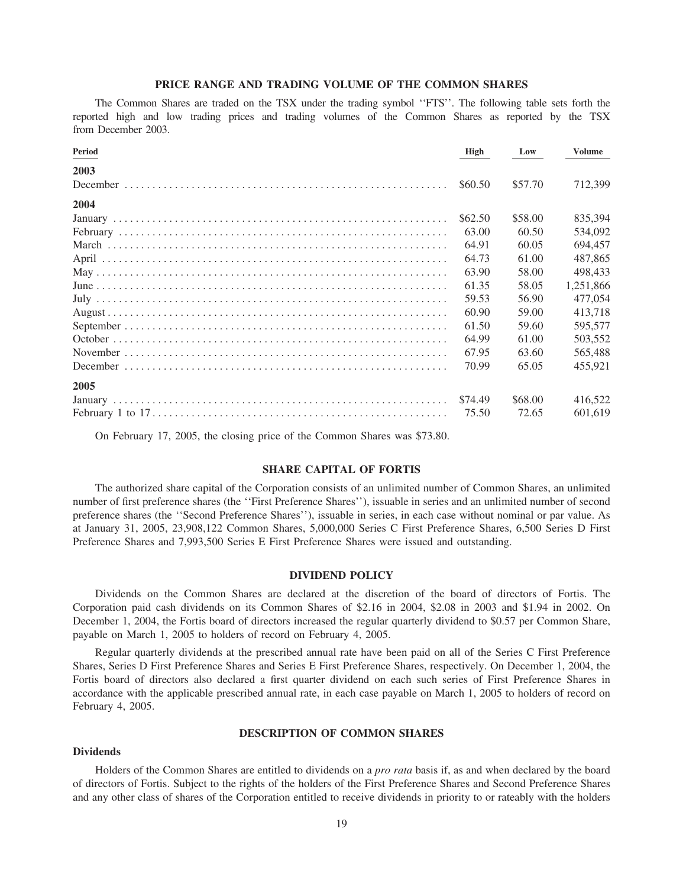# PRICE RANGE AND TRADING VOLUME OF THE COMMON SHARES

The Common Shares are traded on the TSX under the trading symbol "FTS". The following table sets forth the reported high and low trading prices and trading volumes of the Common Shares as reported by the TSX from December 2003.

| Period | High    | Low     | Volume    |
|--------|---------|---------|-----------|
| 2003   |         |         |           |
|        | \$60.50 | \$57.70 | 712.399   |
| 2004   |         |         |           |
|        | \$62.50 | \$58.00 | 835.394   |
|        | 63.00   | 60.50   | 534.092   |
|        | 64.91   | 60.05   | 694.457   |
|        | 64.73   | 61.00   | 487,865   |
|        | 63.90   | 58.00   | 498,433   |
|        | 61.35   | 58.05   | 1.251.866 |
|        | 59.53   | 56.90   | 477,054   |
|        | 60.90   | 59.00   | 413.718   |
|        | 61.50   | 59.60   | 595,577   |
|        | 64.99   | 61.00   | 503,552   |
|        | 67.95   | 63.60   | 565,488   |
|        | 70.99   | 65.05   | 455.921   |
| 2005   |         |         |           |
|        | \$74.49 | \$68.00 | 416,522   |
|        | 75.50   | 72.65   | 601.619   |

On February 17, 2005, the closing price of the Common Shares was \$73.80.

# **SHARE CAPITAL OF FORTIS**

The authorized share capital of the Corporation consists of an unlimited number of Common Shares, an unlimited number of first preference shares (the "First Preference Shares"), issuable in series and an unlimited number of second preference shares (the "Second Preference Shares"), issuable in series, in each case without nominal or par value. As at January 31, 2005, 23,908,122 Common Shares, 5,000,000 Series C First Preference Shares, 6,500 Series D First Preference Shares and 7,993,500 Series E First Preference Shares were issued and outstanding.

#### **DIVIDEND POLICY**

Dividends on the Common Shares are declared at the discretion of the board of directors of Fortis. The Corporation paid cash dividends on its Common Shares of \$2.16 in 2004, \$2.08 in 2003 and \$1.94 in 2002. On December 1, 2004, the Fortis board of directors increased the regular quarterly dividend to \$0.57 per Common Share, payable on March 1, 2005 to holders of record on February 4, 2005.

Regular quarterly dividends at the prescribed annual rate have been paid on all of the Series C First Preference Shares, Series D First Preference Shares and Series E First Preference Shares, respectively. On December 1, 2004, the Fortis board of directors also declared a first quarter dividend on each such series of First Preference Shares in accordance with the applicable prescribed annual rate, in each case payable on March 1, 2005 to holders of record on February 4, 2005.

# **DESCRIPTION OF COMMON SHARES**

# **Dividends**

Holders of the Common Shares are entitled to dividends on a *pro rata* basis if, as and when declared by the board of directors of Fortis. Subject to the rights of the holders of the First Preference Shares and Second Preference Shares and any other class of shares of the Corporation entitled to receive dividends in priority to or rateably with the holders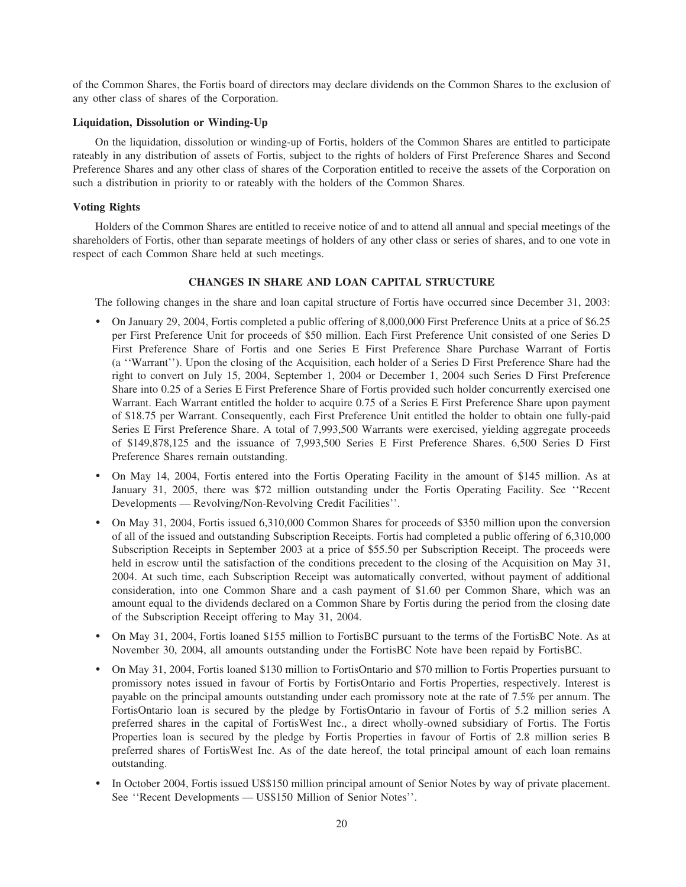of the Common Shares, the Fortis board of directors may declare dividends on the Common Shares to the exclusion of any other class of shares of the Corporation.

# **Liquidation, Dissolution or Winding-Up**

On the liquidation, dissolution or winding-up of Fortis, holders of the Common Shares are entitled to participate rateably in any distribution of assets of Fortis, subject to the rights of holders of First Preference Shares and Second Preference Shares and any other class of shares of the Corporation entitled to receive the assets of the Corporation on such a distribution in priority to or rateably with the holders of the Common Shares.

# **Voting Rights**

Holders of the Common Shares are entitled to receive notice of and to attend all annual and special meetings of the shareholders of Fortis, other than separate meetings of holders of any other class or series of shares, and to one vote in respect of each Common Share held at such meetings.

# **CHANGES IN SHARE AND LOAN CAPITAL STRUCTURE**

The following changes in the share and loan capital structure of Fortis have occurred since December 31, 2003:

- ) On January 29, 2004, Fortis completed a public offering of 8,000,000 First Preference Units at a price of \$6.25 per First Preference Unit for proceeds of \$50 million. Each First Preference Unit consisted of one Series D First Preference Share of Fortis and one Series E First Preference Share Purchase Warrant of Fortis (a ''Warrant''). Upon the closing of the Acquisition, each holder of a Series D First Preference Share had the right to convert on July 15, 2004, September 1, 2004 or December 1, 2004 such Series D First Preference Share into 0.25 of a Series E First Preference Share of Fortis provided such holder concurrently exercised one Warrant. Each Warrant entitled the holder to acquire 0.75 of a Series E First Preference Share upon payment of \$18.75 per Warrant. Consequently, each First Preference Unit entitled the holder to obtain one fully-paid Series E First Preference Share. A total of 7,993,500 Warrants were exercised, yielding aggregate proceeds of \$149,878,125 and the issuance of 7,993,500 Series E First Preference Shares. 6,500 Series D First Preference Shares remain outstanding.
- ) On May 14, 2004, Fortis entered into the Fortis Operating Facility in the amount of \$145 million. As at January 31, 2005, there was \$72 million outstanding under the Fortis Operating Facility. See ''Recent Developments — Revolving/Non-Revolving Credit Facilities''.
- On May 31, 2004, Fortis issued 6,310,000 Common Shares for proceeds of \$350 million upon the conversion of all of the issued and outstanding Subscription Receipts. Fortis had completed a public offering of 6,310,000 Subscription Receipts in September 2003 at a price of \$55.50 per Subscription Receipt. The proceeds were held in escrow until the satisfaction of the conditions precedent to the closing of the Acquisition on May 31, 2004. At such time, each Subscription Receipt was automatically converted, without payment of additional consideration, into one Common Share and a cash payment of \$1.60 per Common Share, which was an amount equal to the dividends declared on a Common Share by Fortis during the period from the closing date of the Subscription Receipt offering to May 31, 2004.
- ) On May 31, 2004, Fortis loaned \$155 million to FortisBC pursuant to the terms of the FortisBC Note. As at November 30, 2004, all amounts outstanding under the FortisBC Note have been repaid by FortisBC.
- ) On May 31, 2004, Fortis loaned \$130 million to FortisOntario and \$70 million to Fortis Properties pursuant to promissory notes issued in favour of Fortis by FortisOntario and Fortis Properties, respectively. Interest is payable on the principal amounts outstanding under each promissory note at the rate of 7.5% per annum. The FortisOntario loan is secured by the pledge by FortisOntario in favour of Fortis of 5.2 million series A preferred shares in the capital of FortisWest Inc., a direct wholly-owned subsidiary of Fortis. The Fortis Properties loan is secured by the pledge by Fortis Properties in favour of Fortis of 2.8 million series B preferred shares of FortisWest Inc. As of the date hereof, the total principal amount of each loan remains outstanding.
- ) In October 2004, Fortis issued US\$150 million principal amount of Senior Notes by way of private placement. See ''Recent Developments — US\$150 Million of Senior Notes''.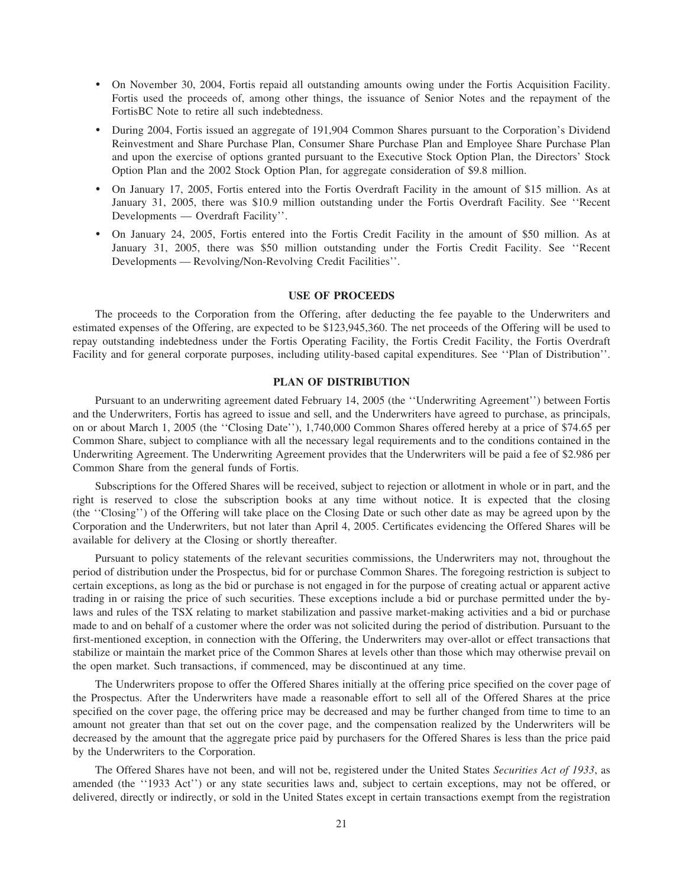- ) On November 30, 2004, Fortis repaid all outstanding amounts owing under the Fortis Acquisition Facility. Fortis used the proceeds of, among other things, the issuance of Senior Notes and the repayment of the FortisBC Note to retire all such indebtedness.
- ) During 2004, Fortis issued an aggregate of 191,904 Common Shares pursuant to the Corporation's Dividend Reinvestment and Share Purchase Plan, Consumer Share Purchase Plan and Employee Share Purchase Plan and upon the exercise of options granted pursuant to the Executive Stock Option Plan, the Directors' Stock Option Plan and the 2002 Stock Option Plan, for aggregate consideration of \$9.8 million.
- ) On January 17, 2005, Fortis entered into the Fortis Overdraft Facility in the amount of \$15 million. As at January 31, 2005, there was \$10.9 million outstanding under the Fortis Overdraft Facility. See ''Recent Developments — Overdraft Facility''.
- ) On January 24, 2005, Fortis entered into the Fortis Credit Facility in the amount of \$50 million. As at January 31, 2005, there was \$50 million outstanding under the Fortis Credit Facility. See ''Recent Developments — Revolving/Non-Revolving Credit Facilities''.

# **USE OF PROCEEDS**

The proceeds to the Corporation from the Offering, after deducting the fee payable to the Underwriters and estimated expenses of the Offering, are expected to be \$123,945,360. The net proceeds of the Offering will be used to repay outstanding indebtedness under the Fortis Operating Facility, the Fortis Credit Facility, the Fortis Overdraft Facility and for general corporate purposes, including utility-based capital expenditures. See ''Plan of Distribution''.

# **PLAN OF DISTRIBUTION**

Pursuant to an underwriting agreement dated February 14, 2005 (the ''Underwriting Agreement'') between Fortis and the Underwriters, Fortis has agreed to issue and sell, and the Underwriters have agreed to purchase, as principals, on or about March 1, 2005 (the ''Closing Date''), 1,740,000 Common Shares offered hereby at a price of \$74.65 per Common Share, subject to compliance with all the necessary legal requirements and to the conditions contained in the Underwriting Agreement. The Underwriting Agreement provides that the Underwriters will be paid a fee of \$2.986 per Common Share from the general funds of Fortis.

Subscriptions for the Offered Shares will be received, subject to rejection or allotment in whole or in part, and the right is reserved to close the subscription books at any time without notice. It is expected that the closing (the ''Closing'') of the Offering will take place on the Closing Date or such other date as may be agreed upon by the Corporation and the Underwriters, but not later than April 4, 2005. Certificates evidencing the Offered Shares will be available for delivery at the Closing or shortly thereafter.

Pursuant to policy statements of the relevant securities commissions, the Underwriters may not, throughout the period of distribution under the Prospectus, bid for or purchase Common Shares. The foregoing restriction is subject to certain exceptions, as long as the bid or purchase is not engaged in for the purpose of creating actual or apparent active trading in or raising the price of such securities. These exceptions include a bid or purchase permitted under the bylaws and rules of the TSX relating to market stabilization and passive market-making activities and a bid or purchase made to and on behalf of a customer where the order was not solicited during the period of distribution. Pursuant to the first-mentioned exception, in connection with the Offering, the Underwriters may over-allot or effect transactions that stabilize or maintain the market price of the Common Shares at levels other than those which may otherwise prevail on the open market. Such transactions, if commenced, may be discontinued at any time.

The Underwriters propose to offer the Offered Shares initially at the offering price specified on the cover page of the Prospectus. After the Underwriters have made a reasonable effort to sell all of the Offered Shares at the price specified on the cover page, the offering price may be decreased and may be further changed from time to time to an amount not greater than that set out on the cover page, and the compensation realized by the Underwriters will be decreased by the amount that the aggregate price paid by purchasers for the Offered Shares is less than the price paid by the Underwriters to the Corporation.

The Offered Shares have not been, and will not be, registered under the United States *Securities Act of 1933*, as amended (the ''1933 Act'') or any state securities laws and, subject to certain exceptions, may not be offered, or delivered, directly or indirectly, or sold in the United States except in certain transactions exempt from the registration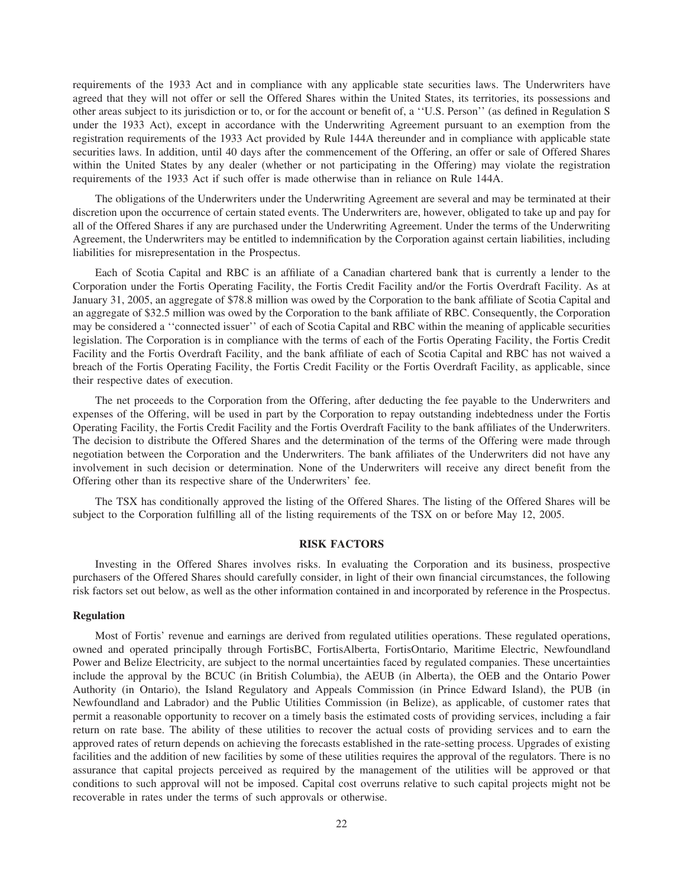requirements of the 1933 Act and in compliance with any applicable state securities laws. The Underwriters have agreed that they will not offer or sell the Offered Shares within the United States, its territories, its possessions and other areas subject to its jurisdiction or to, or for the account or benefit of, a ''U.S. Person'' (as defined in Regulation S under the 1933 Act), except in accordance with the Underwriting Agreement pursuant to an exemption from the registration requirements of the 1933 Act provided by Rule 144A thereunder and in compliance with applicable state securities laws. In addition, until 40 days after the commencement of the Offering, an offer or sale of Offered Shares within the United States by any dealer (whether or not participating in the Offering) may violate the registration requirements of the 1933 Act if such offer is made otherwise than in reliance on Rule 144A.

The obligations of the Underwriters under the Underwriting Agreement are several and may be terminated at their discretion upon the occurrence of certain stated events. The Underwriters are, however, obligated to take up and pay for all of the Offered Shares if any are purchased under the Underwriting Agreement. Under the terms of the Underwriting Agreement, the Underwriters may be entitled to indemnification by the Corporation against certain liabilities, including liabilities for misrepresentation in the Prospectus.

Each of Scotia Capital and RBC is an affiliate of a Canadian chartered bank that is currently a lender to the Corporation under the Fortis Operating Facility, the Fortis Credit Facility and/or the Fortis Overdraft Facility. As at January 31, 2005, an aggregate of \$78.8 million was owed by the Corporation to the bank affiliate of Scotia Capital and an aggregate of \$32.5 million was owed by the Corporation to the bank affiliate of RBC. Consequently, the Corporation may be considered a ''connected issuer'' of each of Scotia Capital and RBC within the meaning of applicable securities legislation. The Corporation is in compliance with the terms of each of the Fortis Operating Facility, the Fortis Credit Facility and the Fortis Overdraft Facility, and the bank affiliate of each of Scotia Capital and RBC has not waived a breach of the Fortis Operating Facility, the Fortis Credit Facility or the Fortis Overdraft Facility, as applicable, since their respective dates of execution.

The net proceeds to the Corporation from the Offering, after deducting the fee payable to the Underwriters and expenses of the Offering, will be used in part by the Corporation to repay outstanding indebtedness under the Fortis Operating Facility, the Fortis Credit Facility and the Fortis Overdraft Facility to the bank affiliates of the Underwriters. The decision to distribute the Offered Shares and the determination of the terms of the Offering were made through negotiation between the Corporation and the Underwriters. The bank affiliates of the Underwriters did not have any involvement in such decision or determination. None of the Underwriters will receive any direct benefit from the Offering other than its respective share of the Underwriters' fee.

The TSX has conditionally approved the listing of the Offered Shares. The listing of the Offered Shares will be subject to the Corporation fulfilling all of the listing requirements of the TSX on or before May 12, 2005.

# **RISK FACTORS**

Investing in the Offered Shares involves risks. In evaluating the Corporation and its business, prospective purchasers of the Offered Shares should carefully consider, in light of their own financial circumstances, the following risk factors set out below, as well as the other information contained in and incorporated by reference in the Prospectus.

# **Regulation**

Most of Fortis' revenue and earnings are derived from regulated utilities operations. These regulated operations, owned and operated principally through FortisBC, FortisAlberta, FortisOntario, Maritime Electric, Newfoundland Power and Belize Electricity, are subject to the normal uncertainties faced by regulated companies. These uncertainties include the approval by the BCUC (in British Columbia), the AEUB (in Alberta), the OEB and the Ontario Power Authority (in Ontario), the Island Regulatory and Appeals Commission (in Prince Edward Island), the PUB (in Newfoundland and Labrador) and the Public Utilities Commission (in Belize), as applicable, of customer rates that permit a reasonable opportunity to recover on a timely basis the estimated costs of providing services, including a fair return on rate base. The ability of these utilities to recover the actual costs of providing services and to earn the approved rates of return depends on achieving the forecasts established in the rate-setting process. Upgrades of existing facilities and the addition of new facilities by some of these utilities requires the approval of the regulators. There is no assurance that capital projects perceived as required by the management of the utilities will be approved or that conditions to such approval will not be imposed. Capital cost overruns relative to such capital projects might not be recoverable in rates under the terms of such approvals or otherwise.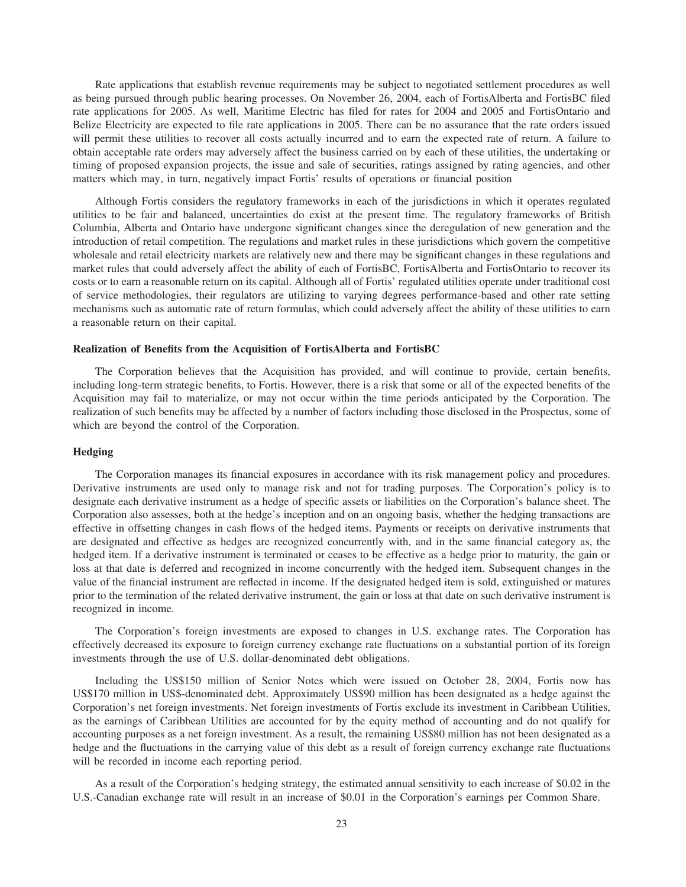Rate applications that establish revenue requirements may be subject to negotiated settlement procedures as well as being pursued through public hearing processes. On November 26, 2004, each of FortisAlberta and FortisBC filed rate applications for 2005. As well, Maritime Electric has filed for rates for 2004 and 2005 and FortisOntario and Belize Electricity are expected to file rate applications in 2005. There can be no assurance that the rate orders issued will permit these utilities to recover all costs actually incurred and to earn the expected rate of return. A failure to obtain acceptable rate orders may adversely affect the business carried on by each of these utilities, the undertaking or timing of proposed expansion projects, the issue and sale of securities, ratings assigned by rating agencies, and other matters which may, in turn, negatively impact Fortis' results of operations or financial position

Although Fortis considers the regulatory frameworks in each of the jurisdictions in which it operates regulated utilities to be fair and balanced, uncertainties do exist at the present time. The regulatory frameworks of British Columbia, Alberta and Ontario have undergone significant changes since the deregulation of new generation and the introduction of retail competition. The regulations and market rules in these jurisdictions which govern the competitive wholesale and retail electricity markets are relatively new and there may be significant changes in these regulations and market rules that could adversely affect the ability of each of FortisBC, FortisAlberta and FortisOntario to recover its costs or to earn a reasonable return on its capital. Although all of Fortis' regulated utilities operate under traditional cost of service methodologies, their regulators are utilizing to varying degrees performance-based and other rate setting mechanisms such as automatic rate of return formulas, which could adversely affect the ability of these utilities to earn a reasonable return on their capital.

# **Realization of Benefits from the Acquisition of FortisAlberta and FortisBC**

The Corporation believes that the Acquisition has provided, and will continue to provide, certain benefits, including long-term strategic benefits, to Fortis. However, there is a risk that some or all of the expected benefits of the Acquisition may fail to materialize, or may not occur within the time periods anticipated by the Corporation. The realization of such benefits may be affected by a number of factors including those disclosed in the Prospectus, some of which are beyond the control of the Corporation.

# **Hedging**

The Corporation manages its financial exposures in accordance with its risk management policy and procedures. Derivative instruments are used only to manage risk and not for trading purposes. The Corporation's policy is to designate each derivative instrument as a hedge of specific assets or liabilities on the Corporation's balance sheet. The Corporation also assesses, both at the hedge's inception and on an ongoing basis, whether the hedging transactions are effective in offsetting changes in cash flows of the hedged items. Payments or receipts on derivative instruments that are designated and effective as hedges are recognized concurrently with, and in the same financial category as, the hedged item. If a derivative instrument is terminated or ceases to be effective as a hedge prior to maturity, the gain or loss at that date is deferred and recognized in income concurrently with the hedged item. Subsequent changes in the value of the financial instrument are reflected in income. If the designated hedged item is sold, extinguished or matures prior to the termination of the related derivative instrument, the gain or loss at that date on such derivative instrument is recognized in income.

The Corporation's foreign investments are exposed to changes in U.S. exchange rates. The Corporation has effectively decreased its exposure to foreign currency exchange rate fluctuations on a substantial portion of its foreign investments through the use of U.S. dollar-denominated debt obligations.

Including the US\$150 million of Senior Notes which were issued on October 28, 2004, Fortis now has US\$170 million in US\$-denominated debt. Approximately US\$90 million has been designated as a hedge against the Corporation's net foreign investments. Net foreign investments of Fortis exclude its investment in Caribbean Utilities, as the earnings of Caribbean Utilities are accounted for by the equity method of accounting and do not qualify for accounting purposes as a net foreign investment. As a result, the remaining US\$80 million has not been designated as a hedge and the fluctuations in the carrying value of this debt as a result of foreign currency exchange rate fluctuations will be recorded in income each reporting period.

As a result of the Corporation's hedging strategy, the estimated annual sensitivity to each increase of \$0.02 in the U.S.-Canadian exchange rate will result in an increase of \$0.01 in the Corporation's earnings per Common Share.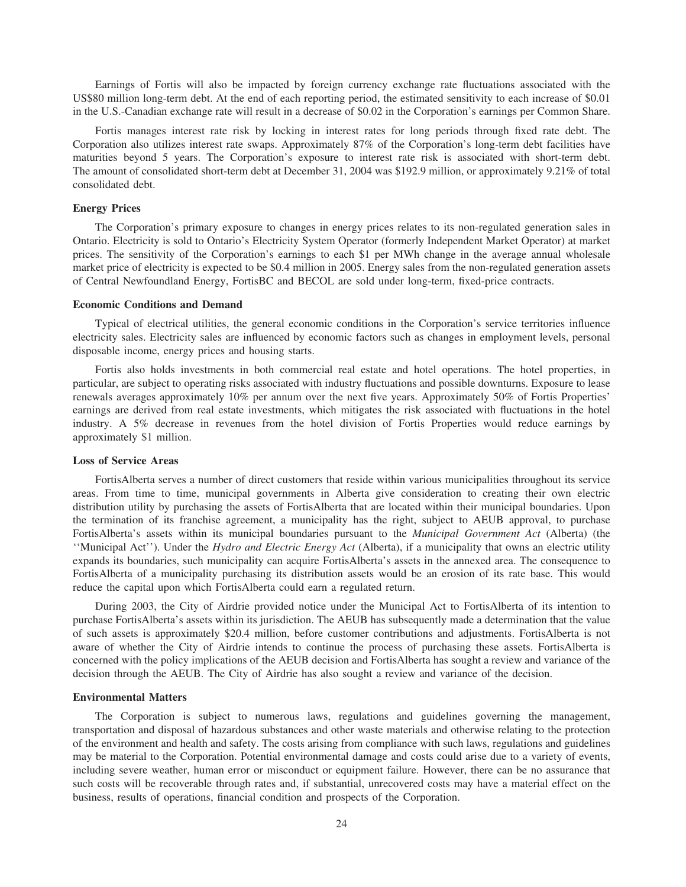Earnings of Fortis will also be impacted by foreign currency exchange rate fluctuations associated with the US\$80 million long-term debt. At the end of each reporting period, the estimated sensitivity to each increase of \$0.01 in the U.S.-Canadian exchange rate will result in a decrease of \$0.02 in the Corporation's earnings per Common Share.

Fortis manages interest rate risk by locking in interest rates for long periods through fixed rate debt. The Corporation also utilizes interest rate swaps. Approximately 87% of the Corporation's long-term debt facilities have maturities beyond 5 years. The Corporation's exposure to interest rate risk is associated with short-term debt. The amount of consolidated short-term debt at December 31, 2004 was \$192.9 million, or approximately 9.21% of total consolidated debt.

# **Energy Prices**

The Corporation's primary exposure to changes in energy prices relates to its non-regulated generation sales in Ontario. Electricity is sold to Ontario's Electricity System Operator (formerly Independent Market Operator) at market prices. The sensitivity of the Corporation's earnings to each \$1 per MWh change in the average annual wholesale market price of electricity is expected to be \$0.4 million in 2005. Energy sales from the non-regulated generation assets of Central Newfoundland Energy, FortisBC and BECOL are sold under long-term, fixed-price contracts.

# **Economic Conditions and Demand**

Typical of electrical utilities, the general economic conditions in the Corporation's service territories influence electricity sales. Electricity sales are influenced by economic factors such as changes in employment levels, personal disposable income, energy prices and housing starts.

Fortis also holds investments in both commercial real estate and hotel operations. The hotel properties, in particular, are subject to operating risks associated with industry fluctuations and possible downturns. Exposure to lease renewals averages approximately 10% per annum over the next five years. Approximately 50% of Fortis Properties' earnings are derived from real estate investments, which mitigates the risk associated with fluctuations in the hotel industry. A 5% decrease in revenues from the hotel division of Fortis Properties would reduce earnings by approximately \$1 million.

# **Loss of Service Areas**

FortisAlberta serves a number of direct customers that reside within various municipalities throughout its service areas. From time to time, municipal governments in Alberta give consideration to creating their own electric distribution utility by purchasing the assets of FortisAlberta that are located within their municipal boundaries. Upon the termination of its franchise agreement, a municipality has the right, subject to AEUB approval, to purchase FortisAlberta's assets within its municipal boundaries pursuant to the *Municipal Government Act* (Alberta) (the ''Municipal Act''). Under the *Hydro and Electric Energy Act* (Alberta), if a municipality that owns an electric utility expands its boundaries, such municipality can acquire FortisAlberta's assets in the annexed area. The consequence to FortisAlberta of a municipality purchasing its distribution assets would be an erosion of its rate base. This would reduce the capital upon which FortisAlberta could earn a regulated return.

During 2003, the City of Airdrie provided notice under the Municipal Act to FortisAlberta of its intention to purchase FortisAlberta's assets within its jurisdiction. The AEUB has subsequently made a determination that the value of such assets is approximately \$20.4 million, before customer contributions and adjustments. FortisAlberta is not aware of whether the City of Airdrie intends to continue the process of purchasing these assets. FortisAlberta is concerned with the policy implications of the AEUB decision and FortisAlberta has sought a review and variance of the decision through the AEUB. The City of Airdrie has also sought a review and variance of the decision.

# **Environmental Matters**

The Corporation is subject to numerous laws, regulations and guidelines governing the management, transportation and disposal of hazardous substances and other waste materials and otherwise relating to the protection of the environment and health and safety. The costs arising from compliance with such laws, regulations and guidelines may be material to the Corporation. Potential environmental damage and costs could arise due to a variety of events, including severe weather, human error or misconduct or equipment failure. However, there can be no assurance that such costs will be recoverable through rates and, if substantial, unrecovered costs may have a material effect on the business, results of operations, financial condition and prospects of the Corporation.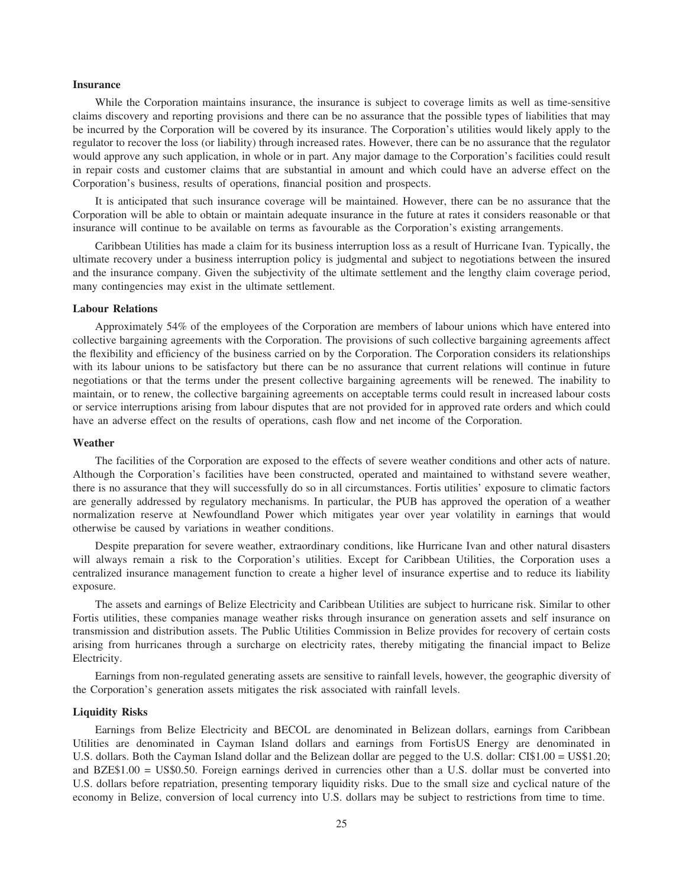# **Insurance**

While the Corporation maintains insurance, the insurance is subject to coverage limits as well as time-sensitive claims discovery and reporting provisions and there can be no assurance that the possible types of liabilities that may be incurred by the Corporation will be covered by its insurance. The Corporation's utilities would likely apply to the regulator to recover the loss (or liability) through increased rates. However, there can be no assurance that the regulator would approve any such application, in whole or in part. Any major damage to the Corporation's facilities could result in repair costs and customer claims that are substantial in amount and which could have an adverse effect on the Corporation's business, results of operations, financial position and prospects.

It is anticipated that such insurance coverage will be maintained. However, there can be no assurance that the Corporation will be able to obtain or maintain adequate insurance in the future at rates it considers reasonable or that insurance will continue to be available on terms as favourable as the Corporation's existing arrangements.

Caribbean Utilities has made a claim for its business interruption loss as a result of Hurricane Ivan. Typically, the ultimate recovery under a business interruption policy is judgmental and subject to negotiations between the insured and the insurance company. Given the subjectivity of the ultimate settlement and the lengthy claim coverage period, many contingencies may exist in the ultimate settlement.

# **Labour Relations**

Approximately 54% of the employees of the Corporation are members of labour unions which have entered into collective bargaining agreements with the Corporation. The provisions of such collective bargaining agreements affect the flexibility and efficiency of the business carried on by the Corporation. The Corporation considers its relationships with its labour unions to be satisfactory but there can be no assurance that current relations will continue in future negotiations or that the terms under the present collective bargaining agreements will be renewed. The inability to maintain, or to renew, the collective bargaining agreements on acceptable terms could result in increased labour costs or service interruptions arising from labour disputes that are not provided for in approved rate orders and which could have an adverse effect on the results of operations, cash flow and net income of the Corporation.

# **Weather**

The facilities of the Corporation are exposed to the effects of severe weather conditions and other acts of nature. Although the Corporation's facilities have been constructed, operated and maintained to withstand severe weather, there is no assurance that they will successfully do so in all circumstances. Fortis utilities' exposure to climatic factors are generally addressed by regulatory mechanisms. In particular, the PUB has approved the operation of a weather normalization reserve at Newfoundland Power which mitigates year over year volatility in earnings that would otherwise be caused by variations in weather conditions.

Despite preparation for severe weather, extraordinary conditions, like Hurricane Ivan and other natural disasters will always remain a risk to the Corporation's utilities. Except for Caribbean Utilities, the Corporation uses a centralized insurance management function to create a higher level of insurance expertise and to reduce its liability exposure.

The assets and earnings of Belize Electricity and Caribbean Utilities are subject to hurricane risk. Similar to other Fortis utilities, these companies manage weather risks through insurance on generation assets and self insurance on transmission and distribution assets. The Public Utilities Commission in Belize provides for recovery of certain costs arising from hurricanes through a surcharge on electricity rates, thereby mitigating the financial impact to Belize Electricity.

Earnings from non-regulated generating assets are sensitive to rainfall levels, however, the geographic diversity of the Corporation's generation assets mitigates the risk associated with rainfall levels.

## **Liquidity Risks**

Earnings from Belize Electricity and BECOL are denominated in Belizean dollars, earnings from Caribbean Utilities are denominated in Cayman Island dollars and earnings from FortisUS Energy are denominated in U.S. dollars. Both the Cayman Island dollar and the Belizean dollar are pegged to the U.S. dollar: CI\$1.00 = US\$1.20; and BZE\$1.00 = US\$0.50. Foreign earnings derived in currencies other than a U.S. dollar must be converted into U.S. dollars before repatriation, presenting temporary liquidity risks. Due to the small size and cyclical nature of the economy in Belize, conversion of local currency into U.S. dollars may be subject to restrictions from time to time.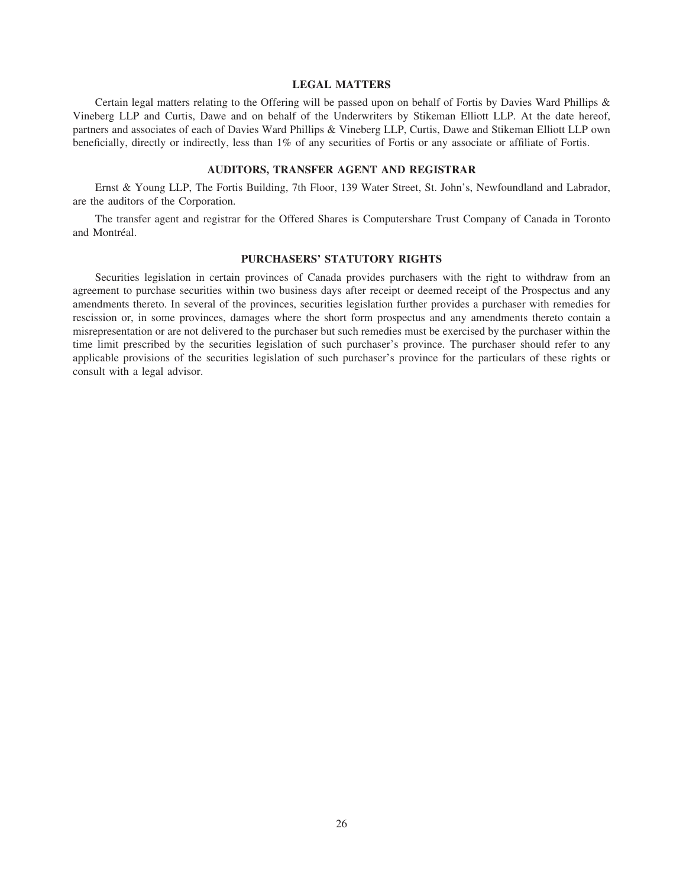# **LEGAL MATTERS**

Certain legal matters relating to the Offering will be passed upon on behalf of Fortis by Davies Ward Phillips & Vineberg LLP and Curtis, Dawe and on behalf of the Underwriters by Stikeman Elliott LLP. At the date hereof, partners and associates of each of Davies Ward Phillips & Vineberg LLP, Curtis, Dawe and Stikeman Elliott LLP own beneficially, directly or indirectly, less than 1% of any securities of Fortis or any associate or affiliate of Fortis.

# **AUDITORS, TRANSFER AGENT AND REGISTRAR**

Ernst & Young LLP, The Fortis Building, 7th Floor, 139 Water Street, St. John's, Newfoundland and Labrador, are the auditors of the Corporation.

The transfer agent and registrar for the Offered Shares is Computershare Trust Company of Canada in Toronto and Montréal.

# **PURCHASERS' STATUTORY RIGHTS**

Securities legislation in certain provinces of Canada provides purchasers with the right to withdraw from an agreement to purchase securities within two business days after receipt or deemed receipt of the Prospectus and any amendments thereto. In several of the provinces, securities legislation further provides a purchaser with remedies for rescission or, in some provinces, damages where the short form prospectus and any amendments thereto contain a misrepresentation or are not delivered to the purchaser but such remedies must be exercised by the purchaser within the time limit prescribed by the securities legislation of such purchaser's province. The purchaser should refer to any applicable provisions of the securities legislation of such purchaser's province for the particulars of these rights or consult with a legal advisor.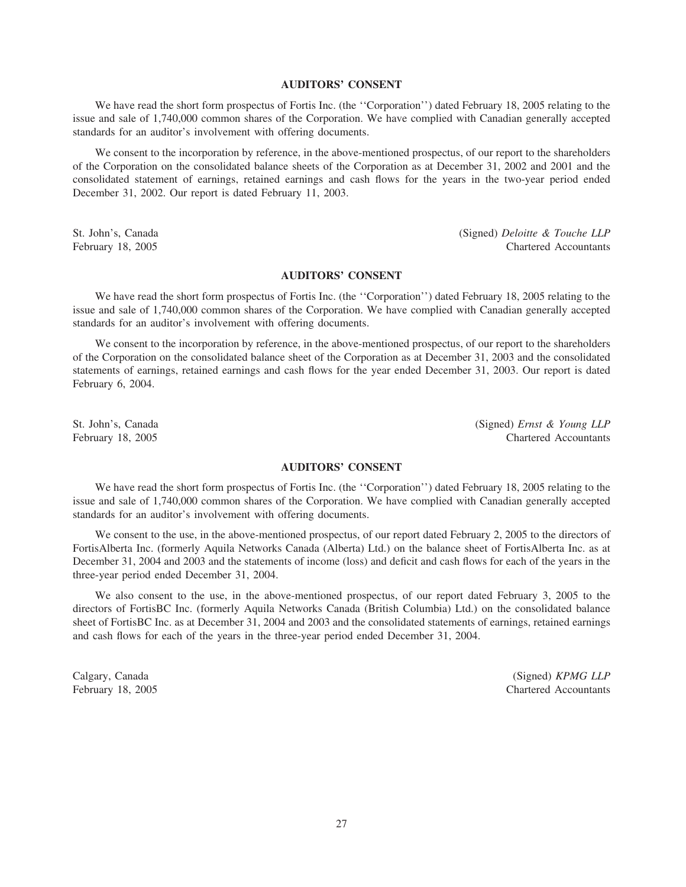# **AUDITORS' CONSENT**

We have read the short form prospectus of Fortis Inc. (the "Corporation") dated February 18, 2005 relating to the issue and sale of 1,740,000 common shares of the Corporation. We have complied with Canadian generally accepted standards for an auditor's involvement with offering documents.

We consent to the incorporation by reference, in the above-mentioned prospectus, of our report to the shareholders of the Corporation on the consolidated balance sheets of the Corporation as at December 31, 2002 and 2001 and the consolidated statement of earnings, retained earnings and cash flows for the years in the two-year period ended December 31, 2002. Our report is dated February 11, 2003.

St. John's, Canada (Signed) *Deloitte & Touche LLP* February 18, 2005 Chartered Accountants

# **AUDITORS' CONSENT**

We have read the short form prospectus of Fortis Inc. (the "Corporation") dated February 18, 2005 relating to the issue and sale of 1,740,000 common shares of the Corporation. We have complied with Canadian generally accepted standards for an auditor's involvement with offering documents.

We consent to the incorporation by reference, in the above-mentioned prospectus, of our report to the shareholders of the Corporation on the consolidated balance sheet of the Corporation as at December 31, 2003 and the consolidated statements of earnings, retained earnings and cash flows for the year ended December 31, 2003. Our report is dated February 6, 2004.

St. John's, Canada (Signed) *Ernst & Young LLP* February 18, 2005 Chartered Accountants

# **AUDITORS' CONSENT**

We have read the short form prospectus of Fortis Inc. (the "Corporation") dated February 18, 2005 relating to the issue and sale of 1,740,000 common shares of the Corporation. We have complied with Canadian generally accepted standards for an auditor's involvement with offering documents.

We consent to the use, in the above-mentioned prospectus, of our report dated February 2, 2005 to the directors of FortisAlberta Inc. (formerly Aquila Networks Canada (Alberta) Ltd.) on the balance sheet of FortisAlberta Inc. as at December 31, 2004 and 2003 and the statements of income (loss) and deficit and cash flows for each of the years in the three-year period ended December 31, 2004.

We also consent to the use, in the above-mentioned prospectus, of our report dated February 3, 2005 to the directors of FortisBC Inc. (formerly Aquila Networks Canada (British Columbia) Ltd.) on the consolidated balance sheet of FortisBC Inc. as at December 31, 2004 and 2003 and the consolidated statements of earnings, retained earnings and cash flows for each of the years in the three-year period ended December 31, 2004.

Calgary, Canada (Signed) *KPMG LLP* February 18, 2005 Chartered Accountants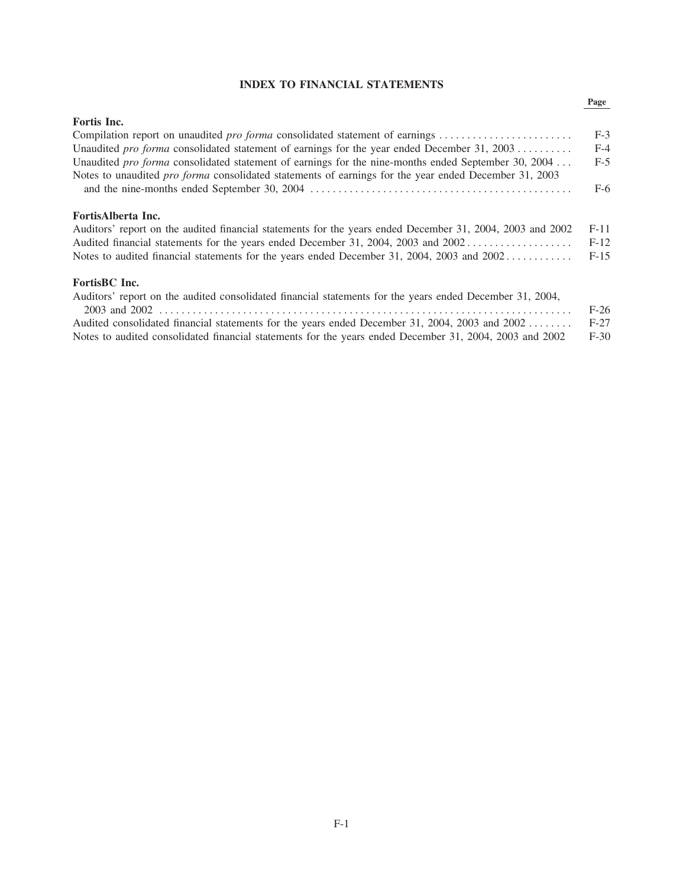# **INDEX TO FINANCIAL STATEMENTS**

# Page

| Fortis Inc.                                                                                                  |        |
|--------------------------------------------------------------------------------------------------------------|--------|
| Compilation report on unaudited <i>pro forma</i> consolidated statement of earnings                          | $F-3$  |
| Unaudited pro forma consolidated statement of earnings for the year ended December 31, 2003                  | $F-4$  |
| Unaudited pro forma consolidated statement of earnings for the nine-months ended September 30, 2004          | $F-5$  |
| Notes to unaudited <i>pro forma</i> consolidated statements of earnings for the year ended December 31, 2003 |        |
|                                                                                                              | $F-6$  |
| FortisAlberta Inc.                                                                                           |        |
| Auditors' report on the audited financial statements for the years ended December 31, 2004, 2003 and 2002    | $F-11$ |
| Audited financial statements for the years ended December 31, 2004, 2003 and 2002                            | $F-12$ |
| Notes to audited financial statements for the years ended December 31, 2004, 2003 and 2002                   | $F-15$ |
| FortisBC Inc.                                                                                                |        |
| Auditors' report on the audited consolidated financial statements for the years ended December 31, 2004,     |        |
|                                                                                                              | $F-26$ |
| Audited consolidated financial statements for the years ended December 31, 2004, 2003 and 2002               | $F-27$ |
| Notes to audited consolidated financial statements for the years ended December 31, 2004, 2003 and 2002      | $F-30$ |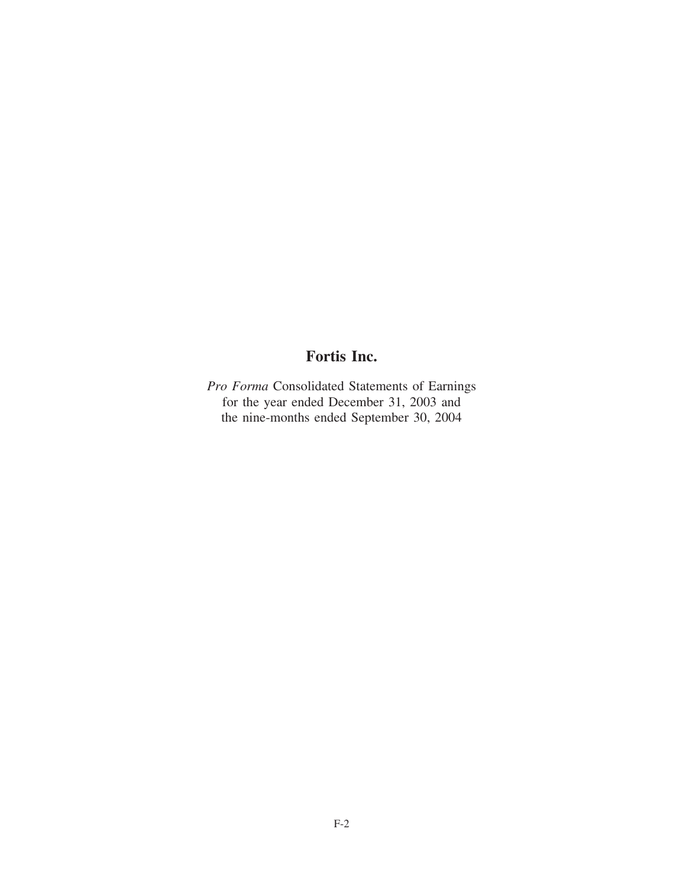# **Fortis Inc.**

*Pro Forma* Consolidated Statements of Earnings for the year ended December 31, 2003 and the nine-months ended September 30, 2004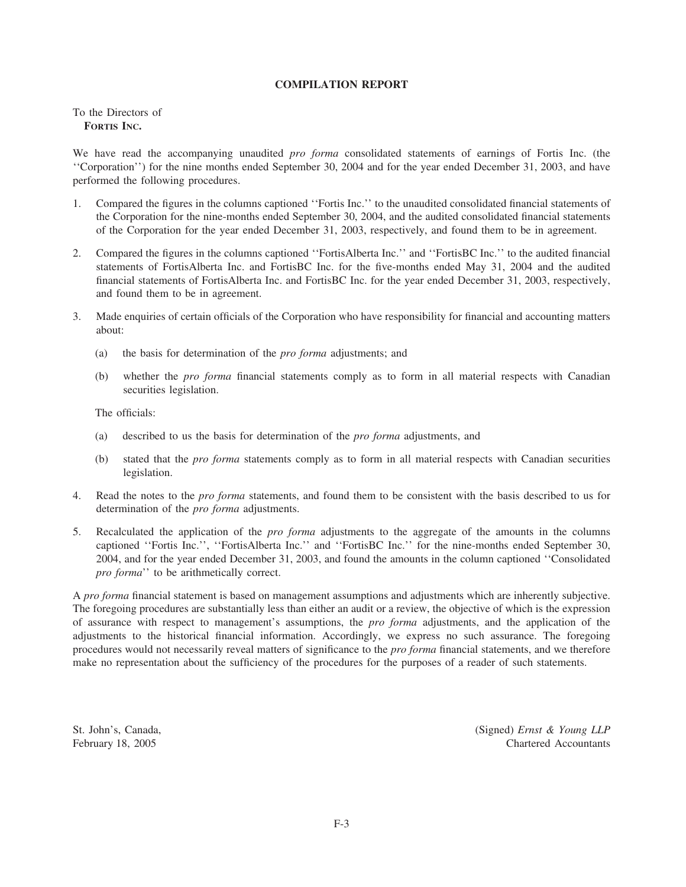# **COMPILATION REPORT**

# To the Directors of **FORTIS INC.**

We have read the accompanying unaudited *pro forma* consolidated statements of earnings of Fortis Inc. (the ''Corporation'') for the nine months ended September 30, 2004 and for the year ended December 31, 2003, and have performed the following procedures.

- 1. Compared the figures in the columns captioned ''Fortis Inc.'' to the unaudited consolidated financial statements of the Corporation for the nine-months ended September 30, 2004, and the audited consolidated financial statements of the Corporation for the year ended December 31, 2003, respectively, and found them to be in agreement.
- 2. Compared the figures in the columns captioned ''FortisAlberta Inc.'' and ''FortisBC Inc.'' to the audited financial statements of FortisAlberta Inc. and FortisBC Inc. for the five-months ended May 31, 2004 and the audited financial statements of FortisAlberta Inc. and FortisBC Inc. for the year ended December 31, 2003, respectively, and found them to be in agreement.
- 3. Made enquiries of certain officials of the Corporation who have responsibility for financial and accounting matters about:
	- (a) the basis for determination of the *pro forma* adjustments; and
	- (b) whether the *pro forma* financial statements comply as to form in all material respects with Canadian securities legislation.

The officials:

- (a) described to us the basis for determination of the *pro forma* adjustments, and
- (b) stated that the *pro forma* statements comply as to form in all material respects with Canadian securities legislation.
- 4. Read the notes to the *pro forma* statements, and found them to be consistent with the basis described to us for determination of the *pro forma* adjustments.
- 5. Recalculated the application of the *pro forma* adjustments to the aggregate of the amounts in the columns captioned ''Fortis Inc.'', ''FortisAlberta Inc.'' and ''FortisBC Inc.'' for the nine-months ended September 30, 2004, and for the year ended December 31, 2003, and found the amounts in the column captioned ''Consolidated *pro forma*'' to be arithmetically correct.

A *pro forma* financial statement is based on management assumptions and adjustments which are inherently subjective. The foregoing procedures are substantially less than either an audit or a review, the objective of which is the expression of assurance with respect to management's assumptions, the *pro forma* adjustments, and the application of the adjustments to the historical financial information. Accordingly, we express no such assurance. The foregoing procedures would not necessarily reveal matters of significance to the *pro forma* financial statements, and we therefore make no representation about the sufficiency of the procedures for the purposes of a reader of such statements.

St. John's, Canada, (Signed) *Ernst & Young LLP* February 18, 2005 Chartered Accountants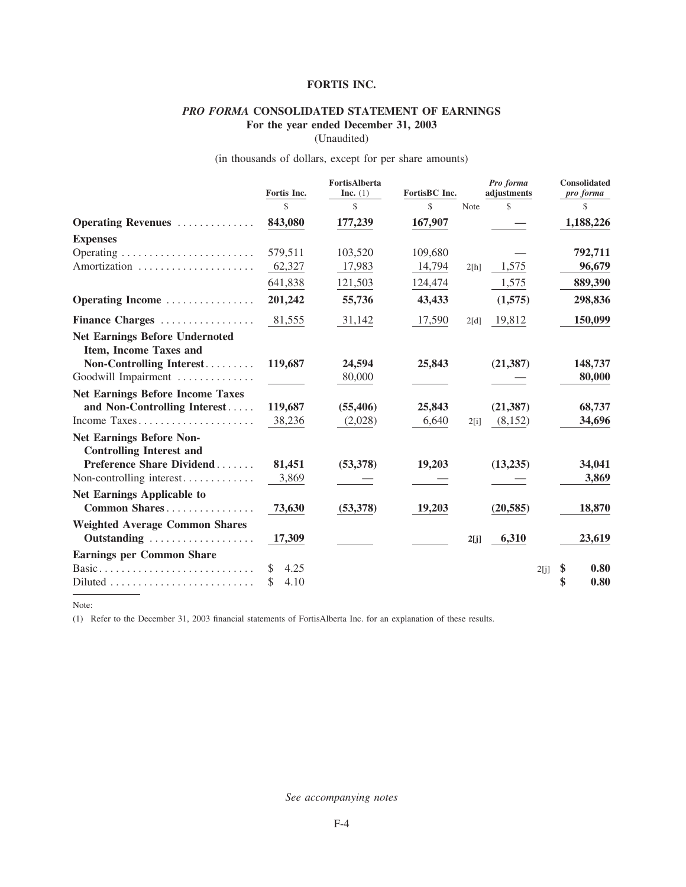# **FORTIS INC.**

# *PRO FORMA* **CONSOLIDATED STATEMENT OF EARNINGS For the year ended December 31, 2003**

(Unaudited)

# (in thousands of dollars, except for per share amounts)

|                                                                    | Fortis Inc.                   | FortisAlberta<br>Inc. $(1)$ | FortisBC Inc. |      | Pro forma<br>adjustments |      | Consolidated<br>pro forma |
|--------------------------------------------------------------------|-------------------------------|-----------------------------|---------------|------|--------------------------|------|---------------------------|
|                                                                    | $\mathcal{S}$                 | \$                          | $\mathbb{S}$  | Note | \$                       |      | \$                        |
| Operating Revenues                                                 | 843,080                       | 177,239                     | 167,907       |      |                          |      | 1,188,226                 |
| <b>Expenses</b>                                                    |                               |                             |               |      |                          |      |                           |
|                                                                    | 579,511                       | 103,520                     | 109,680       |      |                          |      | 792,711                   |
| Amortization                                                       | 62,327                        | 17,983                      | 14,794        | 2[h] | 1,575                    |      | 96,679                    |
|                                                                    | 641,838                       | 121,503                     | 124,474       |      | 1,575                    |      | 889,390                   |
| Operating Income                                                   | 201,242                       | 55,736                      | 43,433        |      | (1,575)                  |      | 298,836                   |
| Finance Charges                                                    | 81,555                        | 31,142                      | 17,590        | 2[d] | 19,812                   |      | 150,099                   |
| <b>Net Earnings Before Undernoted</b><br>Item, Income Taxes and    |                               |                             |               |      |                          |      |                           |
| Non-Controlling Interest                                           | 119,687                       | 24,594                      | 25,843        |      | (21, 387)                |      | 148,737                   |
| Goodwill Impairment                                                |                               | 80,000                      |               |      |                          |      | 80,000                    |
| <b>Net Earnings Before Income Taxes</b>                            |                               |                             |               |      |                          |      |                           |
| and Non-Controlling Interest                                       | 119,687                       | (55, 406)                   | 25,843        |      | (21, 387)                |      | 68,737                    |
| Income Taxes                                                       | 38,236                        | (2,028)                     | 6,640         | 2[i] | (8,152)                  |      | 34,696                    |
| <b>Net Earnings Before Non-</b><br><b>Controlling Interest and</b> |                               |                             |               |      |                          |      |                           |
| Preference Share Dividend                                          | 81,451                        | (53,378)                    | 19,203        |      | (13,235)                 |      | 34,041                    |
| Non-controlling interest                                           | 3,869                         |                             |               |      |                          |      | 3,869                     |
| <b>Net Earnings Applicable to</b><br>Common Shares                 | 73,630                        | (53,378)                    | 19,203        |      | (20, 585)                |      | 18,870                    |
| <b>Weighted Average Common Shares</b><br>Outstanding               | 17,309                        |                             |               | 2[j] | 6,310                    |      | 23,619                    |
| <b>Earnings per Common Share</b>                                   |                               |                             |               |      |                          |      |                           |
| Basic<br>Diluted                                                   | <sup>\$</sup><br>4.25<br>4.10 |                             |               |      |                          | 2[j] | \$<br>0.80<br>\$<br>0.80  |

Note:

(1) Refer to the December 31, 2003 financial statements of FortisAlberta Inc. for an explanation of these results.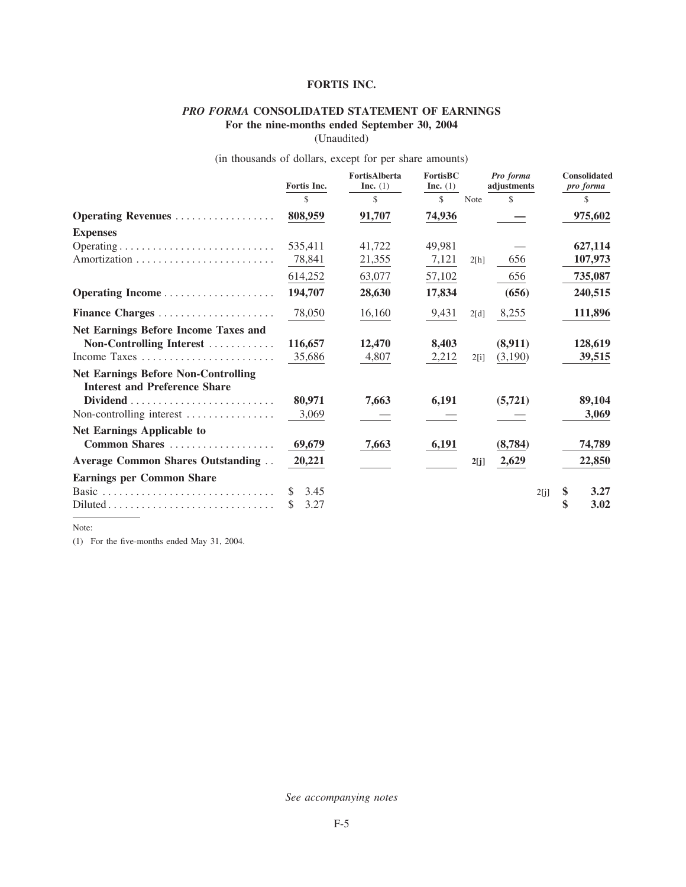# **FORTIS INC.**

# *PRO FORMA* **CONSOLIDATED STATEMENT OF EARNINGS**

**For the nine-months ended September 30, 2004**

(Unaudited)

# (in thousands of dollars, except for per share amounts)

|                                             | Fortis Inc. | <b>FortisAlberta</b><br>Inc. $(1)$ | <b>FortisBC</b><br>Inc. $(1)$ |             | Pro forma<br>adjustments |      | <b>Consolidated</b><br>pro forma |
|---------------------------------------------|-------------|------------------------------------|-------------------------------|-------------|--------------------------|------|----------------------------------|
|                                             | \$          | \$                                 | \$                            | <b>Note</b> | \$                       |      | S                                |
| <b>Operating Revenues</b>                   | 808,959     | 91,707                             | 74,936                        |             |                          |      | 975,602                          |
| <b>Expenses</b>                             |             |                                    |                               |             |                          |      |                                  |
|                                             | 535,411     | 41,722                             | 49,981                        |             |                          |      | 627,114                          |
|                                             | 78,841      | 21,355                             | 7,121                         | 2[h]        | 656                      |      | 107,973                          |
|                                             | 614,252     | 63,077                             | 57,102                        |             | 656                      |      | 735,087                          |
|                                             | 194,707     | 28,630                             | 17,834                        |             | (656)                    |      | 240,515                          |
| Finance Charges                             | 78,050      | 16,160                             | 9,431                         | 2[d]        | 8,255                    |      | 111,896                          |
| <b>Net Earnings Before Income Taxes and</b> |             |                                    |                               |             |                          |      |                                  |
| Non-Controlling Interest                    | 116,657     | 12,470                             | 8,403                         |             | (8,911)                  |      | 128,619                          |
| Income Taxes                                | 35,686      | 4,807                              | 2,212                         | 2[i]        | (3,190)                  |      | 39,515                           |
| <b>Net Earnings Before Non-Controlling</b>  |             |                                    |                               |             |                          |      |                                  |
| <b>Interest and Preference Share</b>        |             |                                    |                               |             |                          |      |                                  |
|                                             | 80,971      | 7,663                              | 6,191                         |             | (5, 721)                 |      | 89,104                           |
| Non-controlling interest                    | 3,069       |                                    |                               |             |                          |      | 3,069                            |
| <b>Net Earnings Applicable to</b>           |             |                                    |                               |             |                          |      |                                  |
| Common Shares                               | 69,679      | 7,663                              | 6,191                         |             | (8,784)                  |      | 74,789                           |
| <b>Average Common Shares Outstanding</b>    | 20,221      |                                    |                               | 2[j]        | 2,629                    |      | 22,850                           |
| <b>Earnings per Common Share</b>            |             |                                    |                               |             |                          |      |                                  |
|                                             | 3.45<br>S   |                                    |                               |             |                          | 2[j] | \$<br>3.27                       |
| Diluted                                     | 3.27<br>S   |                                    |                               |             |                          |      | 3.02                             |

Note:

(1) For the five-months ended May 31, 2004.

*See accompanying notes*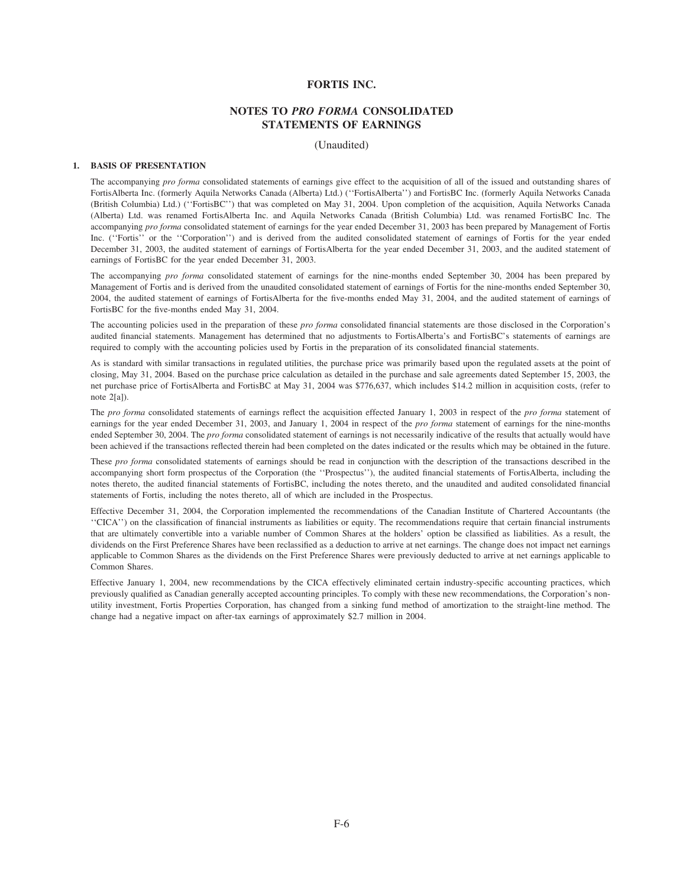# **FORTIS INC.**

# **NOTES TO** *PRO FORMA* **CONSOLIDATED STATEMENTS OF EARNINGS**

(Unaudited)

#### **1. BASIS OF PRESENTATION**

The accompanying *pro forma* consolidated statements of earnings give effect to the acquisition of all of the issued and outstanding shares of FortisAlberta Inc. (formerly Aquila Networks Canada (Alberta) Ltd.) (''FortisAlberta'') and FortisBC Inc. (formerly Aquila Networks Canada (British Columbia) Ltd.) (''FortisBC'') that was completed on May 31, 2004. Upon completion of the acquisition, Aquila Networks Canada (Alberta) Ltd. was renamed FortisAlberta Inc. and Aquila Networks Canada (British Columbia) Ltd. was renamed FortisBC Inc. The accompanying *pro forma* consolidated statement of earnings for the year ended December 31, 2003 has been prepared by Management of Fortis Inc. (''Fortis'' or the ''Corporation'') and is derived from the audited consolidated statement of earnings of Fortis for the year ended December 31, 2003, the audited statement of earnings of FortisAlberta for the year ended December 31, 2003, and the audited statement of earnings of FortisBC for the year ended December 31, 2003.

The accompanying *pro forma* consolidated statement of earnings for the nine-months ended September 30, 2004 has been prepared by Management of Fortis and is derived from the unaudited consolidated statement of earnings of Fortis for the nine-months ended September 30, 2004, the audited statement of earnings of FortisAlberta for the five-months ended May 31, 2004, and the audited statement of earnings of FortisBC for the five-months ended May 31, 2004.

The accounting policies used in the preparation of these *pro forma* consolidated financial statements are those disclosed in the Corporation's audited financial statements. Management has determined that no adjustments to FortisAlberta's and FortisBC's statements of earnings are required to comply with the accounting policies used by Fortis in the preparation of its consolidated financial statements.

As is standard with similar transactions in regulated utilities, the purchase price was primarily based upon the regulated assets at the point of closing, May 31, 2004. Based on the purchase price calculation as detailed in the purchase and sale agreements dated September 15, 2003, the net purchase price of FortisAlberta and FortisBC at May 31, 2004 was \$776,637, which includes \$14.2 million in acquisition costs, (refer to note 2[a]).

The *pro forma* consolidated statements of earnings reflect the acquisition effected January 1, 2003 in respect of the *pro forma* statement of earnings for the year ended December 31, 2003, and January 1, 2004 in respect of the *pro forma* statement of earnings for the nine-months ended September 30, 2004. The *pro forma* consolidated statement of earnings is not necessarily indicative of the results that actually would have been achieved if the transactions reflected therein had been completed on the dates indicated or the results which may be obtained in the future.

These *pro forma* consolidated statements of earnings should be read in conjunction with the description of the transactions described in the accompanying short form prospectus of the Corporation (the ''Prospectus''), the audited financial statements of FortisAlberta, including the notes thereto, the audited financial statements of FortisBC, including the notes thereto, and the unaudited and audited consolidated financial statements of Fortis, including the notes thereto, all of which are included in the Prospectus.

Effective December 31, 2004, the Corporation implemented the recommendations of the Canadian Institute of Chartered Accountants (the ''CICA'') on the classification of financial instruments as liabilities or equity. The recommendations require that certain financial instruments that are ultimately convertible into a variable number of Common Shares at the holders' option be classified as liabilities. As a result, the dividends on the First Preference Shares have been reclassified as a deduction to arrive at net earnings. The change does not impact net earnings applicable to Common Shares as the dividends on the First Preference Shares were previously deducted to arrive at net earnings applicable to Common Shares.

Effective January 1, 2004, new recommendations by the CICA effectively eliminated certain industry-specific accounting practices, which previously qualified as Canadian generally accepted accounting principles. To comply with these new recommendations, the Corporation's nonutility investment, Fortis Properties Corporation, has changed from a sinking fund method of amortization to the straight-line method. The change had a negative impact on after-tax earnings of approximately \$2.7 million in 2004.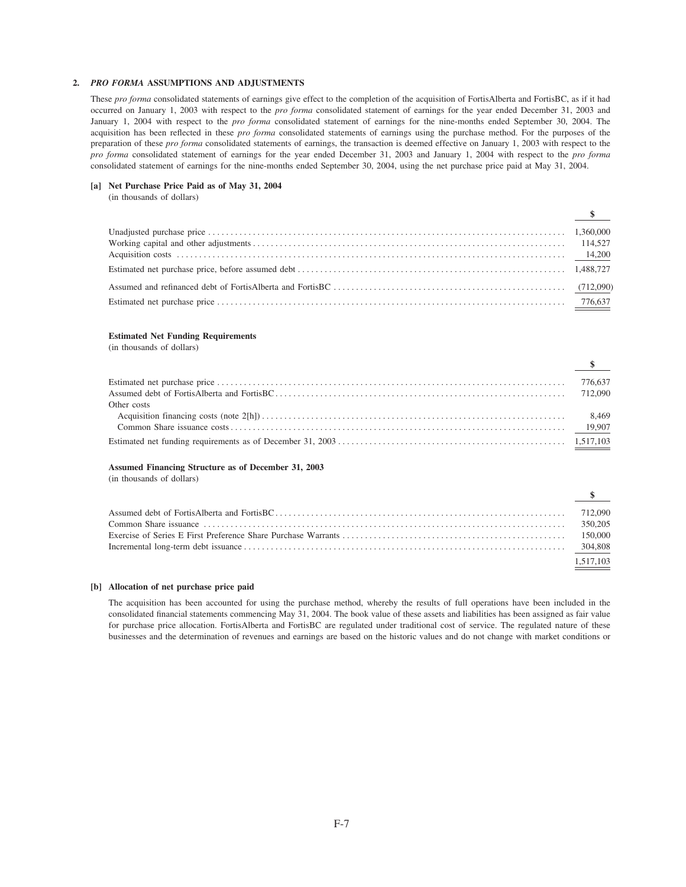# 2. PRO FORMA ASSUMPTIONS AND ADJUSTMENTS

These pro forma consolidated statements of earnings give effect to the completion of the acquisition of FortisAlberta and FortisBC, as if it had occurred on January 1, 2003 with respect to the pro forma consolidated statement of earnings for the year ended December 31, 2003 and January 1, 2004 with respect to the *pro forma* consolidated statement of earnings for the nine-months ended September 30, 2004. The acquisition has been reflected in these pro forma consolidated statements of earnings using the purchase method. For the purposes of the preparation of these pro forma consolidated statements of earnings, the transaction is deemed effective on January 1, 2003 with respect to the pro forma consolidated statement of earnings for the year ended December 31, 2003 and January 1, 2004 with respect to the pro forma consolidated statement of earnings for the nine-months ended September 30, 2004, using the net purchase price paid at May 31, 2004.

#### [a] Net Purchase Price Paid as of May 31, 2004

(in thousands of dollars)

| $\overline{\mathcal{P}}$ |  |
|--------------------------|--|
|                          |  |
|                          |  |
|                          |  |
|                          |  |
|                          |  |
|                          |  |

¢

 $\mathbf{d}$ 

#### **Estimated Net Funding Requirements**

(in thousands of dollars)

|             | $\mathbf{s}$ |
|-------------|--------------|
|             | 776,637      |
|             |              |
| Other costs |              |
|             |              |
|             |              |
|             |              |

## Assumed Financing Structure as of December 31, 2003

(in thousands of dollars)

| $\overline{\mathcal{P}}$ |
|--------------------------|
|                          |
|                          |
|                          |
|                          |
| 1.517.103                |

#### [b] Allocation of net purchase price paid

The acquisition has been accounted for using the purchase method, whereby the results of full operations have been included in the consolidated financial statements commencing May 31, 2004. The book value of these assets and liabilities has been assigned as fair value for purchase price allocation. FortisAlberta and FortisBC are regulated under traditional cost of service. The regulated nature of these businesses and the determination of revenues and earnings are based on the historic values and do not change with market conditions or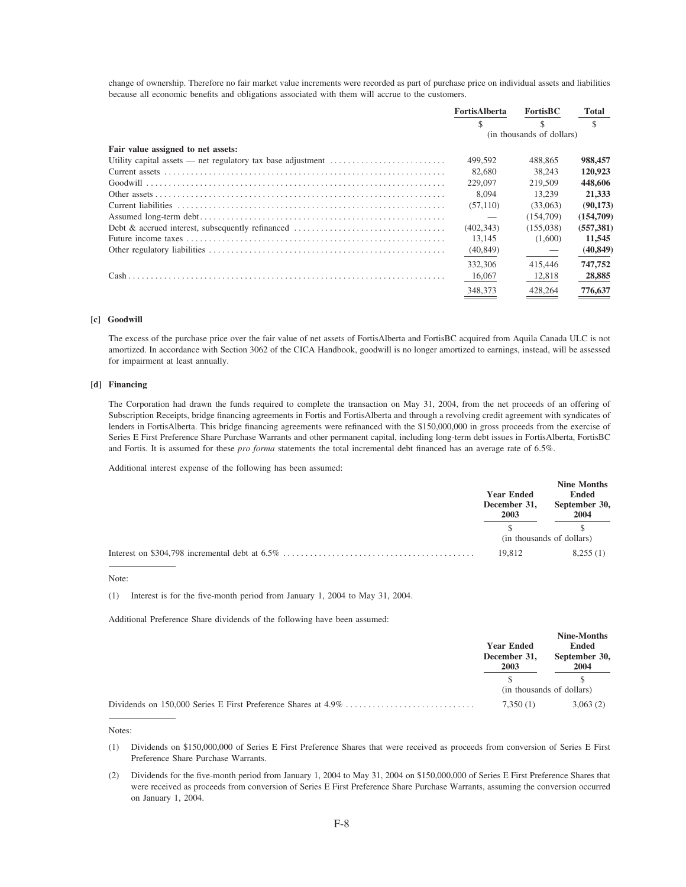change of ownership. Therefore no fair market value increments were recorded as part of purchase price on individual assets and liabilities because all economic benefits and obligations associated with them will accrue to the customers.

|                                    | FortisAlberta             | <b>FortisBC</b> | Total      |
|------------------------------------|---------------------------|-----------------|------------|
|                                    |                           |                 | \$         |
|                                    | (in thousands of dollars) |                 |            |
| Fair value assigned to net assets: |                           |                 |            |
|                                    | 499,592                   | 488.865         | 988,457    |
|                                    | 82,680                    | 38.243          | 120,923    |
|                                    | 229,097                   | 219,509         | 448,606    |
|                                    | 8.094                     | 13.239          | 21.333     |
|                                    | (57,110)                  | (33,063)        | (90, 173)  |
|                                    |                           | (154,709)       | (154,709)  |
|                                    | (402, 343)                | (155,038)       | (557, 381) |
|                                    | 13.145                    | (1,600)         | 11,545     |
|                                    | (40, 849)                 |                 | (40, 849)  |
|                                    | 332,306                   | 415,446         | 747,752    |
|                                    | 16,067                    | 12,818          | 28,885     |
|                                    | 348,373                   | 428,264         | 776,637    |

# [c] Goodwill

The excess of the purchase price over the fair value of net assets of FortisAlberta and FortisBC acquired from Aquila Canada ULC is not amortized. In accordance with Section 3062 of the CICA Handbook, goodwill is no longer amortized to earnings, instead, will be assessed for impairment at least annually.

## [d] Financing

The Corporation had drawn the funds required to complete the transaction on May 31, 2004, from the net proceeds of an offering of Subscription Receipts, bridge financing agreements in Fortis and FortisAlberta and through a revolving credit agreement with syndicates of lenders in FortisAlberta. This bridge financing agreements were refinanced with the \$150,000,000 in gross proceeds from the exercise of Series E First Preference Share Purchase Warrants and other permanent capital, including long-term debt issues in FortisAlberta, FortisBC and Fortis. It is assumed for these pro forma statements the total incremental debt financed has an average rate of 6.5%.

Additional interest expense of the following has been assumed:

| <b>Year Ended</b><br>December 31,<br>2003 | Nine Months<br>Ended<br>September 30,<br>2004 |
|-------------------------------------------|-----------------------------------------------|
|                                           |                                               |
|                                           | (in thousands of dollars)                     |
| 19.812                                    | 8,255(1)                                      |

#### Note:

(1) Interest is for the five-month period from January 1, 2004 to May 31, 2004.

Additional Preference Share dividends of the following have been assumed:

| <b>Year Ended</b><br>December 31,<br>2003 | Nine-Months<br>Ended<br>September 30,<br>2004 |  |
|-------------------------------------------|-----------------------------------------------|--|
|                                           |                                               |  |
|                                           | (in thousands of dollars)                     |  |
| 7.350(1)                                  | 3,063(2)                                      |  |

#### Notes:

(1) Dividends on \$150,000,000 of Series E First Preference Shares that were received as proceeds from conversion of Series E First Preference Share Purchase Warrants.

Dividends for the five-month period from January 1, 2004 to May 31, 2004 on \$150,000,000 of Series E First Preference Shares that  $(2)$ were received as proceeds from conversion of Series E First Preference Share Purchase Warrants, assuming the conversion occurred on January 1, 2004.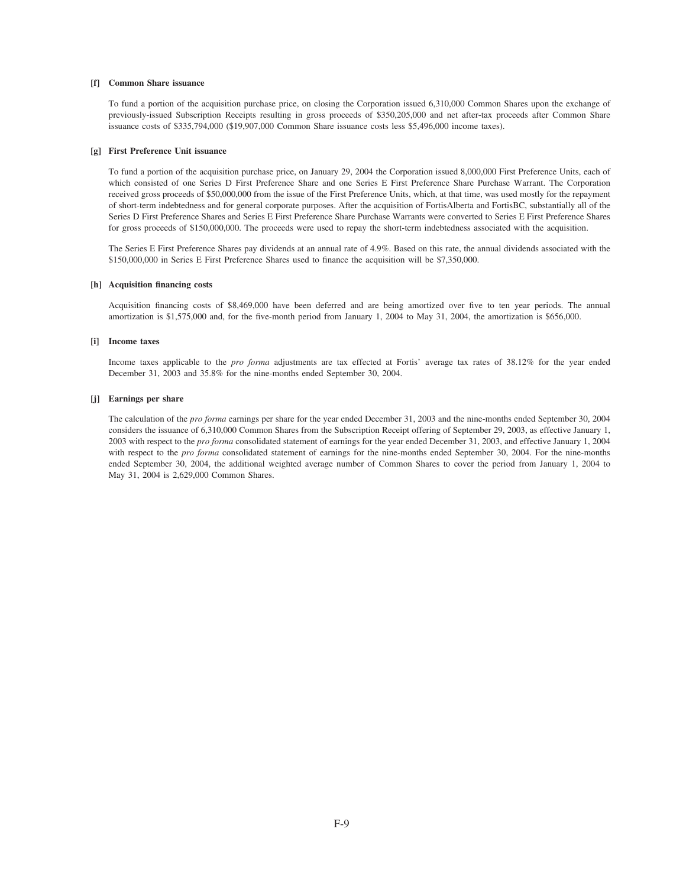#### **[f] Common Share issuance**

To fund a portion of the acquisition purchase price, on closing the Corporation issued 6,310,000 Common Shares upon the exchange of previously-issued Subscription Receipts resulting in gross proceeds of \$350,205,000 and net after-tax proceeds after Common Share issuance costs of \$335,794,000 (\$19,907,000 Common Share issuance costs less \$5,496,000 income taxes).

#### **[g] First Preference Unit issuance**

To fund a portion of the acquisition purchase price, on January 29, 2004 the Corporation issued 8,000,000 First Preference Units, each of which consisted of one Series D First Preference Share and one Series E First Preference Share Purchase Warrant. The Corporation received gross proceeds of \$50,000,000 from the issue of the First Preference Units, which, at that time, was used mostly for the repayment of short-term indebtedness and for general corporate purposes. After the acquisition of FortisAlberta and FortisBC, substantially all of the Series D First Preference Shares and Series E First Preference Share Purchase Warrants were converted to Series E First Preference Shares for gross proceeds of \$150,000,000. The proceeds were used to repay the short-term indebtedness associated with the acquisition.

The Series E First Preference Shares pay dividends at an annual rate of 4.9%. Based on this rate, the annual dividends associated with the \$150,000,000 in Series E First Preference Shares used to finance the acquisition will be \$7,350,000.

#### **[h] Acquisition financing costs**

Acquisition financing costs of \$8,469,000 have been deferred and are being amortized over five to ten year periods. The annual amortization is \$1,575,000 and, for the five-month period from January 1, 2004 to May 31, 2004, the amortization is \$656,000.

#### **[i] Income taxes**

Income taxes applicable to the *pro forma* adjustments are tax effected at Fortis' average tax rates of 38.12% for the year ended December 31, 2003 and 35.8% for the nine-months ended September 30, 2004.

#### **[j] Earnings per share**

The calculation of the *pro forma* earnings per share for the year ended December 31, 2003 and the nine-months ended September 30, 2004 considers the issuance of 6,310,000 Common Shares from the Subscription Receipt offering of September 29, 2003, as effective January 1, 2003 with respect to the *pro forma* consolidated statement of earnings for the year ended December 31, 2003, and effective January 1, 2004 with respect to the *pro forma* consolidated statement of earnings for the nine-months ended September 30, 2004. For the nine-months ended September 30, 2004, the additional weighted average number of Common Shares to cover the period from January 1, 2004 to May 31, 2004 is 2,629,000 Common Shares.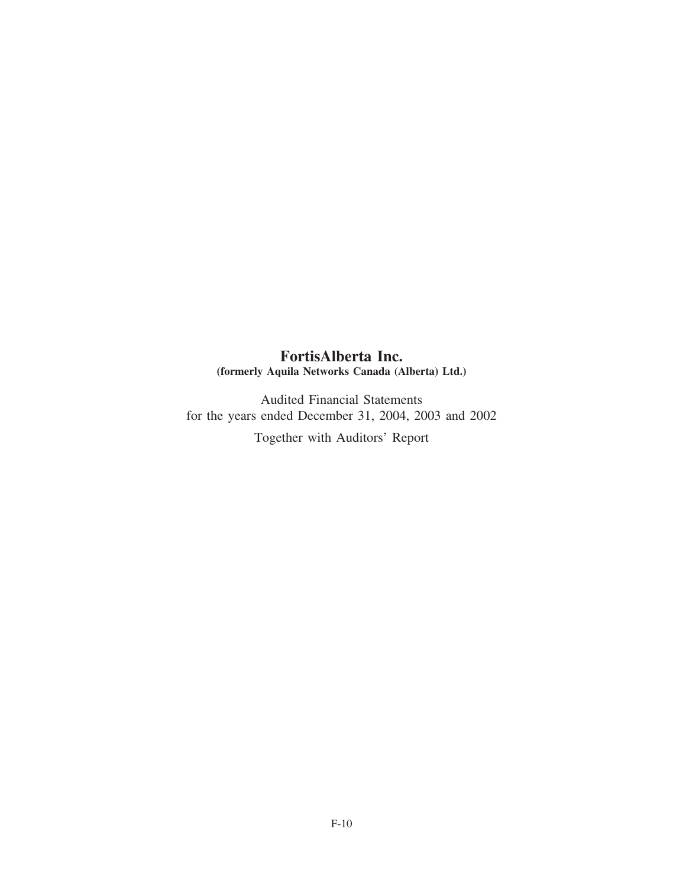# **FortisAlberta Inc. (formerly Aquila Networks Canada (Alberta) Ltd.)**

Audited Financial Statements for the years ended December 31, 2004, 2003 and 2002

Together with Auditors' Report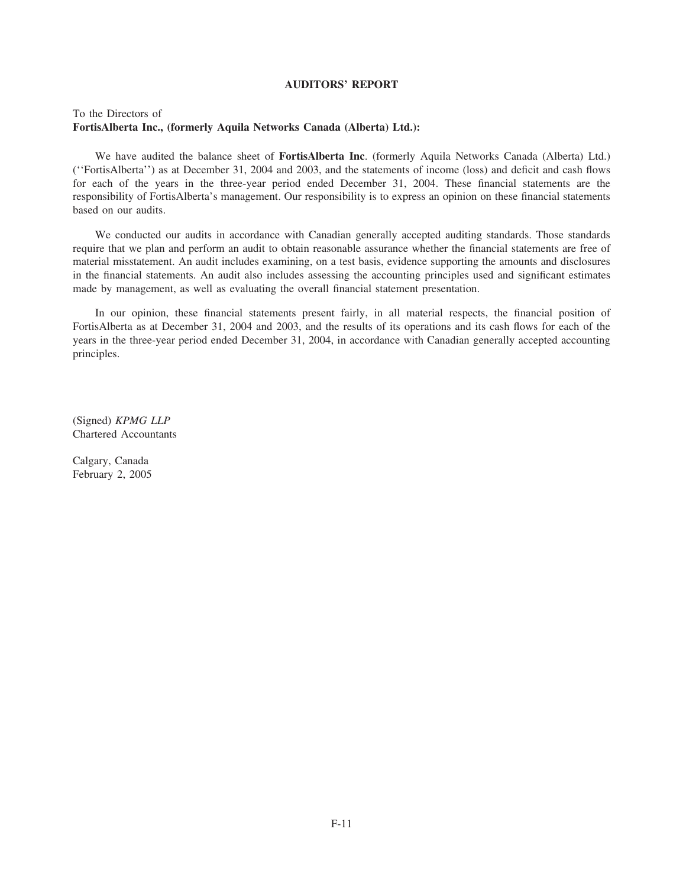# **AUDITORS' REPORT**

# To the Directors of **FortisAlberta Inc., (formerly Aquila Networks Canada (Alberta) Ltd.):**

We have audited the balance sheet of **FortisAlberta Inc**. (formerly Aquila Networks Canada (Alberta) Ltd.) (''FortisAlberta'') as at December 31, 2004 and 2003, and the statements of income (loss) and deficit and cash flows for each of the years in the three-year period ended December 31, 2004. These financial statements are the responsibility of FortisAlberta's management. Our responsibility is to express an opinion on these financial statements based on our audits.

We conducted our audits in accordance with Canadian generally accepted auditing standards. Those standards require that we plan and perform an audit to obtain reasonable assurance whether the financial statements are free of material misstatement. An audit includes examining, on a test basis, evidence supporting the amounts and disclosures in the financial statements. An audit also includes assessing the accounting principles used and significant estimates made by management, as well as evaluating the overall financial statement presentation.

In our opinion, these financial statements present fairly, in all material respects, the financial position of FortisAlberta as at December 31, 2004 and 2003, and the results of its operations and its cash flows for each of the years in the three-year period ended December 31, 2004, in accordance with Canadian generally accepted accounting principles.

(Signed) *KPMG LLP* Chartered Accountants

Calgary, Canada February 2, 2005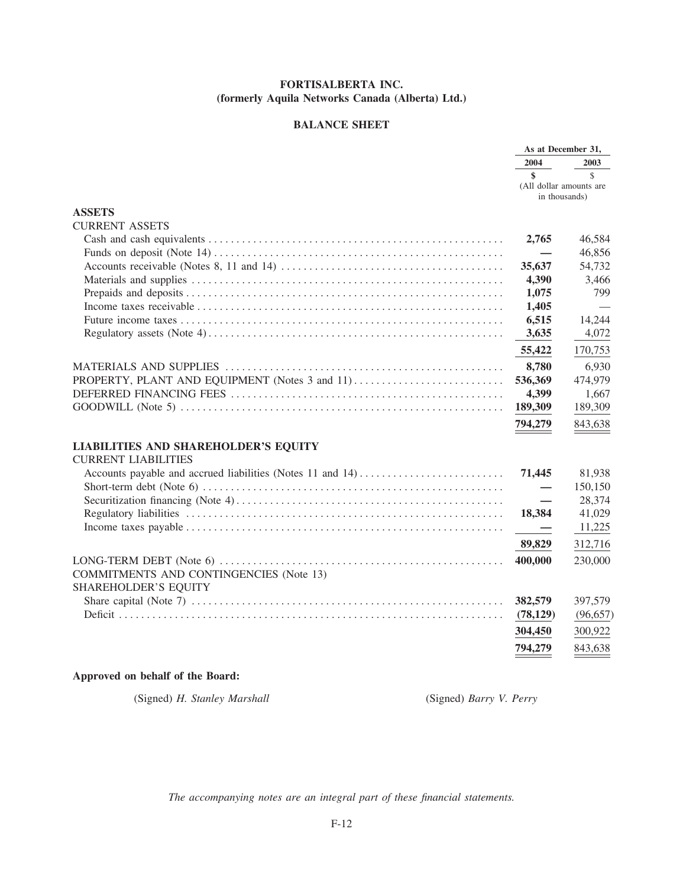# **BALANCE SHEET**

|                                                | As at December 31, |                                                           |
|------------------------------------------------|--------------------|-----------------------------------------------------------|
|                                                | 2004               | 2003                                                      |
|                                                | \$                 | $\mathcal{S}$<br>(All dollar amounts are<br>in thousands) |
| <b>ASSETS</b>                                  |                    |                                                           |
| <b>CURRENT ASSETS</b>                          |                    |                                                           |
|                                                | 2,765              | 46,584                                                    |
|                                                |                    | 46,856                                                    |
|                                                | 35,637             | 54,732                                                    |
|                                                | 4,390              | 3,466                                                     |
|                                                | 1,075              | 799                                                       |
|                                                | 1,405              |                                                           |
|                                                | 6,515              | 14,244                                                    |
|                                                | 3,635              | 4,072                                                     |
|                                                | 55,422             | 170,753                                                   |
|                                                | 8,780              | 6,930                                                     |
|                                                | 536,369            | 474,979                                                   |
|                                                | 4,399              | 1,667                                                     |
|                                                | 189,309            | 189,309                                                   |
|                                                | 794,279            | 843,638                                                   |
| <b>LIABILITIES AND SHAREHOLDER'S EQUITY</b>    |                    |                                                           |
| <b>CURRENT LIABILITIES</b>                     |                    |                                                           |
|                                                | 71,445             | 81,938                                                    |
|                                                |                    | 150,150                                                   |
|                                                |                    | 28,374                                                    |
|                                                | 18,384             | 41,029                                                    |
|                                                |                    | 11,225                                                    |
|                                                | 89,829             | 312,716                                                   |
|                                                | 400,000            | 230,000                                                   |
| <b>COMMITMENTS AND CONTINGENCIES (Note 13)</b> |                    |                                                           |
| <b>SHAREHOLDER'S EQUITY</b>                    |                    |                                                           |
|                                                | 382,579            | 397,579                                                   |
|                                                | (78, 129)          | (96, 657)                                                 |
|                                                | 304,450            | 300,922                                                   |
|                                                |                    |                                                           |
|                                                | 794,279            | 843,638                                                   |

# Approved on behalf of the Board:

(Signed) H. Stanley Marshall

(Signed) Barry V. Perry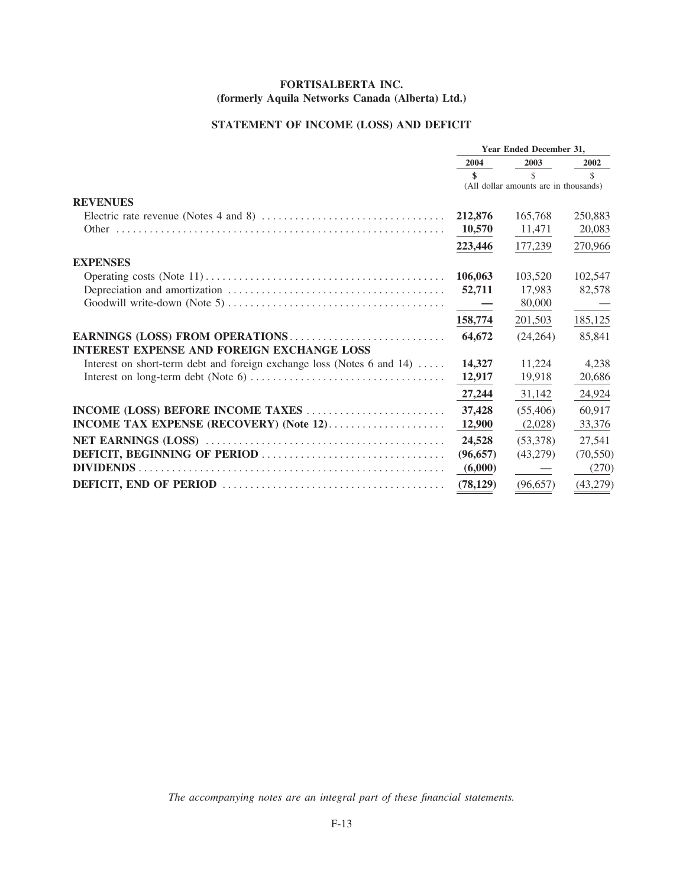# **STATEMENT OF INCOME (LOSS) AND DEFICIT**

|                                                                                                     | Year Ended December 31, |                                       |               |
|-----------------------------------------------------------------------------------------------------|-------------------------|---------------------------------------|---------------|
|                                                                                                     | 2004                    | 2003                                  | 2002          |
|                                                                                                     | \$                      | $\mathcal{S}$                         | $\mathcal{S}$ |
|                                                                                                     |                         | (All dollar amounts are in thousands) |               |
| <b>REVENUES</b>                                                                                     |                         |                                       |               |
| Electric rate revenue (Notes 4 and 8) $\dots \dots \dots \dots \dots \dots \dots \dots \dots \dots$ | 212,876                 | 165,768                               | 250,883       |
|                                                                                                     | 10,570                  | 11,471                                | 20,083        |
|                                                                                                     | 223,446                 | 177,239                               | 270,966       |
| <b>EXPENSES</b>                                                                                     |                         |                                       |               |
|                                                                                                     | 106,063                 | 103,520                               | 102,547       |
|                                                                                                     | 52,711                  | 17,983                                | 82,578        |
|                                                                                                     | $\sim$ $-$              | 80,000                                |               |
|                                                                                                     | 158,774                 | 201,503                               | 185,125       |
| EARNINGS (LOSS) FROM OPERATIONS                                                                     | 64,672                  | (24, 264)                             | 85,841        |
| <b>INTEREST EXPENSE AND FOREIGN EXCHANGE LOSS</b>                                                   |                         |                                       |               |
| Interest on short-term debt and foreign exchange loss (Notes 6 and 14)                              | 14,327                  | 11,224                                | 4,238         |
|                                                                                                     | 12,917                  | 19,918                                | 20,686        |
|                                                                                                     | 27,244                  | 31,142                                | 24,924        |
|                                                                                                     | 37,428                  | (55, 406)                             | 60,917        |
| INCOME TAX EXPENSE (RECOVERY) (Note 12)                                                             | 12,900                  | (2,028)                               | 33,376        |
|                                                                                                     | 24,528                  | (53,378)                              | 27,541        |
|                                                                                                     | (96, 657)               | (43,279)                              | (70, 550)     |
|                                                                                                     | (6,000)                 | $\overbrace{\phantom{123331}}$        | (270)         |
|                                                                                                     | (78, 129)               | (96, 657)                             | (43, 279)     |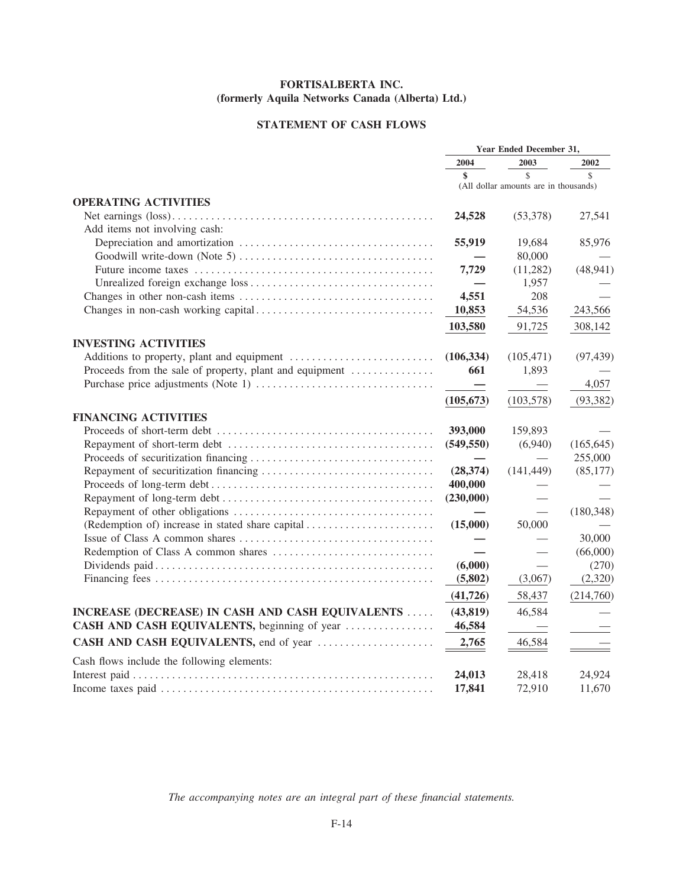# **STATEMENT OF CASH FLOWS**

|                                                         | Year Ended December 31,  |                                       |            |
|---------------------------------------------------------|--------------------------|---------------------------------------|------------|
|                                                         | 2004                     | 2003                                  | 2002       |
|                                                         | \$                       | \$                                    | \$         |
|                                                         |                          | (All dollar amounts are in thousands) |            |
| <b>OPERATING ACTIVITIES</b>                             |                          |                                       |            |
|                                                         | 24,528                   | (53,378)                              | 27,541     |
| Add items not involving cash:                           |                          |                                       |            |
|                                                         | 55,919                   | 19.684                                | 85,976     |
|                                                         |                          | 80,000                                |            |
|                                                         | 7,729                    | (11,282)                              | (48, 941)  |
|                                                         |                          | 1,957                                 |            |
|                                                         | 4,551                    | 208                                   |            |
|                                                         | 10,853                   | 54,536                                | 243,566    |
|                                                         | 103,580                  | 91,725                                | 308,142    |
| <b>INVESTING ACTIVITIES</b>                             |                          |                                       |            |
|                                                         | (106, 334)               | (105, 471)                            | (97, 439)  |
| Proceeds from the sale of property, plant and equipment | 661                      | 1,893                                 |            |
|                                                         |                          |                                       | 4,057      |
|                                                         | $\overline{\phantom{0}}$ |                                       |            |
|                                                         | (105, 673)               | (103, 578)                            | (93, 382)  |
| <b>FINANCING ACTIVITIES</b>                             |                          |                                       |            |
|                                                         | 393,000                  | 159,893                               |            |
|                                                         | (549, 550)               | (6,940)                               | (165, 645) |
|                                                         |                          |                                       | 255,000    |
|                                                         | (28, 374)                | (141, 449)                            | (85,177)   |
|                                                         | 400,000                  |                                       |            |
|                                                         | (230,000)                |                                       |            |
|                                                         |                          |                                       | (180, 348) |
| (Redemption of) increase in stated share capital        | (15,000)                 | 50,000                                |            |
|                                                         |                          |                                       | 30,000     |
|                                                         |                          |                                       | (66,000)   |
|                                                         | (6,000)                  |                                       | (270)      |
|                                                         | (5,802)                  | (3,067)                               | (2,320)    |
|                                                         | (41, 726)                | 58,437                                | (214,760)  |
| INCREASE (DECREASE) IN CASH AND CASH EQUIVALENTS        | (43, 819)                | 46,584                                |            |
| CASH AND CASH EQUIVALENTS, beginning of year            | 46,584                   |                                       |            |
| CASH AND CASH EQUIVALENTS, end of year                  | 2,765                    | 46,584                                |            |
| Cash flows include the following elements:              |                          |                                       |            |
|                                                         | 24,013                   | 28,418                                | 24,924     |
|                                                         | 17,841                   | 72,910                                | 11,670     |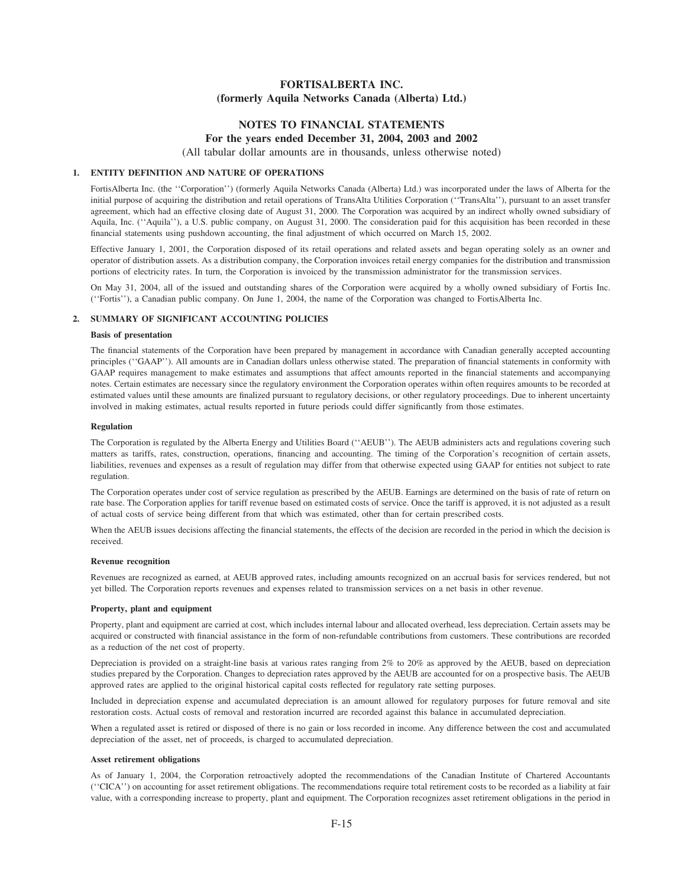# **NOTES TO FINANCIAL STATEMENTS For the years ended December 31, 2004, 2003 and 2002**

(All tabular dollar amounts are in thousands, unless otherwise noted)

# **1. ENTITY DEFINITION AND NATURE OF OPERATIONS**

FortisAlberta Inc. (the ''Corporation'') (formerly Aquila Networks Canada (Alberta) Ltd.) was incorporated under the laws of Alberta for the initial purpose of acquiring the distribution and retail operations of TransAlta Utilities Corporation (''TransAlta''), pursuant to an asset transfer agreement, which had an effective closing date of August 31, 2000. The Corporation was acquired by an indirect wholly owned subsidiary of Aquila, Inc. (''Aquila''), a U.S. public company, on August 31, 2000. The consideration paid for this acquisition has been recorded in these financial statements using pushdown accounting, the final adjustment of which occurred on March 15, 2002.

Effective January 1, 2001, the Corporation disposed of its retail operations and related assets and began operating solely as an owner and operator of distribution assets. As a distribution company, the Corporation invoices retail energy companies for the distribution and transmission portions of electricity rates. In turn, the Corporation is invoiced by the transmission administrator for the transmission services.

On May 31, 2004, all of the issued and outstanding shares of the Corporation were acquired by a wholly owned subsidiary of Fortis Inc. (''Fortis''), a Canadian public company. On June 1, 2004, the name of the Corporation was changed to FortisAlberta Inc.

## **2. SUMMARY OF SIGNIFICANT ACCOUNTING POLICIES**

## **Basis of presentation**

The financial statements of the Corporation have been prepared by management in accordance with Canadian generally accepted accounting principles (''GAAP''). All amounts are in Canadian dollars unless otherwise stated. The preparation of financial statements in conformity with GAAP requires management to make estimates and assumptions that affect amounts reported in the financial statements and accompanying notes. Certain estimates are necessary since the regulatory environment the Corporation operates within often requires amounts to be recorded at estimated values until these amounts are finalized pursuant to regulatory decisions, or other regulatory proceedings. Due to inherent uncertainty involved in making estimates, actual results reported in future periods could differ significantly from those estimates.

#### **Regulation**

The Corporation is regulated by the Alberta Energy and Utilities Board (''AEUB''). The AEUB administers acts and regulations covering such matters as tariffs, rates, construction, operations, financing and accounting. The timing of the Corporation's recognition of certain assets, liabilities, revenues and expenses as a result of regulation may differ from that otherwise expected using GAAP for entities not subject to rate regulation.

The Corporation operates under cost of service regulation as prescribed by the AEUB. Earnings are determined on the basis of rate of return on rate base. The Corporation applies for tariff revenue based on estimated costs of service. Once the tariff is approved, it is not adjusted as a result of actual costs of service being different from that which was estimated, other than for certain prescribed costs.

When the AEUB issues decisions affecting the financial statements, the effects of the decision are recorded in the period in which the decision is received.

#### **Revenue recognition**

Revenues are recognized as earned, at AEUB approved rates, including amounts recognized on an accrual basis for services rendered, but not yet billed. The Corporation reports revenues and expenses related to transmission services on a net basis in other revenue.

# **Property, plant and equipment**

Property, plant and equipment are carried at cost, which includes internal labour and allocated overhead, less depreciation. Certain assets may be acquired or constructed with financial assistance in the form of non-refundable contributions from customers. These contributions are recorded as a reduction of the net cost of property.

Depreciation is provided on a straight-line basis at various rates ranging from 2% to 20% as approved by the AEUB, based on depreciation studies prepared by the Corporation. Changes to depreciation rates approved by the AEUB are accounted for on a prospective basis. The AEUB approved rates are applied to the original historical capital costs reflected for regulatory rate setting purposes.

Included in depreciation expense and accumulated depreciation is an amount allowed for regulatory purposes for future removal and site restoration costs. Actual costs of removal and restoration incurred are recorded against this balance in accumulated depreciation.

When a regulated asset is retired or disposed of there is no gain or loss recorded in income. Any difference between the cost and accumulated depreciation of the asset, net of proceeds, is charged to accumulated depreciation.

#### **Asset retirement obligations**

As of January 1, 2004, the Corporation retroactively adopted the recommendations of the Canadian Institute of Chartered Accountants (''CICA'') on accounting for asset retirement obligations. The recommendations require total retirement costs to be recorded as a liability at fair value, with a corresponding increase to property, plant and equipment. The Corporation recognizes asset retirement obligations in the period in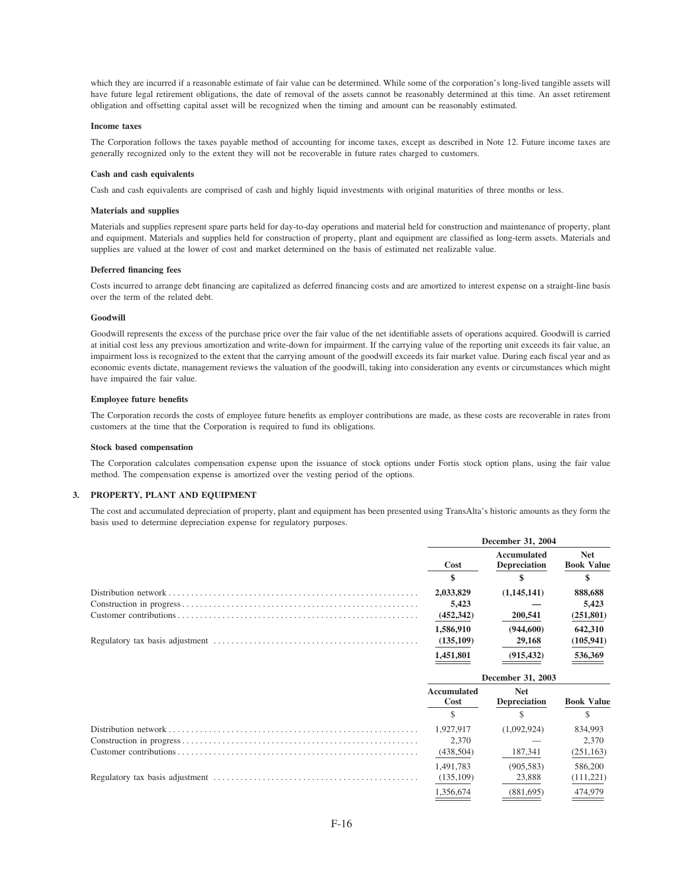which they are incurred if a reasonable estimate of fair value can be determined. While some of the corporation's long-lived tangible assets will have future legal retirement obligations, the date of removal of the assets cannot be reasonably determined at this time. An asset retirement obligation and offsetting capital asset will be recognized when the timing and amount can be reasonably estimated.

#### **Income taxes**

The Corporation follows the taxes payable method of accounting for income taxes, except as described in Note 12. Future income taxes are generally recognized only to the extent they will not be recoverable in future rates charged to customers.

#### **Cash and cash equivalents**

Cash and cash equivalents are comprised of cash and highly liquid investments with original maturities of three months or less.

#### **Materials and supplies**

Materials and supplies represent spare parts held for day-to-day operations and material held for construction and maintenance of property, plant and equipment. Materials and supplies held for construction of property, plant and equipment are classified as long-term assets. Materials and supplies are valued at the lower of cost and market determined on the basis of estimated net realizable value.

#### **Deferred financing fees**

Costs incurred to arrange debt financing are capitalized as deferred financing costs and are amortized to interest expense on a straight-line basis over the term of the related debt.

# **Goodwill**

Goodwill represents the excess of the purchase price over the fair value of the net identifiable assets of operations acquired. Goodwill is carried at initial cost less any previous amortization and write-down for impairment. If the carrying value of the reporting unit exceeds its fair value, an impairment loss is recognized to the extent that the carrying amount of the goodwill exceeds its fair market value. During each fiscal year and as economic events dictate, management reviews the valuation of the goodwill, taking into consideration any events or circumstances which might have impaired the fair value.

#### **Employee future benefits**

The Corporation records the costs of employee future benefits as employer contributions are made, as these costs are recoverable in rates from customers at the time that the Corporation is required to fund its obligations.

#### **Stock based compensation**

The Corporation calculates compensation expense upon the issuance of stock options under Fortis stock option plans, using the fair value method. The compensation expense is amortized over the vesting period of the options.

#### **3. PROPERTY, PLANT AND EQUIPMENT**

The cost and accumulated depreciation of property, plant and equipment has been presented using TransAlta's historic amounts as they form the basis used to determine depreciation expense for regulatory purposes.

| December 31, 2004 |                                    |                                 |
|-------------------|------------------------------------|---------------------------------|
| Cost              | Accumulated<br><b>Depreciation</b> | <b>Net</b><br><b>Book Value</b> |
|                   |                                    |                                 |
| 2,033,829         | (1,145,141)                        | 888,688                         |
| 5.423             |                                    | 5.423                           |
| (452, 342)        | 200,541                            | (251, 801)                      |
| 1.586.910         | (944, 600)                         | 642,310                         |
| (135,109)         | 29,168                             | (105, 941)                      |
| 1.451.801         | (915.432)                          | 536,369                         |

| December 31, 2003   |                                   |                   |
|---------------------|-----------------------------------|-------------------|
| Accumulated<br>Cost | <b>Net</b><br><b>Depreciation</b> | <b>Book Value</b> |
|                     |                                   |                   |
| 1.927.917           | (1,092,924)                       | 834,993           |
| 2.370               |                                   | 2.370             |
| (438, 504)          | 187,341                           | (251, 163)        |
| 1,491,783           | (905, 583)                        | 586,200           |
| (135,109)           | 23,888                            | (111, 221)        |
| 1.356.674           | (881.695)                         | 474,979           |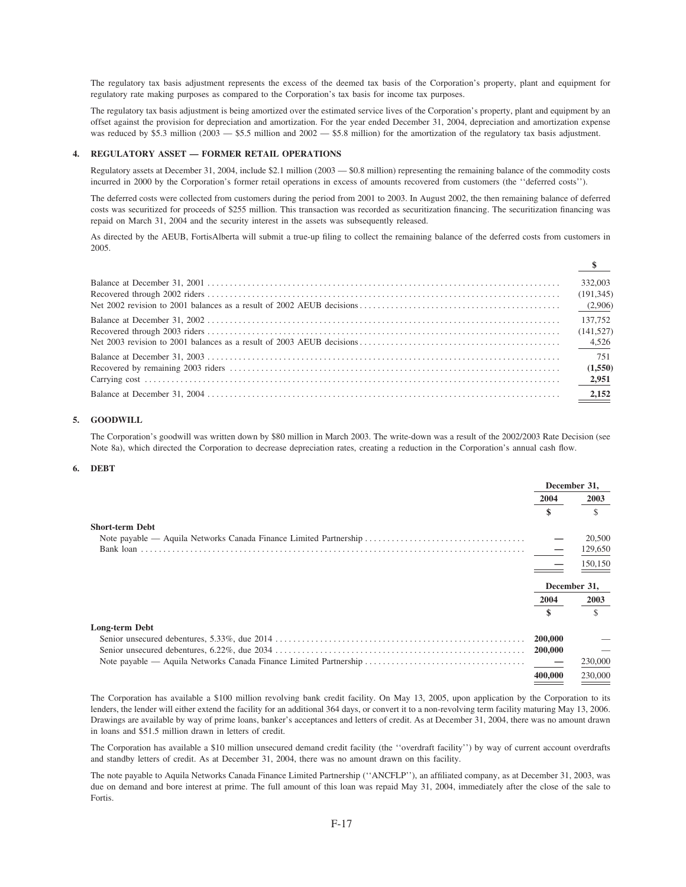The regulatory tax basis adjustment represents the excess of the deemed tax basis of the Corporation's property, plant and equipment for regulatory rate making purposes as compared to the Corporation's tax basis for income tax purposes.

The regulatory tax basis adjustment is being amortized over the estimated service lives of the Corporation's property, plant and equipment by an offset against the provision for depreciation and amortization. For the year ended December 31, 2004, depreciation and amortization expense was reduced by \$5.3 million ( $2003 - $5.5$  million and  $2002 - $5.8$  million) for the amortization of the regulatory tax basis adjustment.

# 4. REGULATORY ASSET - FORMER RETAIL OPERATIONS

Regulatory assets at December 31, 2004, include \$2.1 million (2003 - \$0.8 million) representing the remaining balance of the commodity costs incurred in 2000 by the Corporation's former retail operations in excess of amounts recovered from customers (the "deferred costs").

The deferred costs were collected from customers during the period from 2001 to 2003. In August 2002, the then remaining balance of deferred costs was securitized for proceeds of \$255 million. This transaction was recorded as securitization financing. The securitization financing was repaid on March 31, 2004 and the security interest in the assets was subsequently released.

As directed by the AEUB, FortisAlberta will submit a true-up filing to collect the remaining balance of the deferred costs from customers in 2005.

| 332,003<br>(191, 345)<br>(2,906) |
|----------------------------------|
| 137.752<br>(141, 527)            |
| 751<br>(1,550)                   |
|                                  |

# 5. GOODWILL

The Corporation's goodwill was written down by \$80 million in March 2003. The write-down was a result of the 2002/2003 Rate Decision (see Note 8a), which directed the Corporation to decrease depreciation rates, creating a reduction in the Corporation's annual cash flow.

#### 6. DEBT

|                                                                   | December 31. |              |
|-------------------------------------------------------------------|--------------|--------------|
|                                                                   | 2004         | 2003         |
|                                                                   | \$           | \$           |
| <b>Short-term Debt</b>                                            |              |              |
|                                                                   |              | 20,500       |
|                                                                   |              | 129,650      |
|                                                                   |              | 150,150      |
|                                                                   |              | December 31. |
|                                                                   | 2004         | 2003         |
|                                                                   | \$           | S            |
| Long-term Debt                                                    |              |              |
|                                                                   | 200,000      |              |
|                                                                   | 200,000      |              |
| Note payable — Aquila Networks Canada Finance Limited Partnership |              | 230,000      |
|                                                                   | 400,000      | 230,000      |
|                                                                   |              |              |

The Corporation has available a \$100 million revolving bank credit facility. On May 13, 2005, upon application by the Corporation to its lenders, the lender will either extend the facility for an additional 364 days, or convert it to a non-revolving term facility maturing May 13, 2006. Drawings are available by way of prime loans, banker's acceptances and letters of credit. As at December 31, 2004, there was no amount drawn in loans and \$51.5 million drawn in letters of credit.

The Corporation has available a \$10 million unsecured demand credit facility (the "overdraft facility") by way of current account overdrafts and standby letters of credit. As at December 31, 2004, there was no amount drawn on this facility.

The note payable to Aquila Networks Canada Finance Limited Partnership ("ANCFLP"), an affiliated company, as at December 31, 2003, was due on demand and bore interest at prime. The full amount of this loan was repaid May 31, 2004, immediately after the close of the sale to Fortis.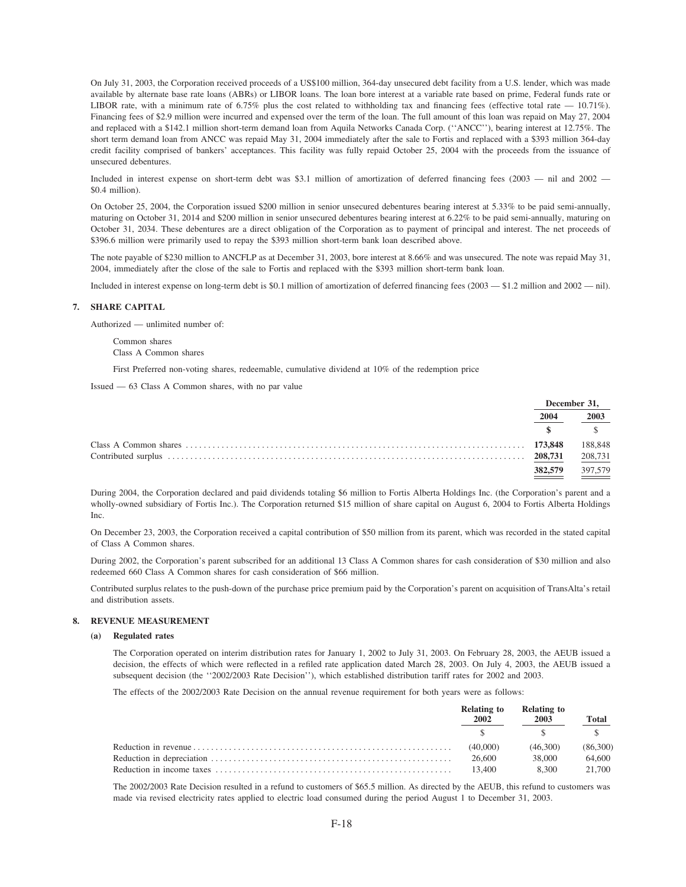On July 31, 2003, the Corporation received proceeds of a US\$100 million, 364-day unsecured debt facility from a U.S. lender, which was made available by alternate base rate loans (ABRs) or LIBOR loans. The loan bore interest at a variable rate based on prime, Federal funds rate or LIBOR rate, with a minimum rate of 6.75% plus the cost related to withholding tax and financing fees (effective total rate  $-$  10.71%). Financing fees of \$2.9 million were incurred and expensed over the term of the loan. The full amount of this loan was repaid on May 27, 2004 and replaced with a \$142.1 million short-term demand loan from Aquila Networks Canada Corp. (''ANCC''), bearing interest at 12.75%. The short term demand loan from ANCC was repaid May 31, 2004 immediately after the sale to Fortis and replaced with a \$393 million 364-day credit facility comprised of bankers' acceptances. This facility was fully repaid October 25, 2004 with the proceeds from the issuance of unsecured debentures.

Included in interest expense on short-term debt was \$3.1 million of amortization of deferred financing fees (2003 — nil and 2002 — \$0.4 million).

On October 25, 2004, the Corporation issued \$200 million in senior unsecured debentures bearing interest at 5.33% to be paid semi-annually, maturing on October 31, 2014 and \$200 million in senior unsecured debentures bearing interest at 6.22% to be paid semi-annually, maturing on October 31, 2034. These debentures are a direct obligation of the Corporation as to payment of principal and interest. The net proceeds of \$396.6 million were primarily used to repay the \$393 million short-term bank loan described above.

The note payable of \$230 million to ANCFLP as at December 31, 2003, bore interest at 8.66% and was unsecured. The note was repaid May 31, 2004, immediately after the close of the sale to Fortis and replaced with the \$393 million short-term bank loan.

Included in interest expense on long-term debt is \$0.1 million of amortization of deferred financing fees (2003 — \$1.2 million and 2002 — nil).

#### **7. SHARE CAPITAL**

Authorized — unlimited number of:

Common shares Class A Common shares

First Preferred non-voting shares, redeemable, cumulative dividend at 10% of the redemption price

Issued — 63 Class A Common shares, with no par value

| December 31. |         |
|--------------|---------|
| 2004         | 2003    |
|              |         |
| 173,848      | 188,848 |
| 208,731      | 208,731 |
| 382,579      | 397,579 |

During 2004, the Corporation declared and paid dividends totaling \$6 million to Fortis Alberta Holdings Inc. (the Corporation's parent and a wholly-owned subsidiary of Fortis Inc.). The Corporation returned \$15 million of share capital on August 6, 2004 to Fortis Alberta Holdings Inc.

On December 23, 2003, the Corporation received a capital contribution of \$50 million from its parent, which was recorded in the stated capital of Class A Common shares.

During 2002, the Corporation's parent subscribed for an additional 13 Class A Common shares for cash consideration of \$30 million and also redeemed 660 Class A Common shares for cash consideration of \$66 million.

Contributed surplus relates to the push-down of the purchase price premium paid by the Corporation's parent on acquisition of TransAlta's retail and distribution assets.

#### **8. REVENUE MEASUREMENT**

#### **(a) Regulated rates**

The Corporation operated on interim distribution rates for January 1, 2002 to July 31, 2003. On February 28, 2003, the AEUB issued a decision, the effects of which were reflected in a refiled rate application dated March 28, 2003. On July 4, 2003, the AEUB issued a subsequent decision (the ''2002/2003 Rate Decision''), which established distribution tariff rates for 2002 and 2003.

The effects of the 2002/2003 Rate Decision on the annual revenue requirement for both years were as follows:

|  | 2002     | Relating to<br>Relating to<br>2003 |          | Total |
|--|----------|------------------------------------|----------|-------|
|  |          |                                    |          |       |
|  | (40.000) | (46.300)                           | (86,300) |       |
|  | 26.600   | 38.000                             | 64.600   |       |
|  | 13.400   | 8.300                              | 21.700   |       |
|  |          |                                    |          |       |

The 2002/2003 Rate Decision resulted in a refund to customers of \$65.5 million. As directed by the AEUB, this refund to customers was made via revised electricity rates applied to electric load consumed during the period August 1 to December 31, 2003.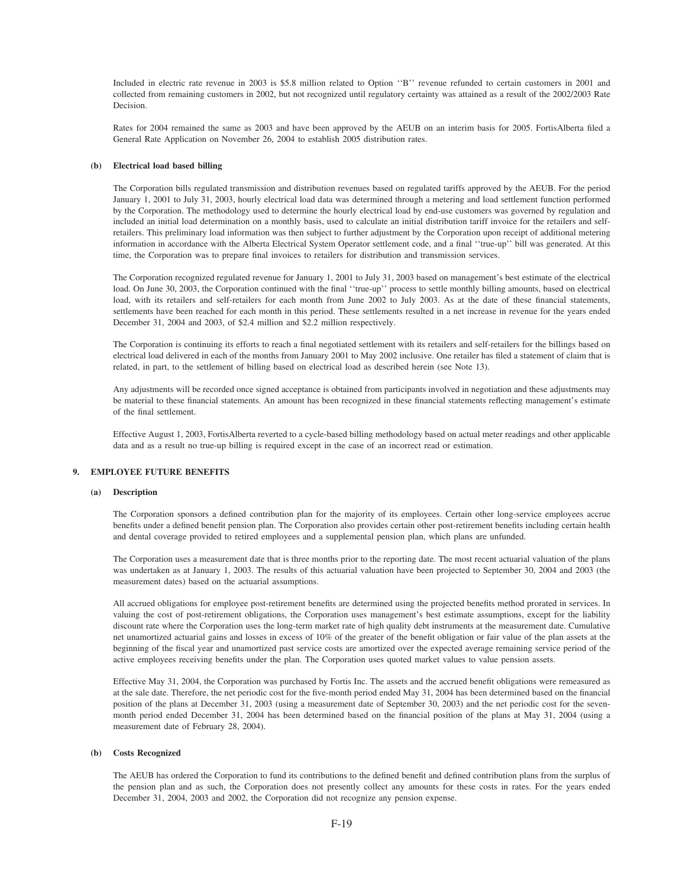Included in electric rate revenue in 2003 is \$5.8 million related to Option ''B'' revenue refunded to certain customers in 2001 and collected from remaining customers in 2002, but not recognized until regulatory certainty was attained as a result of the 2002/2003 Rate Decision.

Rates for 2004 remained the same as 2003 and have been approved by the AEUB on an interim basis for 2005. FortisAlberta filed a General Rate Application on November 26, 2004 to establish 2005 distribution rates.

#### **(b) Electrical load based billing**

The Corporation bills regulated transmission and distribution revenues based on regulated tariffs approved by the AEUB. For the period January 1, 2001 to July 31, 2003, hourly electrical load data was determined through a metering and load settlement function performed by the Corporation. The methodology used to determine the hourly electrical load by end-use customers was governed by regulation and included an initial load determination on a monthly basis, used to calculate an initial distribution tariff invoice for the retailers and selfretailers. This preliminary load information was then subject to further adjustment by the Corporation upon receipt of additional metering information in accordance with the Alberta Electrical System Operator settlement code, and a final ''true-up'' bill was generated. At this time, the Corporation was to prepare final invoices to retailers for distribution and transmission services.

The Corporation recognized regulated revenue for January 1, 2001 to July 31, 2003 based on management's best estimate of the electrical load. On June 30, 2003, the Corporation continued with the final "true-up" process to settle monthly billing amounts, based on electrical load, with its retailers and self-retailers for each month from June 2002 to July 2003. As at the date of these financial statements, settlements have been reached for each month in this period. These settlements resulted in a net increase in revenue for the years ended December 31, 2004 and 2003, of \$2.4 million and \$2.2 million respectively.

The Corporation is continuing its efforts to reach a final negotiated settlement with its retailers and self-retailers for the billings based on electrical load delivered in each of the months from January 2001 to May 2002 inclusive. One retailer has filed a statement of claim that is related, in part, to the settlement of billing based on electrical load as described herein (see Note 13).

Any adjustments will be recorded once signed acceptance is obtained from participants involved in negotiation and these adjustments may be material to these financial statements. An amount has been recognized in these financial statements reflecting management's estimate of the final settlement.

Effective August 1, 2003, FortisAlberta reverted to a cycle-based billing methodology based on actual meter readings and other applicable data and as a result no true-up billing is required except in the case of an incorrect read or estimation.

#### **9. EMPLOYEE FUTURE BENEFITS**

## **(a) Description**

The Corporation sponsors a defined contribution plan for the majority of its employees. Certain other long-service employees accrue benefits under a defined benefit pension plan. The Corporation also provides certain other post-retirement benefits including certain health and dental coverage provided to retired employees and a supplemental pension plan, which plans are unfunded.

The Corporation uses a measurement date that is three months prior to the reporting date. The most recent actuarial valuation of the plans was undertaken as at January 1, 2003. The results of this actuarial valuation have been projected to September 30, 2004 and 2003 (the measurement dates) based on the actuarial assumptions.

All accrued obligations for employee post-retirement benefits are determined using the projected benefits method prorated in services. In valuing the cost of post-retirement obligations, the Corporation uses management's best estimate assumptions, except for the liability discount rate where the Corporation uses the long-term market rate of high quality debt instruments at the measurement date. Cumulative net unamortized actuarial gains and losses in excess of 10% of the greater of the benefit obligation or fair value of the plan assets at the beginning of the fiscal year and unamortized past service costs are amortized over the expected average remaining service period of the active employees receiving benefits under the plan. The Corporation uses quoted market values to value pension assets.

Effective May 31, 2004, the Corporation was purchased by Fortis Inc. The assets and the accrued benefit obligations were remeasured as at the sale date. Therefore, the net periodic cost for the five-month period ended May 31, 2004 has been determined based on the financial position of the plans at December 31, 2003 (using a measurement date of September 30, 2003) and the net periodic cost for the sevenmonth period ended December 31, 2004 has been determined based on the financial position of the plans at May 31, 2004 (using a measurement date of February 28, 2004).

#### **(b) Costs Recognized**

The AEUB has ordered the Corporation to fund its contributions to the defined benefit and defined contribution plans from the surplus of the pension plan and as such, the Corporation does not presently collect any amounts for these costs in rates. For the years ended December 31, 2004, 2003 and 2002, the Corporation did not recognize any pension expense.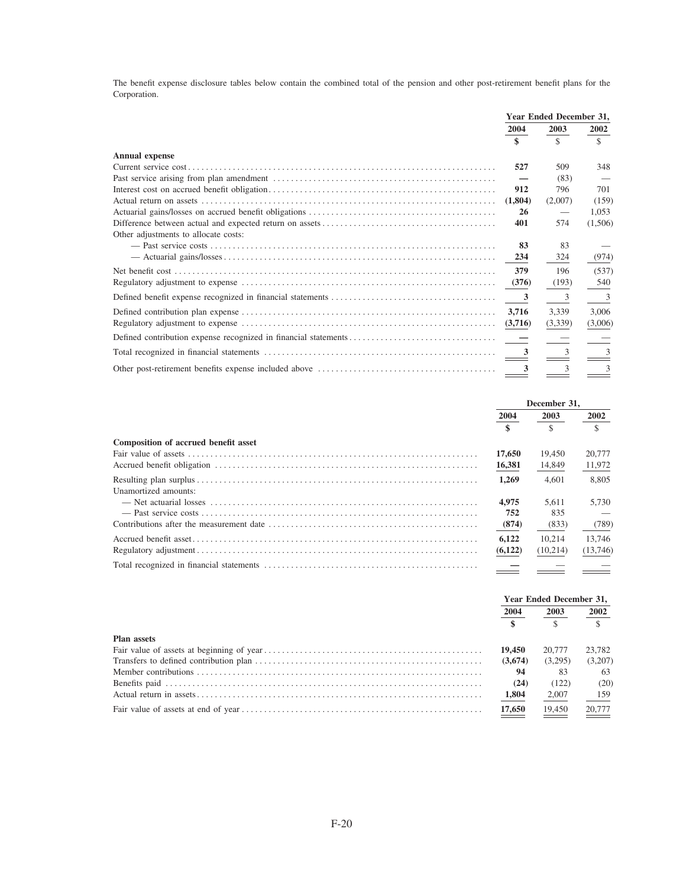The benefit expense disclosure tables below contain the combined total of the pension and other post-retirement benefit plans for the Corporation.

|                                      | Year Ended December 31, |               |                |
|--------------------------------------|-------------------------|---------------|----------------|
|                                      | 2004                    | 2003          | 2002           |
|                                      | \$                      | $\mathcal{S}$ | \$             |
| <b>Annual expense</b>                |                         |               |                |
|                                      | 527                     | 509           | 348            |
|                                      |                         | (83)          |                |
|                                      | 912                     | 796           | 701            |
|                                      | (1,804)                 | (2,007)       | (159)          |
|                                      | 26                      |               | 1.053          |
|                                      | 401                     | 574           | (1,506)        |
| Other adjustments to allocate costs: |                         |               |                |
|                                      | 83                      | 83            |                |
|                                      | 234                     | 324           | (974)          |
|                                      | 379                     | 196           | (537)          |
|                                      | (376)                   | (193)         | 540            |
|                                      | $\overline{\mathbf{3}}$ | 3             | $\overline{3}$ |
|                                      | 3.716                   | 3,339         | 3,006          |
|                                      | (3,716)                 | (3,339)       | (3,006)        |
|                                      |                         |               |                |
|                                      | $\overline{\mathbf{3}}$ |               | $\mathcal{R}$  |
|                                      | 3                       | 3             | 3              |

|                                      | December 31.        |               |          |
|--------------------------------------|---------------------|---------------|----------|
|                                      | 2004                | 2003          | 2002     |
|                                      | $\ddot{\mathbf{s}}$ | $\mathcal{S}$ |          |
| Composition of accrued benefit asset |                     |               |          |
|                                      | 17,650              | 19.450        | 20,777   |
|                                      | 16,381              | 14,849        | 11,972   |
|                                      | 1.269               | 4.601         | 8.805    |
| Unamortized amounts:                 |                     |               |          |
|                                      | 4,975               | 5.611         | 5.730    |
|                                      | 752                 | 835           |          |
|                                      | (874)               | (833)         | (789)    |
|                                      | 6.122               | 10.214        | 13,746   |
|                                      | (6,122)             | (10,214)      | (13,746) |
|                                      |                     |               |          |

|                    | Year Ended December 31. |         |         |
|--------------------|-------------------------|---------|---------|
|                    | 2004                    | 2003    | 2002    |
|                    | $\overline{\mathbf{s}}$ |         |         |
| <b>Plan assets</b> |                         |         |         |
|                    | 19,450                  | 20.777  | 23,782  |
|                    | (3,674)                 | (3.295) | (3,207) |
|                    | 94                      | 83      | 63      |
|                    | (24)                    | (122)   | (20)    |
|                    | 1,804                   | 2,007   | 159     |
|                    | 17,650                  | 19,450  | 20,777  |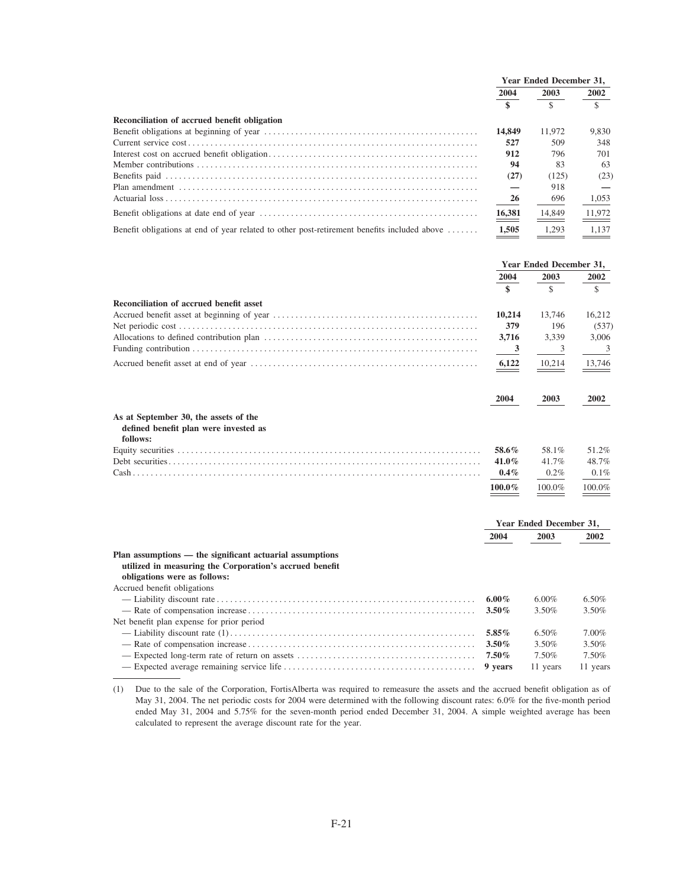|                                                                                             | <b>Year Ended December 31.</b> |               |              |  |
|---------------------------------------------------------------------------------------------|--------------------------------|---------------|--------------|--|
|                                                                                             | 2004                           | 2003          | 2002         |  |
|                                                                                             | $\mathbf{s}$                   | $\mathcal{S}$ | $\mathbf{s}$ |  |
| Reconciliation of accrued benefit obligation                                                |                                |               |              |  |
|                                                                                             | 14,849                         | 11.972        | 9.830        |  |
|                                                                                             | 527                            | 509           | 348          |  |
|                                                                                             | 912                            | 796           | 701          |  |
|                                                                                             | 94                             | 83            | 63           |  |
|                                                                                             | (27)                           | (125)         | (23)         |  |
|                                                                                             |                                | 918           |              |  |
|                                                                                             | 26                             | 696           | 1,053        |  |
|                                                                                             | $\underline{\frac{16,381}{}}$  | 14,849        | 11,972       |  |
| Benefit obligations at end of year related to other post-retirement benefits included above | 1,505                          | 1.293         | 1.137        |  |

|                                                                                                                                                     | Year Ended December 31, |                         |          |
|-----------------------------------------------------------------------------------------------------------------------------------------------------|-------------------------|-------------------------|----------|
|                                                                                                                                                     | 2004                    | 2003                    | 2002     |
|                                                                                                                                                     | \$                      | $\mathcal{S}$           | \$       |
| Reconciliation of accrued benefit asset                                                                                                             |                         |                         |          |
|                                                                                                                                                     | 10,214                  | 13,746                  | 16,212   |
|                                                                                                                                                     | 379                     | 196                     | (537)    |
|                                                                                                                                                     | 3,716                   | 3.339                   | 3,006    |
|                                                                                                                                                     | 3                       | 3                       | 3        |
|                                                                                                                                                     | 6,122                   | 10,214                  | 13,746   |
|                                                                                                                                                     | 2004                    | 2003                    | 2002     |
| As at September 30, the assets of the<br>defined benefit plan were invested as<br>follows:                                                          |                         |                         |          |
|                                                                                                                                                     | 58.6%                   | 58.1%                   | 51.2%    |
|                                                                                                                                                     | $41.0\%$                | 41.7%                   | 48.7%    |
|                                                                                                                                                     | $0.4\%$                 | $0.2\%$                 | $0.1\%$  |
|                                                                                                                                                     | 100.0%                  | 100.0%                  | 100.0%   |
|                                                                                                                                                     |                         | Year Ended December 31, |          |
|                                                                                                                                                     | 2004                    | 2003                    | 2002     |
| Plan assumptions — the significant actuarial assumptions<br>utilized in measuring the Corporation's accrued benefit<br>obligations were as follows: |                         |                         |          |
| Accrued benefit obligations                                                                                                                         |                         |                         |          |
| - Liability discount rate                                                                                                                           | 6.00%                   | $6.00\%$                | $6.50\%$ |

|                                           | 6.00% | $6.50\%$ |
|-------------------------------------------|-------|----------|
|                                           | 3.50% | 3.50%    |
| Net benefit plan expense for prior period |       |          |
|                                           | 6.50% | 7.00%    |
|                                           | 3.50% | 3.50%    |
|                                           | 7.50% | 7.50%    |
|                                           |       |          |

(1) Due to the sale of the Corporation, FortisAlberta was required to remeasure the assets and the accrued benefit obligation as of May 31, 2004. The net periodic costs for 2004 were determined with the following discount rates: 6.0% for the five-month period ended May 31, 2004 and 5.75% for the seven-month period ended December 31, 2004. A simple weighted average has been calculated to represent the average discount rate for the year.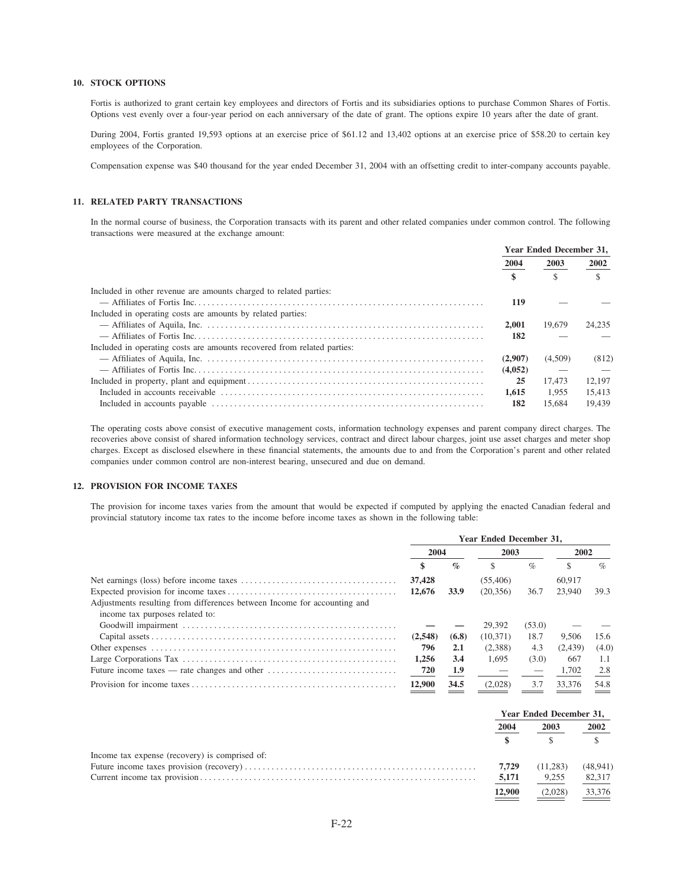# **10. STOCK OPTIONS**

Fortis is authorized to grant certain key employees and directors of Fortis and its subsidiaries options to purchase Common Shares of Fortis. Options vest evenly over a four-year period on each anniversary of the date of grant. The options expire 10 years after the date of grant.

During 2004, Fortis granted 19,593 options at an exercise price of \$61.12 and 13,402 options at an exercise price of \$58.20 to certain key employees of the Corporation.

Compensation expense was \$40 thousand for the year ended December 31, 2004 with an offsetting credit to inter-company accounts payable.

# 11. RELATED PARTY TRANSACTIONS

In the normal course of business, the Corporation transacts with its parent and other related companies under common control. The following transactions were measured at the exchange amount:

|                                                                         | Year Ended December 31, |         |        |
|-------------------------------------------------------------------------|-------------------------|---------|--------|
|                                                                         | 2004                    | 2003    | 2002   |
|                                                                         |                         |         |        |
| Included in other revenue are amounts charged to related parties:       |                         |         |        |
|                                                                         | 119                     |         |        |
| Included in operating costs are amounts by related parties:             |                         |         |        |
|                                                                         | 2.001                   | 19.679  | 24.235 |
|                                                                         | 182                     |         |        |
| Included in operating costs are amounts recovered from related parties: |                         |         |        |
|                                                                         | (2.907)                 | (4.509) | (812)  |
|                                                                         | (4,052)                 |         |        |
|                                                                         | 25                      | 17.473  | 12.197 |
|                                                                         | 1.615                   | 1.955   | 15.413 |
|                                                                         | 182                     | 15.684  | 19.439 |

The operating costs above consist of executive management costs, information technology expenses and parent company direct charges. The recoveries above consist of shared information technology services, contract and direct labour charges, joint use asset charges and meter shop charges. Except as disclosed elsewhere in these financial statements, the amounts due to and from the Corporation's parent and other related companies under common control are non-interest bearing, unsecured and due on demand.

# 12. PROVISION FOR INCOME TAXES

The provision for income taxes varies from the amount that would be expected if computed by applying the enacted Canadian federal and provincial statutory income tax rates to the income before income taxes as shown in the following table:

| <b>Year Ended December 31.</b> |                 |           |        |         |       |  |      |  |
|--------------------------------|-----------------|-----------|--------|---------|-------|--|------|--|
|                                | 2003            |           | 2004   |         |       |  | 2002 |  |
|                                | $\mathcal{O}_0$ |           | $\%$   |         | $\%$  |  |      |  |
| 37,428                         |                 | (55, 406) |        | 60.917  |       |  |      |  |
| 12.676                         | 33.9            | (20.356)  | 36.7   | 23,940  | 39.3  |  |      |  |
|                                |                 |           |        |         |       |  |      |  |
|                                |                 |           |        |         |       |  |      |  |
|                                |                 | 29,392    | (53.0) |         |       |  |      |  |
| (2,548)                        | (6.8)           | (10.371)  | 18.7   | 9.506   | 15.6  |  |      |  |
| 796                            | 2.1             | (2,388)   | 4.3    | (2.439) | (4.0) |  |      |  |
| 1.256                          | 3.4             | 1.695     | (3.0)  | 667     | 1.1   |  |      |  |
| 720                            | 1.9             |           |        | 1,702   | 2.8   |  |      |  |
| 12,900                         | 34.5            | (2.028)   | 3.7    | 33,376  | 54.8  |  |      |  |
|                                |                 |           |        |         |       |  |      |  |

|                                                | <b>Year Ended December 31.</b> |          |          |
|------------------------------------------------|--------------------------------|----------|----------|
|                                                | 2004                           | 2003     | 2002     |
|                                                |                                |          |          |
| Income tax expense (recovery) is comprised of: |                                |          |          |
|                                                | 7.729                          | (11,283) | (48,941) |
|                                                | 5,171                          | 9,255    | 82,317   |
|                                                | 12,900                         | (2,028)  | 33,376   |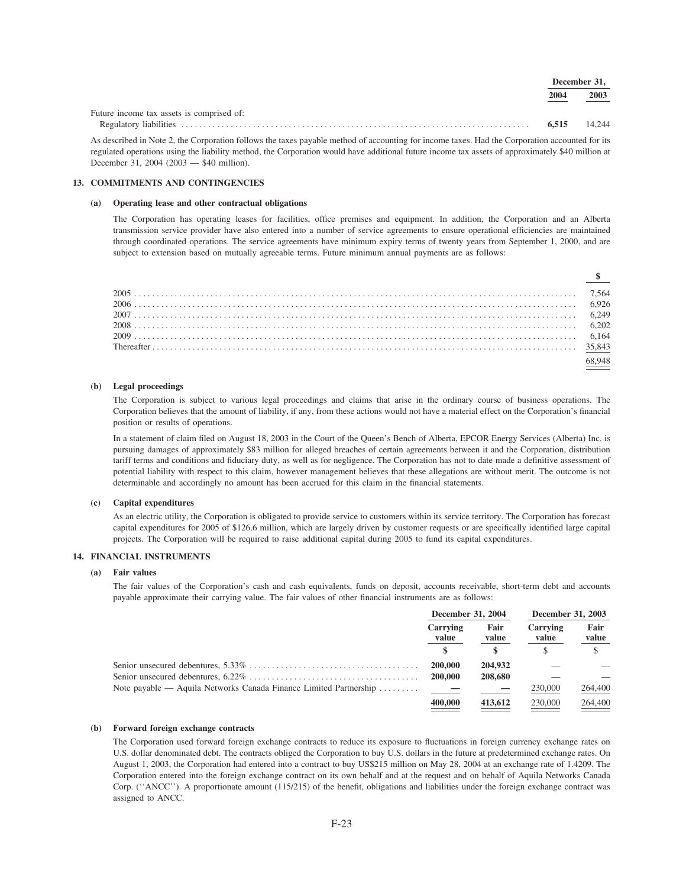|                                           |       | December 31. |
|-------------------------------------------|-------|--------------|
|                                           | 2004  | 2003         |
| Future income tax assets is comprised of: |       |              |
|                                           | 6.515 | 14.244       |

 $\mathbf{r}$  $\sim$ 

As described in Note 2, the Corporation follows the taxes payable method of accounting for income taxes. Had the Corporation accounted for its regulated operations using the liability method, the Corporation would have additional future income tax assets of approximately \$40 million at December 31, 2004 (2003 - \$40 million).

## 13. COMMITMENTS AND CONTINGENCIES

## (a) Operating lease and other contractual obligations

The Corporation has operating leases for facilities, office premises and equipment. In addition, the Corporation and an Alberta transmission service provider have also entered into a number of service agreements to ensure operational efficiencies are maintained through coordinated operations. The service agreements have minimum expiry terms of twenty years from September 1, 2000, and are subject to extension based on mutually agreeable terms. Future minimum annual payments are as follows:

| $\frac{\$}{}$ |
|---------------|
|               |
|               |
|               |
|               |
|               |
|               |
| 8948          |

# (b) Legal proceedings

The Corporation is subject to various legal proceedings and claims that arise in the ordinary course of business operations. The Corporation believes that the amount of liability, if any, from these actions would not have a material effect on the Corporation's financial position or results of operations.

In a statement of claim filed on August 18, 2003 in the Court of the Queen's Bench of Alberta, EPCOR Energy Services (Alberta) Inc. is pursuing damages of approximately \$83 million for alleged breaches of certain agreements between it and the Corporation, distribution tariff terms and conditions and fiduciary duty, as well as for negligence. The Corporation has not to date made a definitive assessment of potential liability with respect to this claim, however management believes that these allegations are without merit. The outcome is not determinable and accordingly no amount has been accrued for this claim in the financial statements.

## (c) Capital expenditures

As an electric utility, the Corporation is obligated to provide service to customers within its service territory. The Corporation has forecast capital expenditures for 2005 of \$126.6 million, which are largely driven by customer requests or are specifically identified large capital projects. The Corporation will be required to raise additional capital during 2005 to fund its capital expenditures.

# **14. FINANCIAL INSTRUMENTS**

# $(a)$  Fair values

The fair values of the Corporation's cash and cash equivalents, funds on deposit, accounts receivable, short-term debt and accounts payable approximate their carrying value. The fair values of other financial instruments are as follows:

| December 31, 2004 |               | December 31, 2003 |                   |               |
|-------------------|---------------|-------------------|-------------------|---------------|
| Carrying<br>value | Fair<br>value |                   | Carrying<br>value | Fair<br>value |
|                   |               |                   |                   |               |
| 200,000           | 204,932       |                   |                   |               |
| 200,000           | 208,680       |                   |                   |               |
|                   |               | 230,000           | 264,400           |               |
| 400,000           | 413,612       | 230,000           | 264,400           |               |
|                   |               |                   |                   |               |

#### (b) Forward foreign exchange contracts

The Corporation used forward foreign exchange contracts to reduce its exposure to fluctuations in foreign currency exchange rates on U.S. dollar denominated debt. The contracts obliged the Corporation to buy U.S. dollars in the future at predetermined exchange rates. On August 1, 2003, the Corporation had entered into a contract to buy US\$215 million on May 28, 2004 at an exchange rate of 1.4209. The Corporation entered into the foreign exchange contract on its own behalf and at the request and on behalf of Aquila Networks Canada Corp. ("ANCC"). A proportionate amount (115/215) of the benefit, obligations and liabilities under the foreign exchange contract was assigned to ANCC.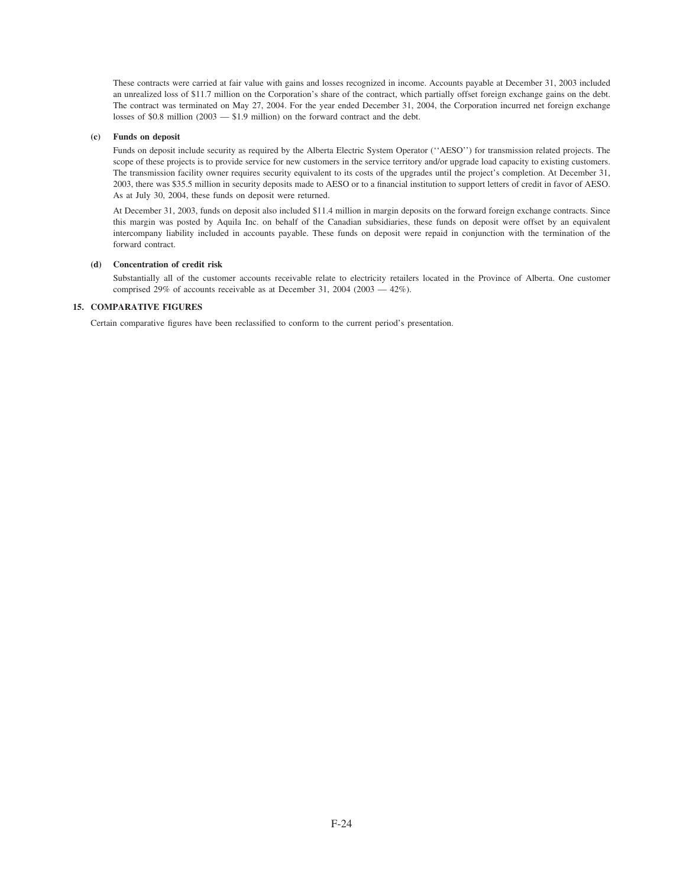These contracts were carried at fair value with gains and losses recognized in income. Accounts payable at December 31, 2003 included an unrealized loss of \$11.7 million on the Corporation's share of the contract, which partially offset foreign exchange gains on the debt. The contract was terminated on May 27, 2004. For the year ended December 31, 2004, the Corporation incurred net foreign exchange losses of \$0.8 million (2003 — \$1.9 million) on the forward contract and the debt.

#### **(c) Funds on deposit**

Funds on deposit include security as required by the Alberta Electric System Operator (''AESO'') for transmission related projects. The scope of these projects is to provide service for new customers in the service territory and/or upgrade load capacity to existing customers. The transmission facility owner requires security equivalent to its costs of the upgrades until the project's completion. At December 31, 2003, there was \$35.5 million in security deposits made to AESO or to a financial institution to support letters of credit in favor of AESO. As at July 30, 2004, these funds on deposit were returned.

At December 31, 2003, funds on deposit also included \$11.4 million in margin deposits on the forward foreign exchange contracts. Since this margin was posted by Aquila Inc. on behalf of the Canadian subsidiaries, these funds on deposit were offset by an equivalent intercompany liability included in accounts payable. These funds on deposit were repaid in conjunction with the termination of the forward contract.

## **(d) Concentration of credit risk**

Substantially all of the customer accounts receivable relate to electricity retailers located in the Province of Alberta. One customer comprised 29% of accounts receivable as at December 31, 2004 (2003 — 42%).

## **15. COMPARATIVE FIGURES**

Certain comparative figures have been reclassified to conform to the current period's presentation.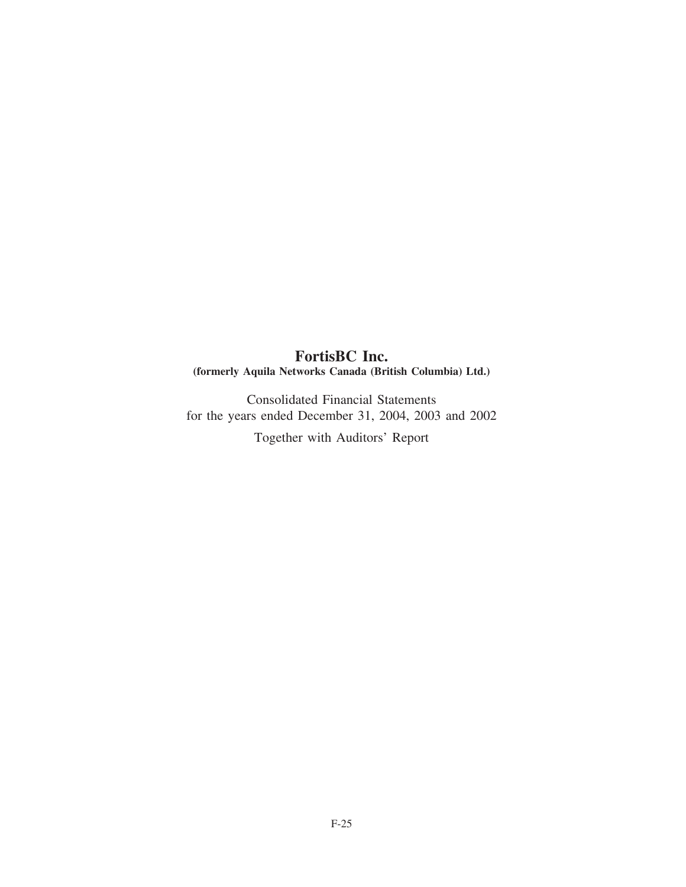# **FortisBC Inc. (formerly Aquila Networks Canada (British Columbia) Ltd.)**

Consolidated Financial Statements for the years ended December 31, 2004, 2003 and 2002

Together with Auditors' Report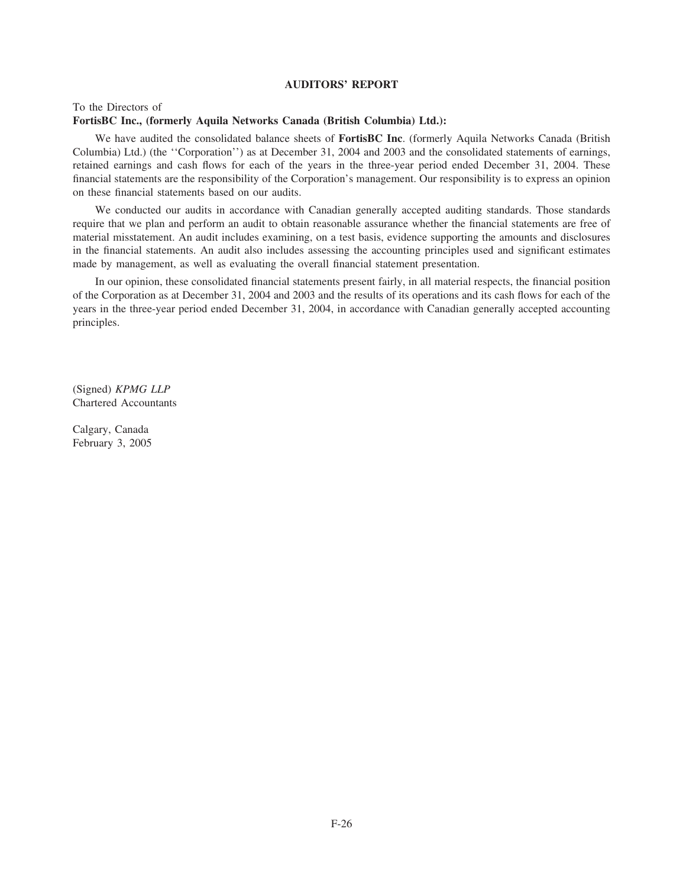# **AUDITORS' REPORT**

# To the Directors of **FortisBC Inc., (formerly Aquila Networks Canada (British Columbia) Ltd.):**

We have audited the consolidated balance sheets of **FortisBC Inc**. (formerly Aquila Networks Canada (British Columbia) Ltd.) (the ''Corporation'') as at December 31, 2004 and 2003 and the consolidated statements of earnings, retained earnings and cash flows for each of the years in the three-year period ended December 31, 2004. These financial statements are the responsibility of the Corporation's management. Our responsibility is to express an opinion on these financial statements based on our audits.

We conducted our audits in accordance with Canadian generally accepted auditing standards. Those standards require that we plan and perform an audit to obtain reasonable assurance whether the financial statements are free of material misstatement. An audit includes examining, on a test basis, evidence supporting the amounts and disclosures in the financial statements. An audit also includes assessing the accounting principles used and significant estimates made by management, as well as evaluating the overall financial statement presentation.

In our opinion, these consolidated financial statements present fairly, in all material respects, the financial position of the Corporation as at December 31, 2004 and 2003 and the results of its operations and its cash flows for each of the years in the three-year period ended December 31, 2004, in accordance with Canadian generally accepted accounting principles.

(Signed) *KPMG LLP* Chartered Accountants

Calgary, Canada February 3, 2005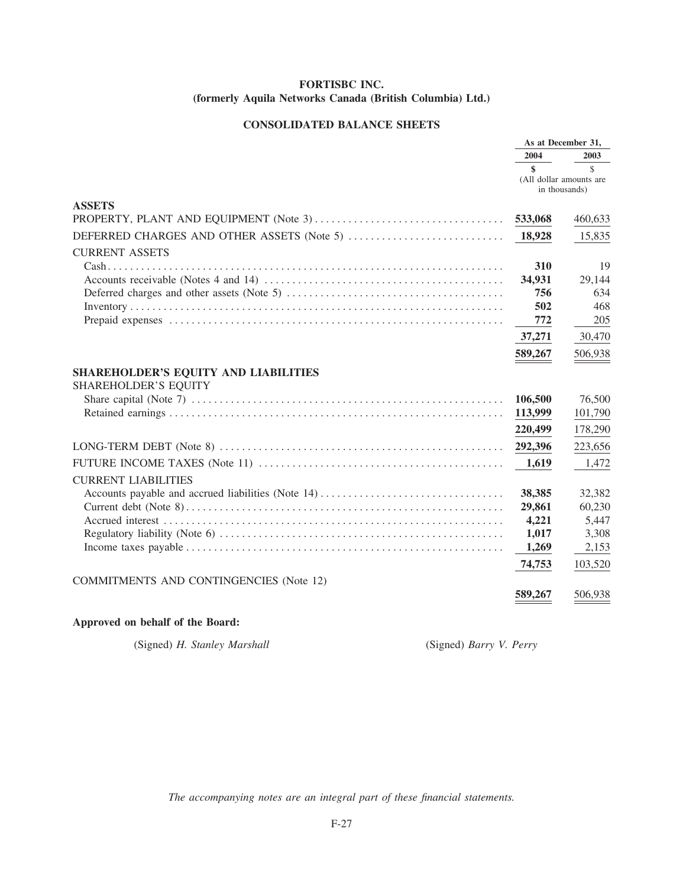# **CONSOLIDATED BALANCE SHEETS**

|                                                | As at December 31, |                                          |
|------------------------------------------------|--------------------|------------------------------------------|
|                                                | 2004               | 2003                                     |
|                                                | \$                 | $\mathcal{S}$                            |
|                                                |                    | (All dollar amounts are<br>in thousands) |
| <b>ASSETS</b>                                  |                    |                                          |
|                                                | 533,068            | 460,633                                  |
| DEFERRED CHARGES AND OTHER ASSETS (Note 5)     | 18,928             | 15,835                                   |
| <b>CURRENT ASSETS</b>                          |                    |                                          |
|                                                | 310                | 19                                       |
|                                                | 34,931             | 29,144                                   |
|                                                | 756                | 634                                      |
|                                                | 502                | 468                                      |
|                                                | 772                | 205                                      |
|                                                | 37,271             | 30,470                                   |
|                                                | 589,267            | 506,938                                  |
| SHAREHOLDER'S EQUITY AND LIABILITIES           |                    |                                          |
| <b>SHAREHOLDER'S EQUITY</b>                    |                    |                                          |
|                                                | 106,500            | 76,500                                   |
|                                                | 113,999            | 101,790                                  |
|                                                | 220,499            | 178,290                                  |
|                                                | 292,396            | 223,656                                  |
|                                                | 1,619              | 1,472                                    |
| <b>CURRENT LIABILITIES</b>                     |                    |                                          |
|                                                | 38,385             | 32,382                                   |
|                                                | 29,861             | 60,230                                   |
|                                                | 4,221              | 5,447                                    |
|                                                | 1,017              | 3,308                                    |
|                                                | 1,269              | 2,153                                    |
|                                                | 74,753             | 103,520                                  |
| <b>COMMITMENTS AND CONTINGENCIES (Note 12)</b> |                    |                                          |
|                                                | 589,267            | 506,938                                  |
|                                                |                    |                                          |

# Approved on behalf of the Board:

(Signed) H. Stanley Marshall

(Signed) Barry V. Perry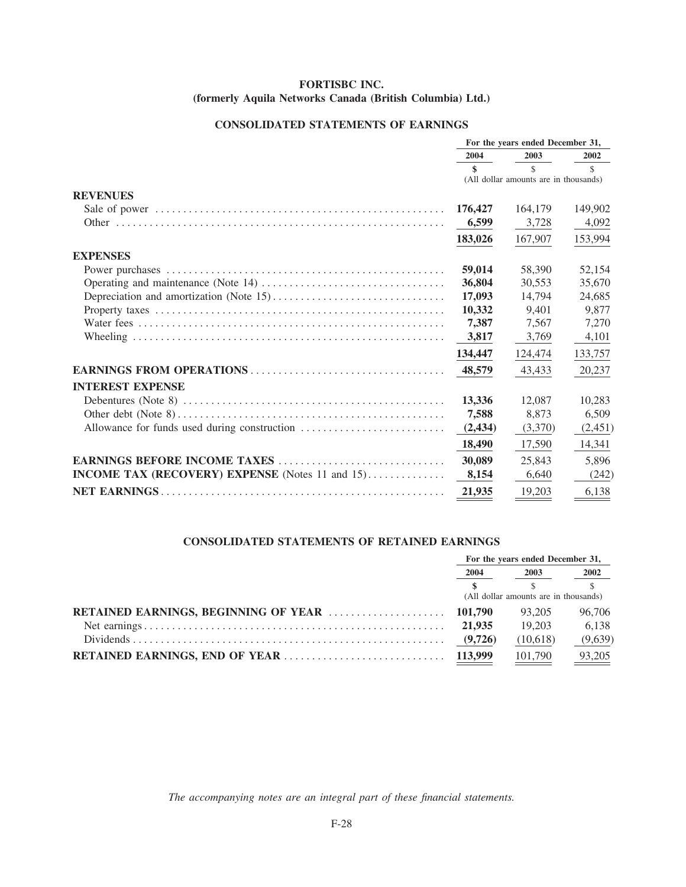# **CONSOLIDATED STATEMENTS OF EARNINGS**

|                                                        |          | For the years ended December 31,      |               |
|--------------------------------------------------------|----------|---------------------------------------|---------------|
|                                                        | 2004     | 2003                                  | 2002          |
|                                                        | \$       | $\mathcal{S}$                         | $\mathcal{S}$ |
|                                                        |          | (All dollar amounts are in thousands) |               |
| <b>REVENUES</b>                                        |          |                                       |               |
|                                                        | 176,427  | 164,179                               | 149,902       |
|                                                        | 6,599    | 3,728                                 | 4,092         |
|                                                        | 183,026  | 167,907                               | 153,994       |
| <b>EXPENSES</b>                                        |          |                                       |               |
|                                                        | 59,014   | 58,390                                | 52,154        |
|                                                        | 36,804   | 30.553                                | 35,670        |
|                                                        | 17,093   | 14.794                                | 24,685        |
|                                                        | 10,332   | 9.401                                 | 9,877         |
|                                                        | 7,387    | 7,567                                 | 7,270         |
|                                                        | 3,817    | 3,769                                 | 4,101         |
|                                                        | 134,447  | 124,474                               | 133,757       |
|                                                        | 48,579   | 43,433                                | 20,237        |
| <b>INTEREST EXPENSE</b>                                |          |                                       |               |
|                                                        | 13,336   | 12,087                                | 10,283        |
|                                                        | 7,588    | 8,873                                 | 6,509         |
|                                                        | (2, 434) | (3,370)                               | (2,451)       |
|                                                        | 18,490   | 17,590                                | 14,341        |
|                                                        | 30,089   | 25,843                                | 5,896         |
| <b>INCOME TAX (RECOVERY) EXPENSE</b> (Notes 11 and 15) | 8,154    | 6,640                                 | (242)         |
|                                                        | 21,935   | 19,203                                | 6,138         |

# **CONSOLIDATED STATEMENTS OF RETAINED EARNINGS**

| For the years ended December 31,      |          |              |
|---------------------------------------|----------|--------------|
| 2004                                  | 2003     | 2002         |
|                                       |          | $\mathbb{S}$ |
| (All dollar amounts are in thousands) |          |              |
|                                       | 93.205   | 96,706       |
| 21.935                                | 19.203   | 6.138        |
|                                       | (10,618) | (9,639)      |
|                                       | 101,790  | 93,205       |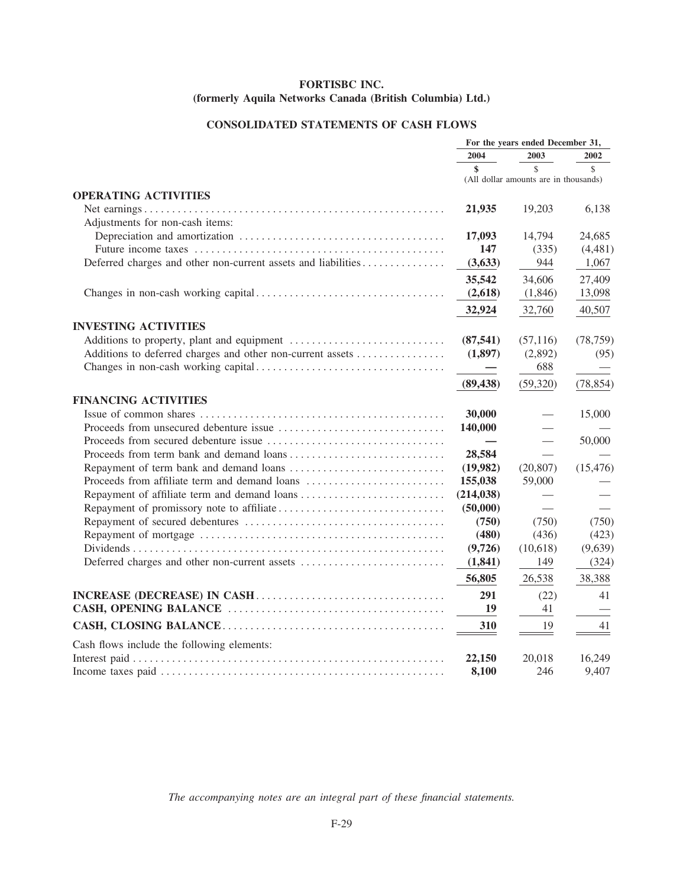# **CONSOLIDATED STATEMENTS OF CASH FLOWS**

|                                                               | For the years ended December 31, |                                       |               |
|---------------------------------------------------------------|----------------------------------|---------------------------------------|---------------|
|                                                               | 2004                             | 2003                                  | 2002          |
|                                                               | $\boldsymbol{\hat{\mathbf{s}}}$  | $\mathbf{\hat{S}}$                    | $\mathcal{S}$ |
|                                                               |                                  | (All dollar amounts are in thousands) |               |
| <b>OPERATING ACTIVITIES</b>                                   |                                  |                                       |               |
| Adjustments for non-cash items:                               | 21,935                           | 19,203                                | 6,138         |
|                                                               | 17,093                           | 14,794                                | 24,685        |
|                                                               | 147                              | (335)                                 | (4, 481)      |
| Deferred charges and other non-current assets and liabilities | (3, 633)                         | 944                                   | 1,067         |
|                                                               | 35,542                           | 34,606                                | 27,409        |
|                                                               | (2,618)                          | (1,846)                               | 13,098        |
|                                                               | 32,924                           | 32,760                                | 40,507        |
| <b>INVESTING ACTIVITIES</b>                                   |                                  |                                       |               |
|                                                               | (87, 541)                        | (57, 116)                             | (78, 759)     |
| Additions to deferred charges and other non-current assets    | (1,897)                          | (2,892)                               | (95)          |
|                                                               |                                  | 688                                   |               |
|                                                               | (89, 438)                        | (59, 320)                             | (78, 854)     |
| <b>FINANCING ACTIVITIES</b>                                   |                                  |                                       |               |
|                                                               | 30,000                           |                                       | 15,000        |
|                                                               | 140,000                          |                                       |               |
|                                                               |                                  |                                       | 50,000        |
|                                                               | 28,584                           |                                       |               |
|                                                               | (19,982)                         | (20, 807)                             | (15, 476)     |
| Proceeds from affiliate term and demand loans                 | 155,038                          | 59,000                                |               |
| Repayment of affiliate term and demand loans                  | (214, 038)                       |                                       |               |
|                                                               | (50,000)                         |                                       |               |
|                                                               | (750)                            | (750)                                 | (750)         |
|                                                               | (480)                            | (436)                                 | (423)         |
|                                                               | (9,726)                          | (10,618)                              | (9,639)       |
|                                                               | (1, 841)                         | 149                                   | (324)         |
|                                                               | 56,805                           | 26,538                                | 38,388        |
|                                                               | 291                              | (22)                                  | 41            |
|                                                               | 19                               | 41                                    |               |
|                                                               | 310                              | 19                                    | 41            |
| Cash flows include the following elements:                    |                                  |                                       |               |
|                                                               | 22,150                           | 20,018                                | 16,249        |
|                                                               | 8,100                            | 246                                   | 9,407         |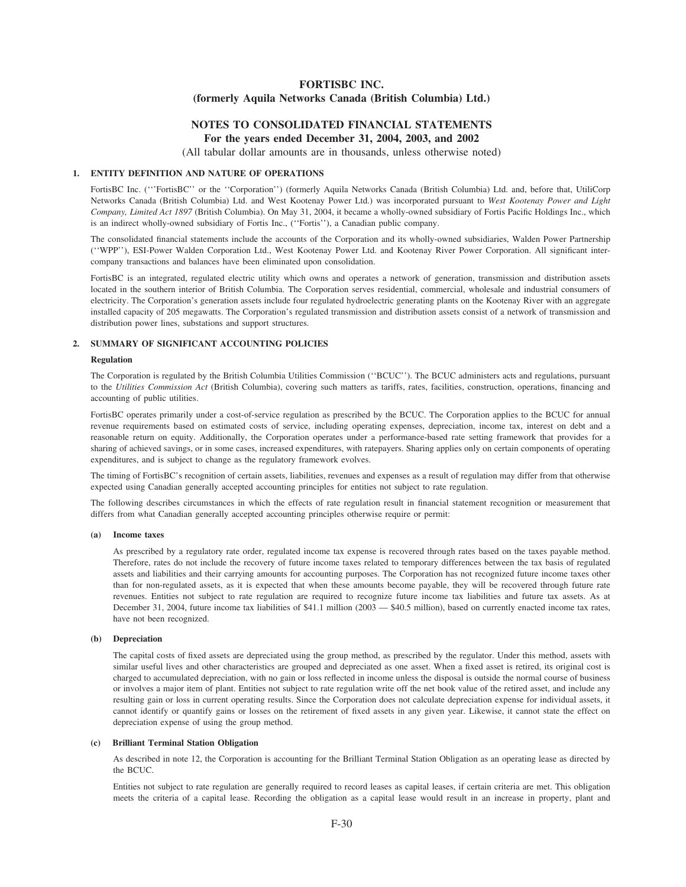# **NOTES TO CONSOLIDATED FINANCIAL STATEMENTS For the years ended December 31, 2004, 2003, and 2002**

(All tabular dollar amounts are in thousands, unless otherwise noted)

# **1. ENTITY DEFINITION AND NATURE OF OPERATIONS**

FortisBC Inc. ('''FortisBC'' or the ''Corporation'') (formerly Aquila Networks Canada (British Columbia) Ltd. and, before that, UtiliCorp Networks Canada (British Columbia) Ltd. and West Kootenay Power Ltd.) was incorporated pursuant to *West Kootenay Power and Light Company, Limited Act 1897* (British Columbia). On May 31, 2004, it became a wholly-owned subsidiary of Fortis Pacific Holdings Inc., which is an indirect wholly-owned subsidiary of Fortis Inc., (''Fortis''), a Canadian public company.

The consolidated financial statements include the accounts of the Corporation and its wholly-owned subsidiaries, Walden Power Partnership (''WPP''), ESI-Power Walden Corporation Ltd., West Kootenay Power Ltd. and Kootenay River Power Corporation. All significant intercompany transactions and balances have been eliminated upon consolidation.

FortisBC is an integrated, regulated electric utility which owns and operates a network of generation, transmission and distribution assets located in the southern interior of British Columbia. The Corporation serves residential, commercial, wholesale and industrial consumers of electricity. The Corporation's generation assets include four regulated hydroelectric generating plants on the Kootenay River with an aggregate installed capacity of 205 megawatts. The Corporation's regulated transmission and distribution assets consist of a network of transmission and distribution power lines, substations and support structures.

## **2. SUMMARY OF SIGNIFICANT ACCOUNTING POLICIES**

#### **Regulation**

The Corporation is regulated by the British Columbia Utilities Commission ("BCUC"). The BCUC administers acts and regulations, pursuant to the *Utilities Commission Act* (British Columbia), covering such matters as tariffs, rates, facilities, construction, operations, financing and accounting of public utilities.

FortisBC operates primarily under a cost-of-service regulation as prescribed by the BCUC. The Corporation applies to the BCUC for annual revenue requirements based on estimated costs of service, including operating expenses, depreciation, income tax, interest on debt and a reasonable return on equity. Additionally, the Corporation operates under a performance-based rate setting framework that provides for a sharing of achieved savings, or in some cases, increased expenditures, with ratepayers. Sharing applies only on certain components of operating expenditures, and is subject to change as the regulatory framework evolves.

The timing of FortisBC's recognition of certain assets, liabilities, revenues and expenses as a result of regulation may differ from that otherwise expected using Canadian generally accepted accounting principles for entities not subject to rate regulation.

The following describes circumstances in which the effects of rate regulation result in financial statement recognition or measurement that differs from what Canadian generally accepted accounting principles otherwise require or permit:

#### **(a) Income taxes**

As prescribed by a regulatory rate order, regulated income tax expense is recovered through rates based on the taxes payable method. Therefore, rates do not include the recovery of future income taxes related to temporary differences between the tax basis of regulated assets and liabilities and their carrying amounts for accounting purposes. The Corporation has not recognized future income taxes other than for non-regulated assets, as it is expected that when these amounts become payable, they will be recovered through future rate revenues. Entities not subject to rate regulation are required to recognize future income tax liabilities and future tax assets. As at December 31, 2004, future income tax liabilities of \$41.1 million (2003 — \$40.5 million), based on currently enacted income tax rates, have not been recognized.

## **(b) Depreciation**

The capital costs of fixed assets are depreciated using the group method, as prescribed by the regulator. Under this method, assets with similar useful lives and other characteristics are grouped and depreciated as one asset. When a fixed asset is retired, its original cost is charged to accumulated depreciation, with no gain or loss reflected in income unless the disposal is outside the normal course of business or involves a major item of plant. Entities not subject to rate regulation write off the net book value of the retired asset, and include any resulting gain or loss in current operating results. Since the Corporation does not calculate depreciation expense for individual assets, it cannot identify or quantify gains or losses on the retirement of fixed assets in any given year. Likewise, it cannot state the effect on depreciation expense of using the group method.

#### **(c) Brilliant Terminal Station Obligation**

As described in note 12, the Corporation is accounting for the Brilliant Terminal Station Obligation as an operating lease as directed by the BCUC.

Entities not subject to rate regulation are generally required to record leases as capital leases, if certain criteria are met. This obligation meets the criteria of a capital lease. Recording the obligation as a capital lease would result in an increase in property, plant and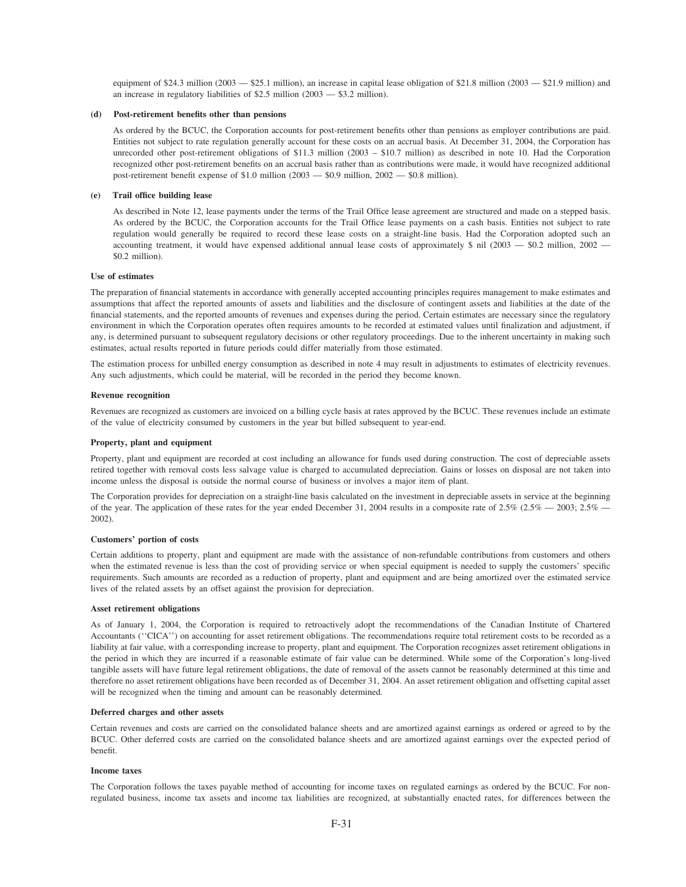equipment of \$24.3 million (2003 — \$25.1 million), an increase in capital lease obligation of \$21.8 million (2003 — \$21.9 million) and an increase in regulatory liabilities of \$2.5 million  $(2003 - $3.2$  million).

#### **(d) Post-retirement benefits other than pensions**

As ordered by the BCUC, the Corporation accounts for post-retirement benefits other than pensions as employer contributions are paid. Entities not subject to rate regulation generally account for these costs on an accrual basis. At December 31, 2004, the Corporation has unrecorded other post-retirement obligations of \$11.3 million (2003 – \$10.7 million) as described in note 10. Had the Corporation recognized other post-retirement benefits on an accrual basis rather than as contributions were made, it would have recognized additional post-retirement benefit expense of \$1.0 million (2003 — \$0.9 million,  $2002 - 80.8$  million).

#### **(e) Trail office building lease**

As described in Note 12, lease payments under the terms of the Trail Office lease agreement are structured and made on a stepped basis. As ordered by the BCUC, the Corporation accounts for the Trail Office lease payments on a cash basis. Entities not subject to rate regulation would generally be required to record these lease costs on a straight-line basis. Had the Corporation adopted such an accounting treatment, it would have expensed additional annual lease costs of approximately \$ nil (2003 — \$0.2 million, 2002 — \$0.2 million).

#### **Use of estimates**

The preparation of financial statements in accordance with generally accepted accounting principles requires management to make estimates and assumptions that affect the reported amounts of assets and liabilities and the disclosure of contingent assets and liabilities at the date of the financial statements, and the reported amounts of revenues and expenses during the period. Certain estimates are necessary since the regulatory environment in which the Corporation operates often requires amounts to be recorded at estimated values until finalization and adjustment, if any, is determined pursuant to subsequent regulatory decisions or other regulatory proceedings. Due to the inherent uncertainty in making such estimates, actual results reported in future periods could differ materially from those estimated.

The estimation process for unbilled energy consumption as described in note 4 may result in adjustments to estimates of electricity revenues. Any such adjustments, which could be material, will be recorded in the period they become known.

#### **Revenue recognition**

Revenues are recognized as customers are invoiced on a billing cycle basis at rates approved by the BCUC. These revenues include an estimate of the value of electricity consumed by customers in the year but billed subsequent to year-end.

#### **Property, plant and equipment**

Property, plant and equipment are recorded at cost including an allowance for funds used during construction. The cost of depreciable assets retired together with removal costs less salvage value is charged to accumulated depreciation. Gains or losses on disposal are not taken into income unless the disposal is outside the normal course of business or involves a major item of plant.

The Corporation provides for depreciation on a straight-line basis calculated on the investment in depreciable assets in service at the beginning of the year. The application of these rates for the year ended December 31, 2004 results in a composite rate of  $2.5\%$   $-2003$ ;  $2.5\%$  -2002).

#### **Customers' portion of costs**

Certain additions to property, plant and equipment are made with the assistance of non-refundable contributions from customers and others when the estimated revenue is less than the cost of providing service or when special equipment is needed to supply the customers' specific requirements. Such amounts are recorded as a reduction of property, plant and equipment and are being amortized over the estimated service lives of the related assets by an offset against the provision for depreciation.

#### **Asset retirement obligations**

As of January 1, 2004, the Corporation is required to retroactively adopt the recommendations of the Canadian Institute of Chartered Accountants (''CICA'') on accounting for asset retirement obligations. The recommendations require total retirement costs to be recorded as a liability at fair value, with a corresponding increase to property, plant and equipment. The Corporation recognizes asset retirement obligations in the period in which they are incurred if a reasonable estimate of fair value can be determined. While some of the Corporation's long-lived tangible assets will have future legal retirement obligations, the date of removal of the assets cannot be reasonably determined at this time and therefore no asset retirement obligations have been recorded as of December 31, 2004. An asset retirement obligation and offsetting capital asset will be recognized when the timing and amount can be reasonably determined.

## **Deferred charges and other assets**

Certain revenues and costs are carried on the consolidated balance sheets and are amortized against earnings as ordered or agreed to by the BCUC. Other deferred costs are carried on the consolidated balance sheets and are amortized against earnings over the expected period of benefit.

#### **Income taxes**

The Corporation follows the taxes payable method of accounting for income taxes on regulated earnings as ordered by the BCUC. For nonregulated business, income tax assets and income tax liabilities are recognized, at substantially enacted rates, for differences between the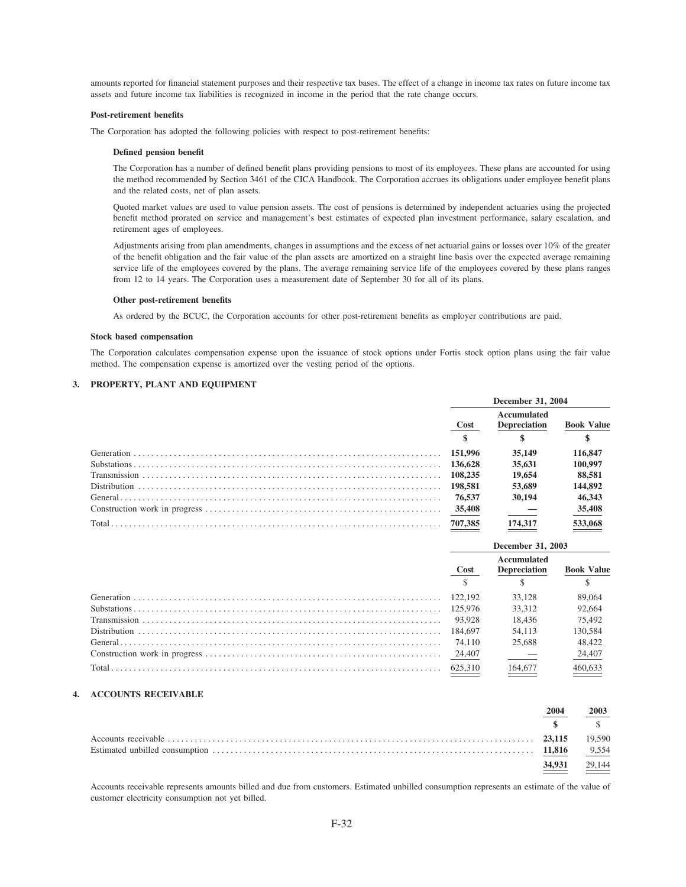amounts reported for financial statement purposes and their respective tax bases. The effect of a change in income tax rates on future income tax assets and future income tax liabilities is recognized in income in the period that the rate change occurs.

#### Post-retirement benefits

The Corporation has adopted the following policies with respect to post-retirement benefits:

#### Defined pension benefit

The Corporation has a number of defined benefit plans providing pensions to most of its employees. These plans are accounted for using the method recommended by Section 3461 of the CICA Handbook. The Corporation accrues its obligations under employee benefit plans and the related costs, net of plan assets.

Quoted market values are used to value pension assets. The cost of pensions is determined by independent actuaries using the projected benefit method prorated on service and management's best estimates of expected plan investment performance, salary escalation, and retirement ages of employees.

Adjustments arising from plan amendments, changes in assumptions and the excess of net actuarial gains or losses over 10% of the greater of the benefit obligation and the fair value of the plan assets are amortized on a straight line basis over the expected average remaining service life of the employees covered by the plans. The average remaining service life of the employees covered by these plans ranges from 12 to 14 years. The Corporation uses a measurement date of September 30 for all of its plans.

#### Other post-retirement benefits

As ordered by the BCUC, the Corporation accounts for other post-retirement benefits as employer contributions are paid.

#### **Stock based compensation**

The Corporation calculates compensation expense upon the issuance of stock options under Fortis stock option plans using the fair value method. The compensation expense is amortized over the vesting period of the options.

# 3. PROPERTY, PLANT AND EQUIPMENT

| December 31, 2004 |                                    |                   |
|-------------------|------------------------------------|-------------------|
| Cost              | Accumulated<br><b>Depreciation</b> | <b>Book Value</b> |
|                   | 35,149                             | 116,847           |
|                   | 35,631                             | 100.997           |
|                   | 19,654                             | 88,581            |
| 198.581           | 53,689                             | 144,892           |
| 76.537            | 30,194                             | 46,343            |
|                   |                                    | 35,408            |
| 707.385           | 174,317                            | 533,068           |

| Accumulated<br><b>Book Value</b><br><b>Depreciation</b><br>Cost<br>89,064<br>33.128<br>122.192<br>92,664<br>33.312<br>125,976 |  |
|-------------------------------------------------------------------------------------------------------------------------------|--|
|                                                                                                                               |  |
|                                                                                                                               |  |
|                                                                                                                               |  |
|                                                                                                                               |  |
| 75.492<br>18.436<br>93.928                                                                                                    |  |
| 130.584<br>184,697<br>54,113                                                                                                  |  |
| 48.422<br>25,688<br>74.110                                                                                                    |  |
| 24,407                                                                                                                        |  |
| 164,677<br>625.310                                                                                                            |  |

## **4. ACCOUNTS RECEIVABLE**

| 2004   |                    |
|--------|--------------------|
|        |                    |
|        | 19.590             |
|        | 9,554              |
| 34,931 | $\frac{29,144}{2}$ |

Accounts receivable represents amounts billed and due from customers. Estimated unbilled consumption represents an estimate of the value of customer electricity consumption not yet billed.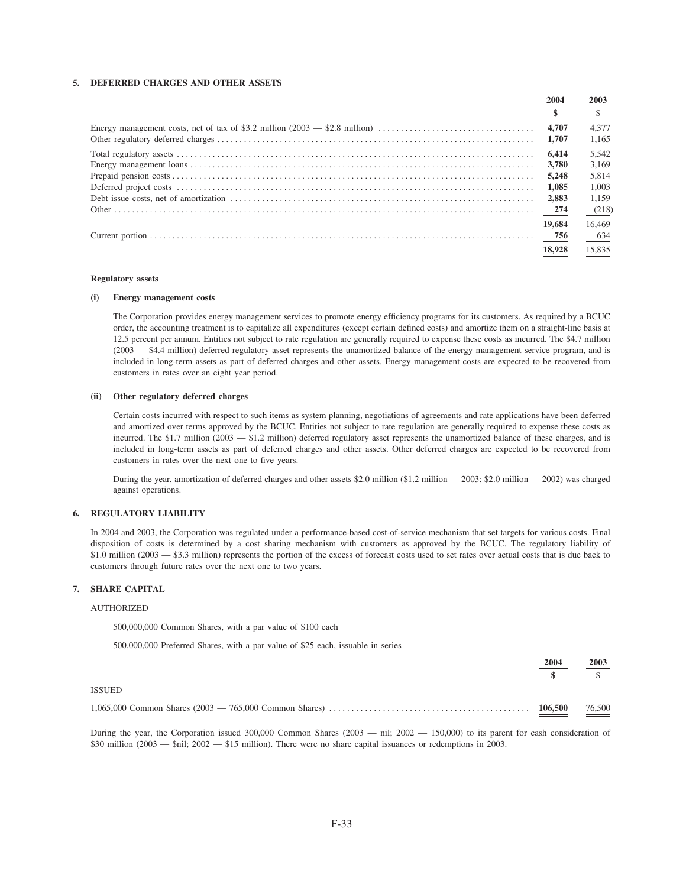# 5. DEFERRED CHARGES AND OTHER ASSETS

| 2004   | 2003   |
|--------|--------|
|        |        |
| 4,707  | 4.377  |
|        | 1,165  |
| 6.414  | 5.542  |
| 3.780  | 3.169  |
| 5.248  | 5.814  |
| 1.085  | 1.003  |
| 2.883  | 1.159  |
|        | (218)  |
| 19,684 | 16.469 |
| 756    | 634    |
| 18.928 | 15.835 |

#### **Regulatory** assets

#### **Energy management costs**  $(i)$

The Corporation provides energy management services to promote energy efficiency programs for its customers. As required by a BCUC order, the accounting treatment is to capitalize all expenditures (except certain defined costs) and amortize them on a straight-line basis at 12.5 percent per annum. Entities not subject to rate regulation are generally required to expense these costs as incurred. The \$4.7 million (2003 – \$4.4 million) deferred regulatory asset represents the unamortized balance of the energy management service program, and is included in long-term assets as part of deferred charges and other assets. Energy management costs are expected to be recovered from customers in rates over an eight year period.

#### (ii) Other regulatory deferred charges

Certain costs incurred with respect to such items as system planning, negotiations of agreements and rate applications have been deferred and amortized over terms approved by the BCUC. Entities not subject to rate regulation are generally required to expense these costs as incurred. The \$1.7 million (2003 - \$1.2 million) deferred regulatory asset represents the unamortized balance of these charges, and is included in long-term assets as part of deferred charges and other assets. Other deferred charges are expected to be recovered from customers in rates over the next one to five years.

During the year, amortization of deferred charges and other assets \$2.0 million (\$1.2 million - 2003; \$2.0 million - 2002) was charged against operations.

## 6. REGULATORY LIABILITY

In 2004 and 2003, the Corporation was regulated under a performance-based cost-of-service mechanism that set targets for various costs. Final disposition of costs is determined by a cost sharing mechanism with customers as approved by the BCUC. The regulatory liability of \$1.0 million (2003 – \$3.3 million) represents the portion of the excess of forecast costs used to set rates over actual costs that is due back to customers through future rates over the next one to two years.

#### 7. SHARE CAPITAL

#### **AUTHORIZED**

500,000,000 Common Shares, with a par value of \$100 each

500,000,000 Preferred Shares, with a par value of \$25 each, issuable in series

|        | 2004 | 2003           |
|--------|------|----------------|
|        |      | $\mathbf{s}$ s |
| ISSUED |      |                |
|        |      |                |

During the year, the Corporation issued  $300,000$  Common Shares ( $2003$  - nil;  $2002$  -  $150,000$ ) to its parent for cash consideration of \$30 million (2003 — \$nil; 2002 — \$15 million). There were no share capital issuances or redemptions in 2003.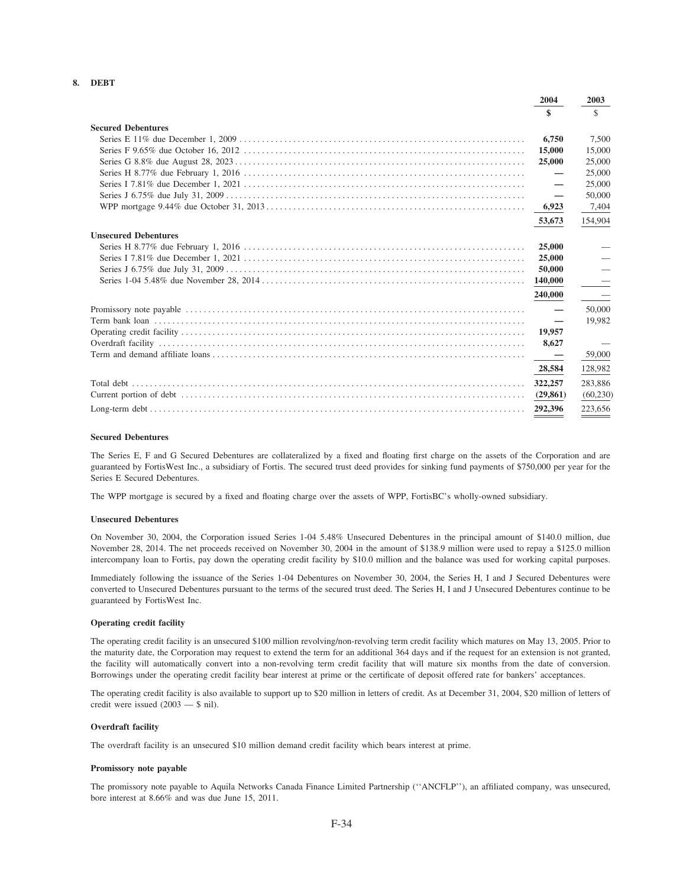# 8. DEBT

|                             | 2004      | 2003      |
|-----------------------------|-----------|-----------|
|                             | \$        | \$        |
| <b>Secured Debentures</b>   |           |           |
|                             | 6.750     | 7,500     |
|                             | 15,000    | 15,000    |
|                             | 25,000    | 25,000    |
|                             |           | 25,000    |
|                             |           | 25,000    |
|                             |           | 50,000    |
|                             | 6,923     | 7,404     |
|                             | 53,673    | 154,904   |
| <b>Unsecured Debentures</b> |           |           |
|                             | 25,000    |           |
|                             | 25,000    |           |
|                             | 50,000    |           |
|                             | 140,000   |           |
|                             | 240,000   |           |
|                             |           | 50,000    |
|                             |           | 19.982    |
|                             | 19,957    |           |
|                             | 8,627     |           |
|                             |           | 59,000    |
|                             | 28,584    | 128,982   |
|                             | 322,257   | 283.886   |
|                             | (29, 861) | (60, 230) |
|                             | 292,396   | 223,656   |

#### **Secured Debentures**

The Series E, F and G Secured Debentures are collateralized by a fixed and floating first charge on the assets of the Corporation and are guaranteed by FortisWest Inc., a subsidiary of Fortis. The secured trust deed provides for sinking fund payments of \$750,000 per year for the Series E Secured Debentures.

The WPP mortgage is secured by a fixed and floating charge over the assets of WPP, FortisBC's wholly-owned subsidiary.

#### **Unsecured Debentures**

On November 30, 2004, the Corporation issued Series 1-04 5.48% Unsecured Debentures in the principal amount of \$140.0 million, due November 28, 2014. The net proceeds received on November 30, 2004 in the amount of \$138.9 million were used to repay a \$125.0 million intercompany loan to Fortis, pay down the operating credit facility by \$10.0 million and the balance was used for working capital purposes.

Immediately following the issuance of the Series 1-04 Debentures on November 30, 2004, the Series H, I and J Secured Debentures were converted to Unsecured Debentures pursuant to the terms of the secured trust deed. The Series H, I and J Unsecured Debentures continue to be guaranteed by FortisWest Inc.

#### Operating credit facility

The operating credit facility is an unsecured \$100 million revolving/non-revolving term credit facility which matures on May 13, 2005. Prior to the maturity date, the Corporation may request to extend the term for an additional 364 days and if the request for an extension is not granted, the facility will automatically convert into a non-revolving term credit facility that will mature six months from the date of conversion. Borrowings under the operating credit facility bear interest at prime or the certificate of deposit offered rate for bankers' acceptances.

The operating credit facility is also available to support up to \$20 million in letters of credit. As at December 31, 2004, \$20 million of letters of credit were issued  $(2003 - $$  nil).

#### **Overdraft facility**

The overdraft facility is an unsecured \$10 million demand credit facility which bears interest at prime.

#### Promissory note payable

The promissory note payable to Aquila Networks Canada Finance Limited Partnership ("ANCFLP"), an affiliated company, was unsecured, bore interest at 8.66% and was due June 15, 2011.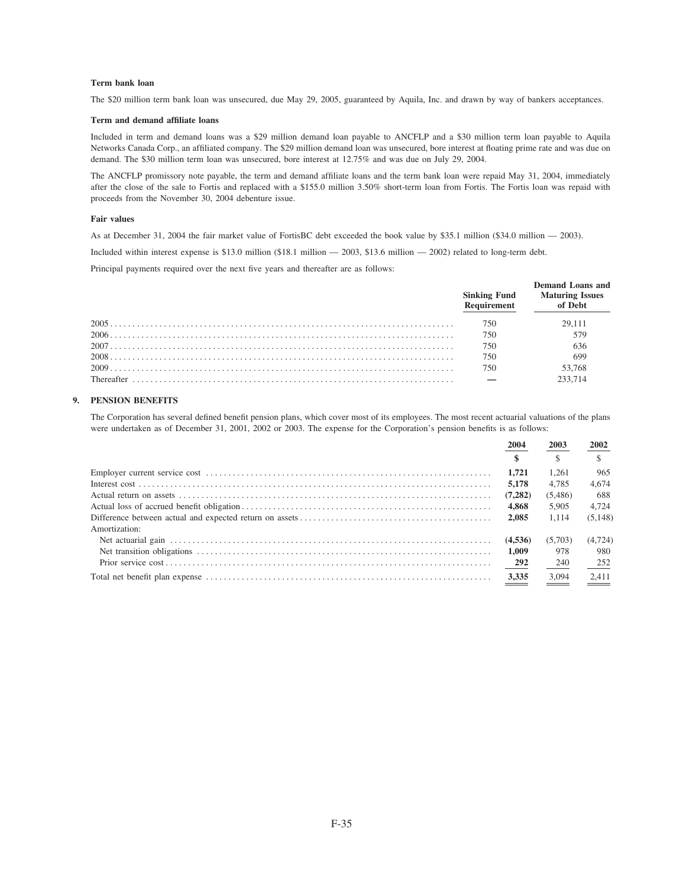# Term bank loan

The \$20 million term bank loan was unsecured, due May 29, 2005, guaranteed by Aquila, Inc. and drawn by way of bankers acceptances.

#### Term and demand affiliate loans

Included in term and demand loans was a \$29 million demand loan payable to ANCFLP and a \$30 million term loan payable to Aquila Networks Canada Corp., an affiliated company. The \$29 million demand loan was unsecured, bore interest at floating prime rate and was due on demand. The \$30 million term loan was unsecured, bore interest at 12.75% and was due on July 29, 2004.

The ANCFLP promissory note payable, the term and demand affiliate loans and the term bank loan were repaid May 31, 2004, immediately after the close of the sale to Fortis and replaced with a \$155.0 million 3.50% short-term loan from Fortis. The Fortis loan was repaid with proceeds from the November 30, 2004 debenture issue.

#### **Fair values**

As at December 31, 2004 the fair market value of FortisBC debt exceeded the book value by \$35.1 million (\$34.0 million - 2003).

Included within interest expense is \$13.0 million (\$18.1 million  $-$  2003, \$13.6 million  $-$  2002) related to long-term debt.

Principal payments required over the next five years and thereafter are as follows:

| <b>Sinking Fund</b><br>Requirement | Demand Loans and<br><b>Maturing Issues</b><br>of Debt |
|------------------------------------|-------------------------------------------------------|
| 750                                | 29.111                                                |
| 750                                | 579                                                   |
| 750                                | 636                                                   |
| 750                                | 699                                                   |
| 750                                | 53,768                                                |
|                                    | 233.714                                               |

# 9. PENSION BENEFITS

The Corporation has several defined benefit pension plans, which cover most of its employees. The most recent actuarial valuations of the plans were undertaken as of December 31, 2001, 2002 or 2003. The expense for the Corporation's pension benefits is as follows:

|               | 2004    | 2003    | 2002     |
|---------------|---------|---------|----------|
|               |         |         |          |
|               | 1.721   | 1.261   | 965      |
|               | 5,178   | 4.785   | 4.674    |
|               | (7.282) | (5,486) | 688      |
|               | 4.868   | 5.905   | 4.724    |
|               | 2.085   | 1.114   | (5.148)  |
| Amortization: |         |         |          |
|               | (4.536) | (5.703) | (4, 724) |
|               | 1.009   | 978     | 980      |
|               | 292     | 240     | 252      |
|               | 3,335   | 3.094   | 2,411    |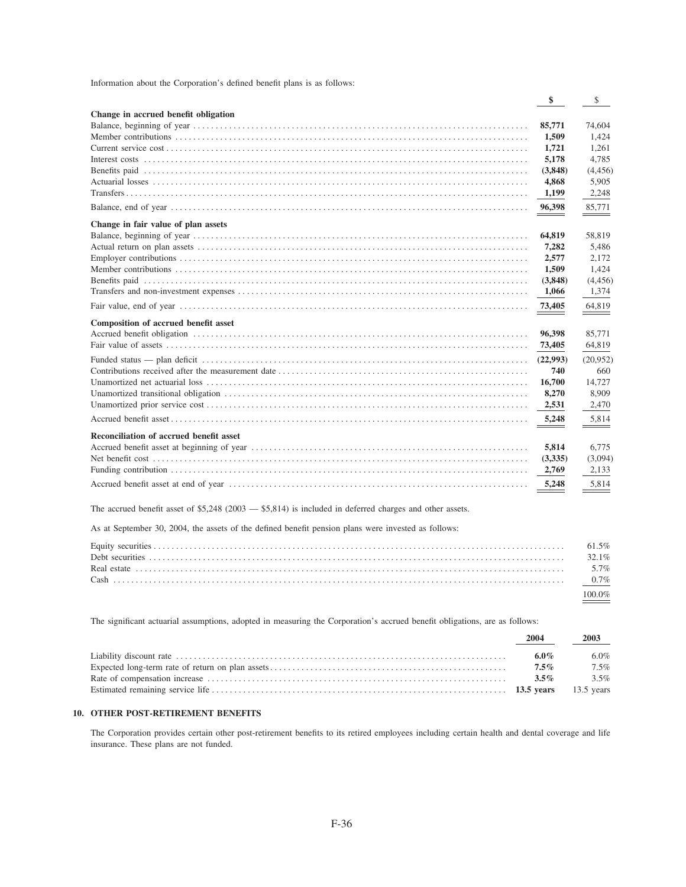| Information about the Corporation's defined benefit plans is as follows: |  |  |  |  |
|--------------------------------------------------------------------------|--|--|--|--|
|--------------------------------------------------------------------------|--|--|--|--|

|                                         | \$       | \$       |
|-----------------------------------------|----------|----------|
| Change in accrued benefit obligation    |          |          |
|                                         | 85,771   | 74,604   |
|                                         | 1,509    | 1.424    |
|                                         | 1,721    | 1.261    |
|                                         | 5,178    | 4.785    |
|                                         | (3,848)  | (4,456)  |
|                                         | 4,868    | 5,905    |
|                                         | 1,199    | 2,248    |
|                                         | 96,398   | 85,771   |
| Change in fair value of plan assets     |          |          |
|                                         | 64,819   | 58,819   |
|                                         | 7,282    | 5,486    |
|                                         | 2,577    | 2,172    |
|                                         | 1,509    | 1,424    |
|                                         | (3,848)  | (4,456)  |
|                                         | 1,066    | 1,374    |
|                                         | 73,405   | 64,819   |
| Composition of accrued benefit asset    |          |          |
|                                         | 96.398   | 85.771   |
|                                         | 73,405   | 64,819   |
|                                         | (22,993) | (20,952) |
|                                         | 740      | 660      |
|                                         | 16,700   | 14,727   |
|                                         | 8,270    | 8.909    |
|                                         | 2,531    | 2,470    |
|                                         | 5,248    | 5,814    |
| Reconciliation of accrued benefit asset |          |          |
|                                         | 5,814    | 6.775    |
|                                         | (3,335)  | (3,094)  |
|                                         | 2,769    | 2.133    |
|                                         | 5,248    | 5.814    |
|                                         |          |          |

The accrued benefit asset of \$5,248 (2003 - \$5,814) is included in deferred charges and other assets.

As at September 30, 2004, the assets of the defined benefit pension plans were invested as follows:

| $61.5\%$ |
|----------|
| 32.1%    |
|          |
|          |
|          |

The significant actuarial assumptions, adopted in measuring the Corporation's accrued benefit obligations, are as follows:

| 2004    | 2003    |
|---------|---------|
| 6.0%    | 6.0%    |
| $7.5\%$ | $7.5\%$ |
| $3.5\%$ | $3.5\%$ |
|         |         |

## 10. OTHER POST-RETIREMENT BENEFITS

The Corporation provides certain other post-retirement benefits to its retired employees including certain health and dental coverage and life insurance. These plans are not funded.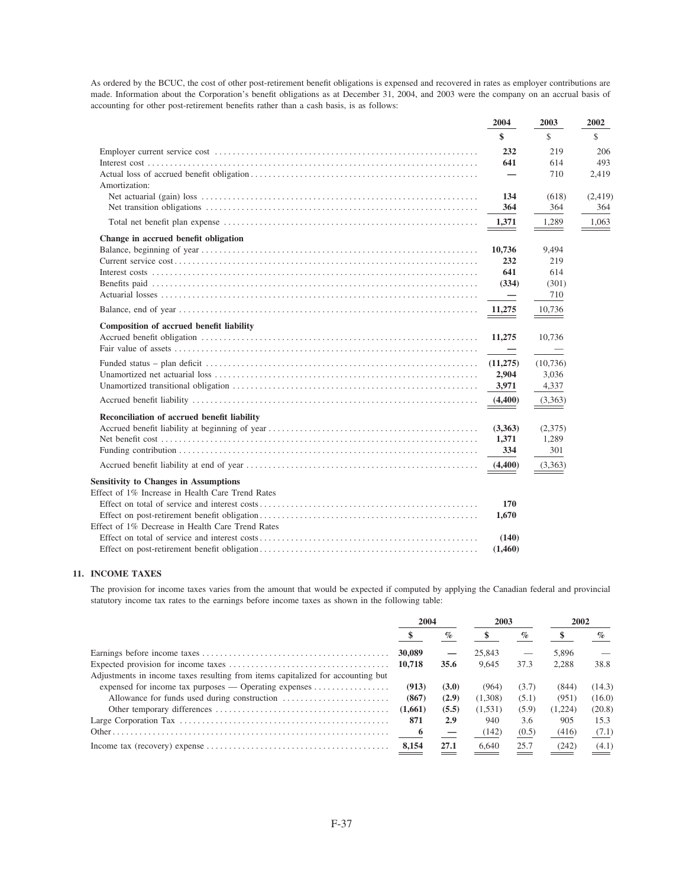As ordered by the BCUC, the cost of other post-retirement benefit obligations is expensed and recovered in rates as employer contributions are made. Information about the Corporation's benefit obligations as at December 31, 2004, and 2003 were the company on an accrual basis of accounting for other post-retirement benefits rather than a cash basis, is as follows:

|                                                  | 2004     | 2003     | 2002    |
|--------------------------------------------------|----------|----------|---------|
|                                                  | \$       | \$       | \$      |
|                                                  | 232      | 219      | 206     |
|                                                  | 641      | 614      | 493     |
| Amortization:                                    |          | 710      | 2,419   |
|                                                  | 134      | (618)    | (2,419) |
|                                                  | 364      | 364      | 364     |
|                                                  | 1,371    | 1,289    | 1,063   |
| Change in accrued benefit obligation             |          |          |         |
|                                                  | 10,736   | 9,494    |         |
|                                                  | 232      | 219      |         |
|                                                  | 641      | 614      |         |
|                                                  | (334)    | (301)    |         |
|                                                  |          | 710      |         |
|                                                  | 11,275   | 10,736   |         |
| Composition of accrued benefit liability         |          |          |         |
|                                                  | 11,275   | 10,736   |         |
|                                                  |          |          |         |
|                                                  | (11,275) | (10,736) |         |
|                                                  | 2,904    | 3,036    |         |
|                                                  | 3,971    | 4,337    |         |
|                                                  | (4,400)  | (3,363)  |         |
| Reconciliation of accrued benefit liability      |          |          |         |
|                                                  | (3,363)  | (2,375)  |         |
|                                                  | 1,371    | 1,289    |         |
|                                                  | 334      | 301      |         |
|                                                  | (4,400)  | (3,363)  |         |
| <b>Sensitivity to Changes in Assumptions</b>     |          |          |         |
| Effect of 1% Increase in Health Care Trend Rates |          |          |         |
|                                                  | 170      |          |         |
|                                                  | 1,670    |          |         |
| Effect of 1% Decrease in Health Care Trend Rates |          |          |         |
|                                                  | (140)    |          |         |
|                                                  | (1,460)  |          |         |

# 11. INCOME TAXES

The provision for income taxes varies from the amount that would be expected if computed by applying the Canadian federal and provincial statutory income tax rates to the earnings before income taxes as shown in the following table:

|                                                                                   | 2004    |       | 2003    |       | 2002    |        |
|-----------------------------------------------------------------------------------|---------|-------|---------|-------|---------|--------|
|                                                                                   |         | $\%$  |         | $\%$  |         | $\%$   |
|                                                                                   | 30,089  |       | 25,843  |       | 5.896   |        |
|                                                                                   | 10,718  | 35.6  | 9.645   | 37.3  | 2.288   | 38.8   |
| Adjustments in income taxes resulting from items capitalized for accounting but   |         |       |         |       |         |        |
| expensed for income tax purposes — Operating expenses $\dots\dots\dots\dots\dots$ | (913)   | (3.0) | (964)   | (3.7) | (844)   | (14.3) |
|                                                                                   | (867)   | (2.9) | (1.308) | (5.1) | (951)   | (16.0) |
|                                                                                   | (1,661) | (5.5) | (1,531) | (5.9) | (1,224) | (20.8) |
|                                                                                   | 871     | 2.9   | 940     | 3.6   | 905     | 15.3   |
|                                                                                   |         |       | (142)   | (0.5) | (416)   | (7.1)  |
|                                                                                   | 8,154   | 27.1  | 6,640   | 25.7  | (242)   | (4.1)  |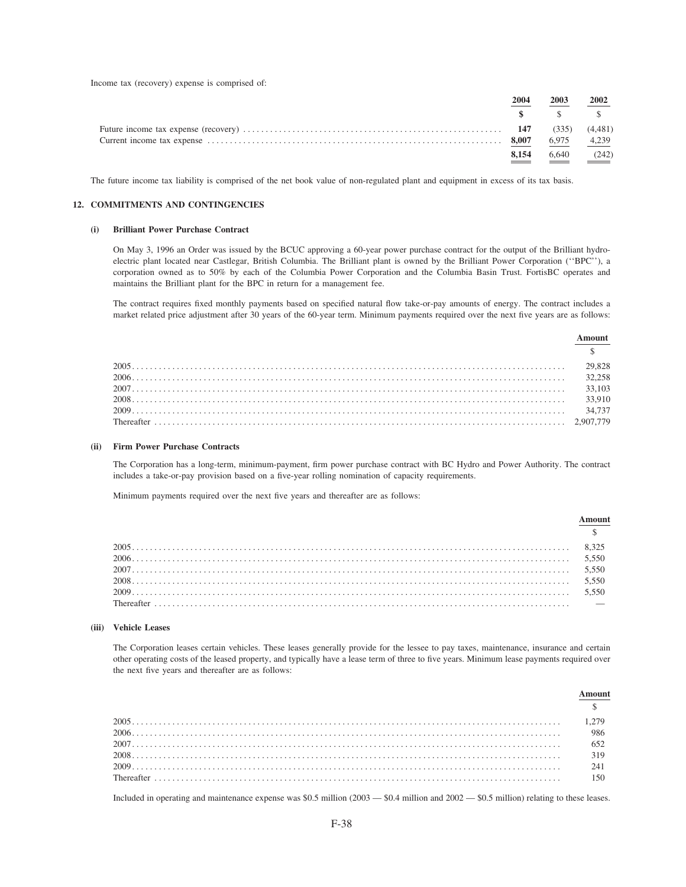Income tax (recovery) expense is comprised of:

| 2004  | 2003                                                                                                                                                                                                                                                                                                                                                                                                                                                                                                                                  | 2002 |
|-------|---------------------------------------------------------------------------------------------------------------------------------------------------------------------------------------------------------------------------------------------------------------------------------------------------------------------------------------------------------------------------------------------------------------------------------------------------------------------------------------------------------------------------------------|------|
|       | $\textcolor{red}{\textbf{\$}}\textcolor{red}{\textbf{\$}}\textcolor{red}{\textbf{\$}}\textcolor{red}{\textbf{\$}}\textcolor{red}{\textbf{\$}}\textcolor{red}{\textbf{\$}}\textcolor{red}{\textbf{\$}}\textcolor{red}{\textbf{\$}}\textcolor{red}{\textbf{\$}}\textcolor{red}{\textbf{\$}}\textcolor{red}{\textbf{\$}}\textcolor{red}{\textbf{\$}}\textcolor{red}{\textbf{\$}}\textcolor{red}{\textbf{\$}}\textcolor{red}{\textbf{\$}}\textcolor{red}{\textbf{\$}}\textcolor{red}{\textbf{\$}}\textcolor{red}{\textbf{\$}}\textcolor{$ |      |
|       |                                                                                                                                                                                                                                                                                                                                                                                                                                                                                                                                       |      |
|       |                                                                                                                                                                                                                                                                                                                                                                                                                                                                                                                                       |      |
| 8.154 | $6,640$ (242)                                                                                                                                                                                                                                                                                                                                                                                                                                                                                                                         |      |

The future income tax liability is comprised of the net book value of non-regulated plant and equipment in excess of its tax basis.

## 12. COMMITMENTS AND CONTINGENCIES

#### (i) Brilliant Power Purchase Contract

On May 3, 1996 an Order was issued by the BCUC approving a 60-year power purchase contract for the output of the Brilliant hydroelectric plant located near Castlegar, British Columbia. The Brilliant plant is owned by the Brilliant Power Corporation ("BPC"), a corporation owned as to 50% by each of the Columbia Power Corporation and the Columbia Basin Trust. FortisBC operates and maintains the Brilliant plant for the BPC in return for a management fee.

The contract requires fixed monthly payments based on specified natural flow take-or-pay amounts of energy. The contract includes a market related price adjustment after 30 years of the 60-year term. Minimum payments required over the next five years are as follows:

 $A$  mount

|                     | ашчин |
|---------------------|-------|
|                     |       |
|                     |       |
| $2006$ 32,258       |       |
| $2007$ 33,103       |       |
|                     |       |
| $2009$ and $34,737$ |       |
|                     |       |

#### (ii) Firm Power Purchase Contracts

The Corporation has a long-term, minimum-payment, firm power purchase contract with BC Hydro and Power Authority. The contract includes a take-or-pay provision based on a five-year rolling nomination of capacity requirements.

Minimum payments required over the next five years and thereafter are as follows:

# (iii) Vehicle Leases

The Corporation leases certain vehicles. These leases generally provide for the lessee to pay taxes, maintenance, insurance and certain other operating costs of the leased property, and typically have a lease term of three to five years. Minimum lease payments required over the next five years and thereafter are as follows:

| 652 |
|-----|
| 319 |
| 241 |
|     |
|     |

Included in operating and maintenance expense was  $$0.5$  million  $(2003 - $0.4$  million and  $2002 - $0.5$  million) relating to these leases.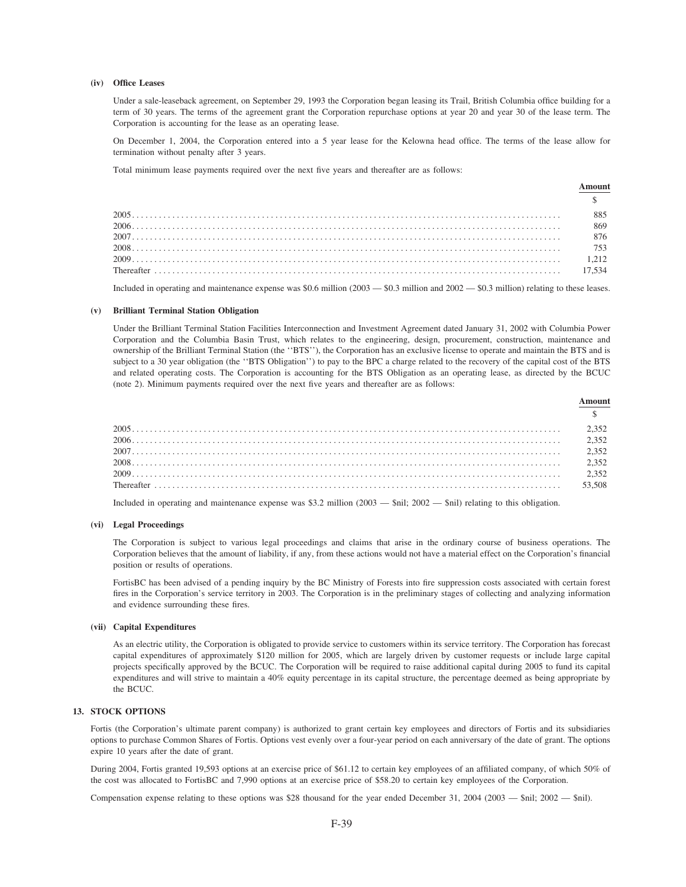## (iv) Office Leases

Under a sale-leaseback agreement, on September 29, 1993 the Corporation began leasing its Trail, British Columbia office building for a term of 30 years. The terms of the agreement grant the Corporation repurchase options at year 20 and year 30 of the lease term. The Corporation is accounting for the lease as an operating lease.

On December 1, 2004, the Corporation entered into a 5 year lease for the Kelowna head office. The terms of the lease allow for termination without penalty after 3 years.

Total minimum lease payments required over the next five years and thereafter are as follows:

|      | 885    |
|------|--------|
|      | 869    |
|      |        |
|      |        |
| 2009 |        |
|      | 17.534 |
|      |        |

Included in operating and maintenance expense was  $$0.6$  million  $(2003 - $0.3$  million and  $2002 - $0.3$  million) relating to these leases.

#### (v) Brilliant Terminal Station Obligation

Under the Brilliant Terminal Station Facilities Interconnection and Investment Agreement dated January 31, 2002 with Columbia Power Corporation and the Columbia Basin Trust, which relates to the engineering, design, procurement, construction, maintenance and ownership of the Brilliant Terminal Station (the "BTS"), the Corporation has an exclusive license to operate and maintain the BTS and is subject to a 30 year obligation (the "BTS Obligation") to pay to the BPC a charge related to the recovery of the capital cost of the BTS and related operating costs. The Corporation is accounting for the BTS Obligation as an operating lease, as directed by the BCUC (note 2). Minimum payments required over the next five years and thereafter are as follows:

| $2006$ $2,352$ |        |
|----------------|--------|
|                |        |
| $2008$ $2,352$ |        |
|                |        |
|                | 53.508 |
|                |        |

Included in operating and maintenance expense was \$3.2 million  $(2003 - $nil; 2002 - $nil)$  relating to this obligation.

# (vi) Legal Proceedings

The Corporation is subject to various legal proceedings and claims that arise in the ordinary course of business operations. The Corporation believes that the amount of liability, if any, from these actions would not have a material effect on the Corporation's financial position or results of operations.

FortisBC has been advised of a pending inquiry by the BC Ministry of Forests into fire suppression costs associated with certain forest fires in the Corporation's service territory in 2003. The Corporation is in the preliminary stages of collecting and analyzing information and evidence surrounding these fires.

# (vii) Capital Expenditures

As an electric utility, the Corporation is obligated to provide service to customers within its service territory. The Corporation has forecast capital expenditures of approximately \$120 million for 2005, which are largely driven by customer requests or include large capital projects specifically approved by the BCUC. The Corporation will be required to raise additional capital during 2005 to fund its capital expenditures and will strive to maintain a 40% equity percentage in its capital structure, the percentage deemed as being appropriate by the BCUC.

## **13. STOCK OPTIONS**

Fortis (the Corporation's ultimate parent company) is authorized to grant certain key employees and directors of Fortis and its subsidiaries options to purchase Common Shares of Fortis. Options vest evenly over a four-year period on each anniversary of the date of grant. The options expire 10 years after the date of grant.

During 2004, Fortis granted 19,593 options at an exercise price of \$61.12 to certain key employees of an affiliated company, of which 50% of the cost was allocated to FortisBC and 7,990 options at an exercise price of \$58.20 to certain key employees of the Corporation.

Compensation expense relating to these options was \$28 thousand for the year ended December 31, 2004 (2003  $-$  \$nil; 2002  $-$  \$nil).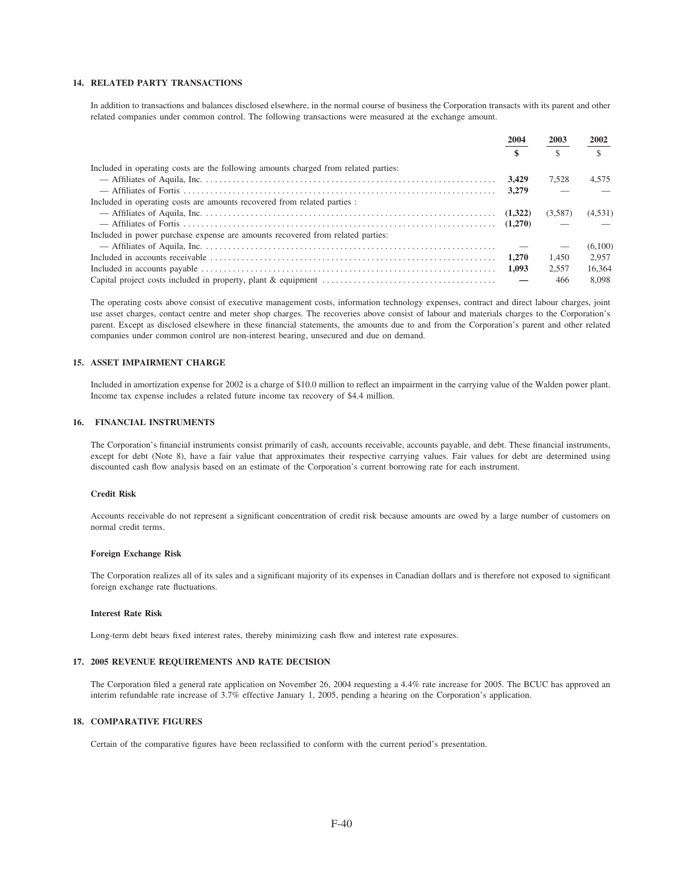# 14. RELATED PARTY TRANSACTIONS

In addition to transactions and balances disclosed elsewhere, in the normal course of business the Corporation transacts with its parent and other related companies under common control. The following transactions were measured at the exchange amount.

|                                                                                     | 2004  | 2003         | 2002    |
|-------------------------------------------------------------------------------------|-------|--------------|---------|
|                                                                                     |       | $\mathbb{S}$ |         |
| Included in operating costs are the following amounts charged from related parties: |       |              |         |
|                                                                                     | 3.429 | 7.528        | 4.575   |
|                                                                                     | 3.279 |              |         |
| Included in operating costs are amounts recovered from related parties :            |       |              |         |
|                                                                                     |       | (3,587)      | (4,531) |
|                                                                                     |       |              |         |
| Included in power purchase expense are amounts recovered from related parties:      |       |              |         |
|                                                                                     |       |              | (6,100) |
|                                                                                     | 1.270 | 1.450        | 2.957   |
|                                                                                     | 1.093 | 2.557        | 16.364  |
|                                                                                     |       | 466          | 8.098   |

The operating costs above consist of executive management costs, information technology expenses, contract and direct labour charges, joint use asset charges, contact centre and meter shop charges. The recoveries above consist of labour and materials charges to the Corporation's parent. Except as disclosed elsewhere in these financial statements, the amounts due to and from the Corporation's parent and other related companies under common control are non-interest bearing, unsecured and due on demand.

# **15. ASSET IMPAIRMENT CHARGE**

Included in amortization expense for 2002 is a charge of \$10.0 million to reflect an impairment in the carrying value of the Walden power plant. Income tax expense includes a related future income tax recovery of \$4.4 million.

#### 16. FINANCIAL INSTRUMENTS

The Corporation's financial instruments consist primarily of cash, accounts receivable, accounts payable, and debt. These financial instruments, except for debt (Note 8), have a fair value that approximates their respective carrying values. Fair values for debt are determined using discounted cash flow analysis based on an estimate of the Corporation's current borrowing rate for each instrument.

#### **Credit Risk**

Accounts receivable do not represent a significant concentration of credit risk because amounts are owed by a large number of customers on normal credit terms.

#### **Foreign Exchange Risk**

The Corporation realizes all of its sales and a significant majority of its expenses in Canadian dollars and is therefore not exposed to significant foreign exchange rate fluctuations.

#### **Interest Rate Risk**

Long-term debt bears fixed interest rates, thereby minimizing cash flow and interest rate exposures.

#### 17. 2005 REVENUE REQUIREMENTS AND RATE DECISION

The Corporation filed a general rate application on November 26, 2004 requesting a 4.4% rate increase for 2005. The BCUC has approved an interim refundable rate increase of 3.7% effective January 1, 2005, pending a hearing on the Corporation's application.

# **18. COMPARATIVE FIGURES**

Certain of the comparative figures have been reclassified to conform with the current period's presentation.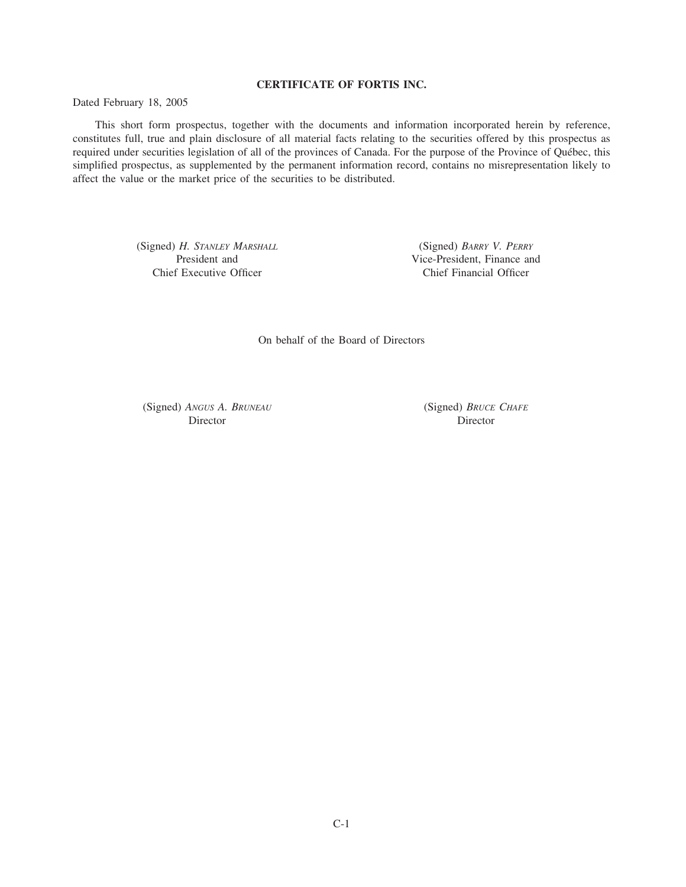# **CERTIFICATE OF FORTIS INC.**

Dated February 18, 2005

This short form prospectus, together with the documents and information incorporated herein by reference, constitutes full, true and plain disclosure of all material facts relating to the securities offered by this prospectus as required under securities legislation of all of the provinces of Canada. For the purpose of the Province of Québec, this simplified prospectus, as supplemented by the permanent information record, contains no misrepresentation likely to affect the value or the market price of the securities to be distributed.

> (Signed) *H. STANLEY MARSHALL* (Signed) *BARRY V. PERRY* Chief Executive Officer Chief Financial Officer

Vice-President, Finance and

On behalf of the Board of Directors

(Signed) *ANGUS A. BRUNEAU* (Signed) *BRUCE CHAFE* Director Director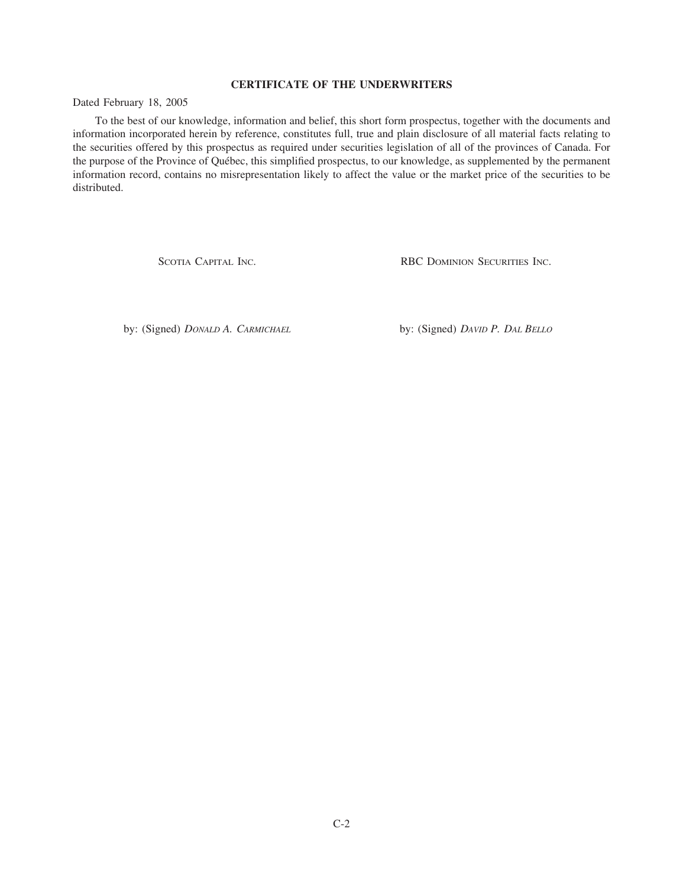# **CERTIFICATE OF THE UNDERWRITERS**

Dated February 18, 2005

To the best of our knowledge, information and belief, this short form prospectus, together with the documents and information incorporated herein by reference, constitutes full, true and plain disclosure of all material facts relating to the securities offered by this prospectus as required under securities legislation of all of the provinces of Canada. For the purpose of the Province of Québec, this simplified prospectus, to our knowledge, as supplemented by the permanent information record, contains no misrepresentation likely to affect the value or the market price of the securities to be distributed.

SCOTIA CAPITAL INC. **RBC DOMINION SECURITIES INC.** 

by: (Signed) *DONALD A. CARMICHAEL* by: (Signed) *DAVID P. DAL BELLO*